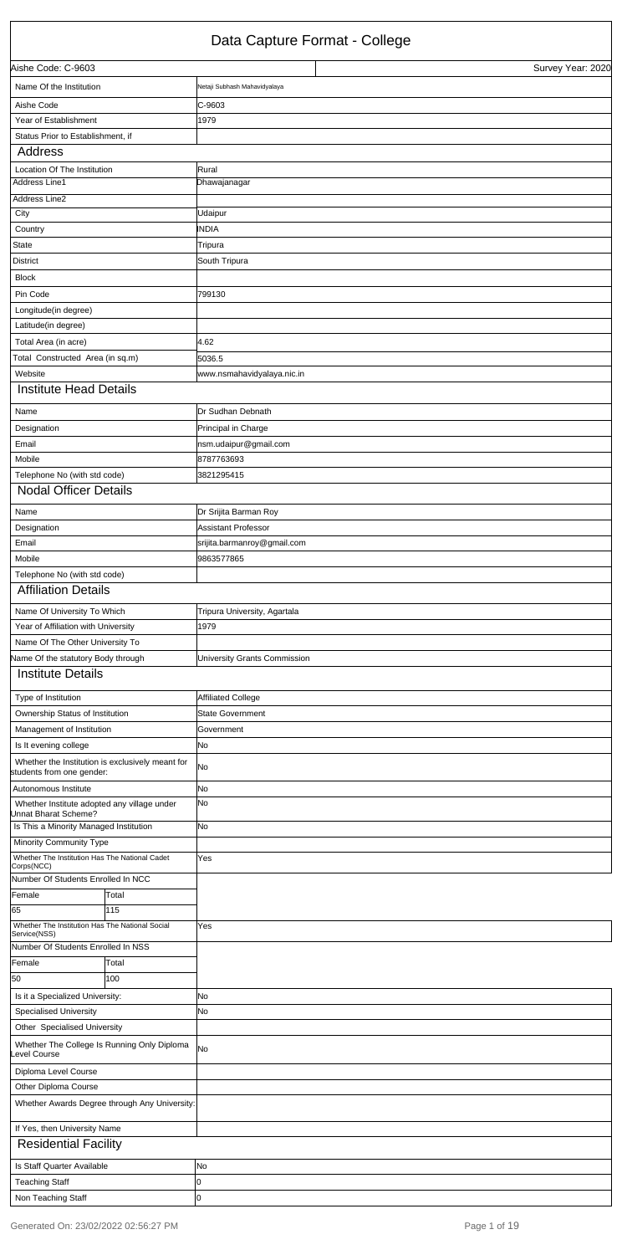## Data Capture Format - College

| Aishe Code: C-9603                                                            |       |                              | Survey Year: 2020 |
|-------------------------------------------------------------------------------|-------|------------------------------|-------------------|
| Name Of the Institution                                                       |       | Netaji Subhash Mahavidyalaya |                   |
| Aishe Code                                                                    |       | IC-9603                      |                   |
| Year of Establishment                                                         |       | 1979                         |                   |
| Status Prior to Establishment, if                                             |       |                              |                   |
| <b>Address</b>                                                                |       |                              |                   |
| Location Of The Institution                                                   |       | Rural                        |                   |
| <b>Address Line1</b>                                                          |       | Dhawajanagar                 |                   |
| Address Line2                                                                 |       |                              |                   |
| City                                                                          |       | Udaipur                      |                   |
| Country                                                                       |       | <b>INDIA</b>                 |                   |
| State                                                                         |       | Tripura                      |                   |
| <b>District</b>                                                               |       | South Tripura                |                   |
| <b>Block</b>                                                                  |       |                              |                   |
| Pin Code                                                                      |       | 799130                       |                   |
| Longitude(in degree)                                                          |       |                              |                   |
| Latitude(in degree)                                                           |       |                              |                   |
| Total Area (in acre)                                                          |       | 4.62                         |                   |
| Total Constructed Area (in sq.m)                                              |       | 5036.5                       |                   |
| Website                                                                       |       | www.nsmahavidyalaya.nic.in   |                   |
| <b>Institute Head Details</b>                                                 |       |                              |                   |
| Name                                                                          |       | Dr Sudhan Debnath            |                   |
| Designation                                                                   |       | Principal in Charge          |                   |
| Email                                                                         |       | nsm.udaipur@gmail.com        |                   |
| Mobile                                                                        |       | 8787763693                   |                   |
| Telephone No (with std code)                                                  |       | 3821295415                   |                   |
| <b>Nodal Officer Details</b>                                                  |       |                              |                   |
| Name                                                                          |       | Dr Srijita Barman Roy        |                   |
| Designation                                                                   |       | Assistant Professor          |                   |
| Email                                                                         |       | srijita.barmanroy@gmail.com  |                   |
| Mobile                                                                        |       | 9863577865                   |                   |
| Telephone No (with std code)                                                  |       |                              |                   |
| <b>Affiliation Details</b>                                                    |       |                              |                   |
| Name Of University To Which                                                   |       | Tripura University, Agartala |                   |
| Year of Affiliation with University                                           |       | 1979                         |                   |
| Name Of The Other University To                                               |       |                              |                   |
| Name Of the statutory Body through                                            |       | University Grants Commission |                   |
| <b>Institute Details</b>                                                      |       |                              |                   |
| Type of Institution                                                           |       | Affiliated College           |                   |
| Ownership Status of Institution                                               |       | <b>State Government</b>      |                   |
| Management of Institution                                                     |       | Government                   |                   |
| Is It evening college                                                         |       | No.                          |                   |
| Whether the Institution is exclusively meant for<br>students from one gender: |       | No                           |                   |
| Autonomous Institute                                                          |       | No                           |                   |
| Whether Institute adopted any village under<br>Unnat Bharat Scheme?           |       | No                           |                   |
| Is This a Minority Managed Institution                                        |       | No.                          |                   |
| Minority Community Type                                                       |       |                              |                   |
| Whether The Institution Has The National Cadet                                |       | Yes                          |                   |
| Corps(NCC)<br>Number Of Students Enrolled In NCC                              |       |                              |                   |
| Female                                                                        | Total |                              |                   |
| 65                                                                            | 115   |                              |                   |
| Whether The Institution Has The National Social                               |       | Yes                          |                   |
| Service(NSS)                                                                  |       |                              |                   |

| Number Of Students Enrolled In NSS |                                               |           |
|------------------------------------|-----------------------------------------------|-----------|
| Female                             | Total                                         |           |
| 50                                 | 100                                           |           |
| Is it a Specialized University:    |                                               | <b>No</b> |
| <b>Specialised University</b>      |                                               | <b>No</b> |
| Other Specialised University       |                                               |           |
| evel Course                        | Whether The College Is Running Only Diploma   | <b>No</b> |
| Diploma Level Course               |                                               |           |
| Other Diploma Course               |                                               |           |
|                                    | Whether Awards Degree through Any University: |           |
| If Yes, then University Name       |                                               |           |
| <b>Residential Facility</b>        |                                               |           |
| Is Staff Quarter Available         |                                               | No        |
| <b>Teaching Staff</b>              |                                               | Ю         |
| Non Teaching Staff                 |                                               | 10        |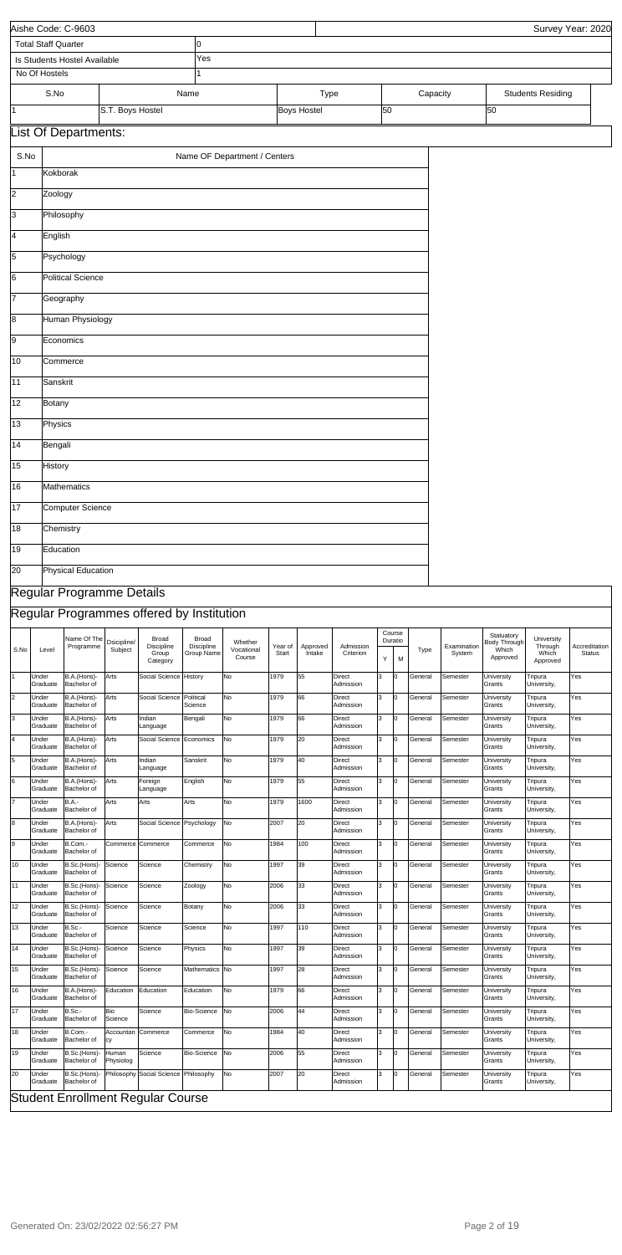|                |                            | Aishe Code: C-9603                |                        |                                           |                                   |                                 |                  |                            |                            |    |                        |          |                       |                                                 |                                            | Survey Year: 2020              |
|----------------|----------------------------|-----------------------------------|------------------------|-------------------------------------------|-----------------------------------|---------------------------------|------------------|----------------------------|----------------------------|----|------------------------|----------|-----------------------|-------------------------------------------------|--------------------------------------------|--------------------------------|
|                | <b>Total Staff Quarter</b> |                                   |                        |                                           | 10                                |                                 |                  |                            |                            |    |                        |          |                       |                                                 |                                            |                                |
|                | No Of Hostels              | Is Students Hostel Available      |                        |                                           | Yes<br>1                          |                                 |                  |                            |                            |    |                        |          |                       |                                                 |                                            |                                |
|                |                            |                                   |                        |                                           |                                   |                                 |                  |                            |                            |    |                        |          |                       |                                                 |                                            |                                |
| $\vert$ 1      | S.No                       |                                   | S.T. Boys Hostel       |                                           | Name                              |                                 |                  | Type<br><b>Boys Hostel</b> |                            | 50 |                        | Capacity |                       | 50                                              | <b>Students Residing</b>                   |                                |
|                |                            |                                   |                        |                                           |                                   |                                 |                  |                            |                            |    |                        |          |                       |                                                 |                                            |                                |
|                |                            | List Of Departments:              |                        |                                           |                                   |                                 |                  |                            |                            |    |                        |          |                       |                                                 |                                            |                                |
| S.No           |                            |                                   |                        |                                           |                                   | Name OF Department / Centers    |                  |                            |                            |    |                        |          |                       |                                                 |                                            |                                |
| $\vert$ 1      | Kokborak                   |                                   |                        |                                           |                                   |                                 |                  |                            |                            |    |                        |          |                       |                                                 |                                            |                                |
| 2              | Zoology                    |                                   |                        |                                           |                                   |                                 |                  |                            |                            |    |                        |          |                       |                                                 |                                            |                                |
| 3              | Philosophy                 |                                   |                        |                                           |                                   |                                 |                  |                            |                            |    |                        |          |                       |                                                 |                                            |                                |
| 4              | English                    |                                   |                        |                                           |                                   |                                 |                  |                            |                            |    |                        |          |                       |                                                 |                                            |                                |
| 5              |                            | Psychology                        |                        |                                           |                                   |                                 |                  |                            |                            |    |                        |          |                       |                                                 |                                            |                                |
| 6              |                            | <b>Political Science</b>          |                        |                                           |                                   |                                 |                  |                            |                            |    |                        |          |                       |                                                 |                                            |                                |
| 17             |                            | Geography                         |                        |                                           |                                   |                                 |                  |                            |                            |    |                        |          |                       |                                                 |                                            |                                |
| 8              |                            | <b>Human Physiology</b>           |                        |                                           |                                   |                                 |                  |                            |                            |    |                        |          |                       |                                                 |                                            |                                |
|                |                            |                                   |                        |                                           |                                   |                                 |                  |                            |                            |    |                        |          |                       |                                                 |                                            |                                |
| 9              | Economics                  |                                   |                        |                                           |                                   |                                 |                  |                            |                            |    |                        |          |                       |                                                 |                                            |                                |
| 10             | Commerce                   |                                   |                        |                                           |                                   |                                 |                  |                            |                            |    |                        |          |                       |                                                 |                                            |                                |
| 11             | Sanskrit                   |                                   |                        |                                           |                                   |                                 |                  |                            |                            |    |                        |          |                       |                                                 |                                            |                                |
| 12             | Botany                     |                                   |                        |                                           |                                   |                                 |                  |                            |                            |    |                        |          |                       |                                                 |                                            |                                |
| 13             | Physics                    |                                   |                        |                                           |                                   |                                 |                  |                            |                            |    |                        |          |                       |                                                 |                                            |                                |
| 14             | Bengali                    |                                   |                        |                                           |                                   |                                 |                  |                            |                            |    |                        |          |                       |                                                 |                                            |                                |
| 15             | History                    |                                   |                        |                                           |                                   |                                 |                  |                            |                            |    |                        |          |                       |                                                 |                                            |                                |
| 16             |                            | Mathematics                       |                        |                                           |                                   |                                 |                  |                            |                            |    |                        |          |                       |                                                 |                                            |                                |
| 17             |                            | Computer Science                  |                        |                                           |                                   |                                 |                  |                            |                            |    |                        |          |                       |                                                 |                                            |                                |
| 18             | Chemistry                  |                                   |                        |                                           |                                   |                                 |                  |                            |                            |    |                        |          |                       |                                                 |                                            |                                |
| 19             | Education                  |                                   |                        |                                           |                                   |                                 |                  |                            |                            |    |                        |          |                       |                                                 |                                            |                                |
| 20             |                            | <b>Physical Education</b>         |                        |                                           |                                   |                                 |                  |                            |                            |    |                        |          |                       |                                                 |                                            |                                |
|                |                            |                                   |                        |                                           |                                   |                                 |                  |                            |                            |    |                        |          |                       |                                                 |                                            |                                |
|                |                            | Regular Programme Details         |                        |                                           |                                   |                                 |                  |                            |                            |    |                        |          |                       |                                                 |                                            |                                |
|                |                            |                                   |                        | Regular Programmes offered by Institution |                                   |                                 |                  |                            |                            |    |                        |          |                       |                                                 |                                            |                                |
| S.No           | Level                      | Name Of The<br>Programme          | Dsicipline/<br>Subject | Broad<br>Discipline<br>Group<br>Category  | Broad<br>Discipline<br>Group Name | Whether<br>Vocational<br>Course | Year of<br>Start | Approved<br>Intake         | Admission<br>Criterion     | Y  | Course<br>Duratio<br>M | Type     | Examination<br>System | Statuatory<br>Body Through<br>Which<br>Approved | University<br>Through<br>Which<br>Approved | Accreditation<br><b>Status</b> |
| $\overline{1}$ | Under<br>Graduate          | B.A.(Hons)-<br>Bachelor of        | Arts                   | Social Science                            | History                           | No                              | 1979             | 55                         | <b>Direct</b><br>Admission | 3  | Iо                     | General  | Semester              | University<br>Grants                            | Tripura<br>University,                     | Yes                            |
| $\overline{2}$ | Under<br>Graduate          | B.A.(Hons)-<br>Bachelor of        | Arts                   | Social Science                            | Political<br>Science              | No                              | 1979             | 66                         | Direct<br>Admission        | 3  | Iо                     | General  | Semester              | University<br>Grants                            | Tripura<br>University,                     | Yes                            |
| 3              | Under<br>Graduate          | B.A.(Hons)-<br>Bachelor of        | Arts                   | Indian                                    | Bengali                           | No                              | 1979             | 66                         | Direct<br>Admission        | 3  | Iо                     | General  | Semester              | University<br>Grants                            | Tripura                                    | Yes                            |
| $\overline{4}$ | Under                      | B.A.(Hons)-                       | Arts                   | Language<br>Social Science                | Economics                         | No                              | 1979             | 20                         | <b>Direct</b>              | 3  | Iо                     | General  | Semester              | University                                      | University,<br>Tripura                     | Yes                            |
| $\overline{5}$ | Graduate<br>Under          | Bachelor of<br>B.A.(Hons)-        | Arts                   | Indian                                    | Sanskrit                          | No                              | 1979             | 40                         | Admission<br>Direct        | 3  | lо                     | General  | Semester              | Grants<br>University                            | University,<br>Tripura                     | Yes                            |
| 6              | Graduate<br>Under          | Bachelor of<br>B.A.(Hons)-        | Arts                   | Language<br>Foreign                       | English                           | No                              | 1979             | 55                         | Admission<br>Direct        | 3  | O                      | General  | Semester              | Grants<br>University                            | University,<br>Tripura                     | Yes                            |
| 7              | Graduate<br>Under          | Bachelor of<br><b>B.A.-</b>       | Arts                   | Language<br>Arts                          | Arts                              | No                              | 1979             | 1600                       | Admission<br><b>Direct</b> | 3  | Iо                     | General  | Semester              | Grants<br>University                            | University,<br>Tripura                     | Yes                            |
|                | Graduate                   | Bachelor of                       |                        |                                           |                                   |                                 |                  |                            | Admission                  |    |                        |          |                       | Grants                                          | University,                                |                                |
| $\overline{8}$ | Under<br>Graduate          | B.A.(Hons)-<br><b>Bachelor</b> of | Arts                   | Social Science Psychology                 |                                   | No                              | 2007             | 20                         | Direct<br>Admission        | 3  | lо                     | General  | Semester              | University<br>Grants                            | Tripura<br>University,                     | Yes                            |
| g              | Under<br>Graduate          | B.Com.-<br>Bachelor of            |                        | Commerce Commerce                         | Commerce                          | No                              | 1984             | 100                        | <b>Direct</b><br>Admission | 3  | lо                     | General  | Semester              | University<br>Grants                            | Tripura<br>University,                     | Yes                            |
| 10             | Under<br>Graduate          | B.Sc.(Hons)<br>Bachelor of        | Science                | Science                                   | Chemistry                         | No                              | 1997             | 39                         | <b>Direct</b><br>Admission | 3  | lо                     | General  | Semester              | University<br>Grants                            | Tripura<br>University,                     | Yes                            |
| 11             | Under<br>Graduate          | B.Sc.(Hons)-<br>Bachelor of       | Science                | Science                                   | Zoology                           | No                              | 2006             | 33                         | Direct<br>Admission        | 3  | lо                     | General  | Semester              | University<br>Grants                            | Tripura<br>University,                     | Yes                            |
| 12             | Under<br>Graduate          | B.Sc.(Hons)<br>Bachelor of        | Science                | Science                                   | Botany                            | No                              | 2006             | 33                         | Direct<br>Admission        | 3  | lо                     | General  | Semester              | University<br>Grants                            | Tripura<br>University,                     | Yes                            |
| 13             | Under<br>Graduate          | B.Sc.-<br>Bachelor of             | Science                | Science                                   | Science                           | No                              | 1997             | 110                        | Direct<br>Admission        | 3  | 0                      | General  | Semester              | University<br>Grants                            | Tripura<br>University,                     | Yes                            |

| 14  | <b>Under</b><br>Graduate        | B.Sc.(Hons)- Science<br>Bachelor of |                           | Science                                           | Physics            | N <sub>0</sub> | 1997 | 39  | Direct<br>Admission        | 3 | General | Semester        | University<br><b>IGrants</b>         | Tripura<br>University, | Yes |
|-----|---------------------------------|-------------------------------------|---------------------------|---------------------------------------------------|--------------------|----------------|------|-----|----------------------------|---|---------|-----------------|--------------------------------------|------------------------|-----|
| 15  | Under<br><b>IGraduate</b>       | B.Sc.(Hons)- Science<br>Bachelor of |                           | Science                                           | Mathematics No     |                | 1997 | l28 | Direct<br>Admission        | 3 | General | Semester        | <b>IUniversity</b><br><b>IGrants</b> | Tripura<br>University, | Yes |
| 16  | Under<br>lGraduate              | B.A.(Hons)-<br>Bachelor of          | Education                 | Education                                         | Education          | N <sub>0</sub> | 1979 | 166 | <b>Direct</b><br>Admission | 3 | General | Semester        | University<br><b>IGrants</b>         | Tripura<br>University, | Yes |
| 117 | <b>Under</b><br><b>Graduate</b> | B.Sc.-<br>Bachelor of               | <b>Bio</b><br>Science     | Science                                           | <b>Bio-Science</b> | <b>No</b>      | 2006 | 144 | Direct<br>Admission        | 3 | General | Semester        | University<br><b>IGrants</b>         | Tripura<br>University, | Yes |
| 118 | <b>Under</b><br>lGraduate       | B.Com.-<br>Bachelor of              | Accountan Commerce<br>lcy |                                                   | Commerce           | <b>No</b>      | 1984 | 40  | Direct<br>Admission        | 3 | General | <b>Semester</b> | University<br><b>IGrants</b>         | Tripura<br>University, | Yes |
| 119 | <b>Under</b><br>Graduate        | B.Sc.(Hons)-<br>Bachelor of         | Human<br>Physiolog        | Science                                           | <b>Bio-Science</b> | <b>No</b>      | 2006 | 55  | Direct<br>Admission        | 3 | General | <b>Semester</b> | University<br><b>IGrants</b>         | Tripura<br>University, | Yes |
| 120 | Under<br>Graduate               | Bachelor of                         |                           | B.Sc.(Hons)- Philosophy Social Science Philosophy |                    | <b>No</b>      | 2007 | 20  | Direct<br>Admission        | 3 | General | <b>Semester</b> | University<br>Grants                 | Tripura<br>University, | Yes |
|     |                                 |                                     |                           | <b>Student Enrollment Regular Course</b>          |                    |                |      |     |                            |   |         |                 |                                      |                        |     |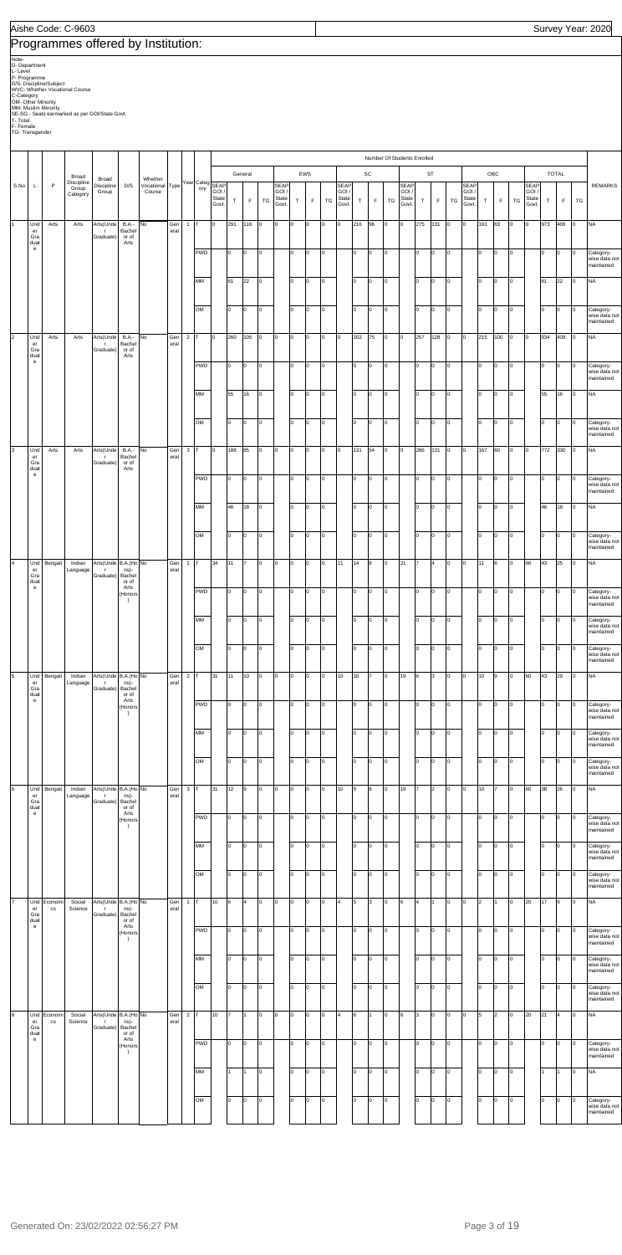## Programmes offered by Institution:

Note<br>D. Department<br>D. Some Scheme<br>D/S- Discipline/Subject<br>D/S- Discipline/Subject<br>WVC- Whether Viocational Course<br>OM- Other Minority<br>SE-SG - Seats earmarked as per GOI/State Govt.<br>T- Total<br>T-S- Transgender

| EWS<br>SC<br>ST<br>OBC<br><b>TOTAL</b><br>General<br>Broad<br>Broad<br>Whether<br>Discipline<br>Year Categ<br>S.No<br>P<br>Discipline<br>D/S<br>Vocational Type<br><b>SEAP</b><br><b>REMARKS</b><br><b>SEAP</b><br><b>SEAP</b><br><b>SEAP</b><br><b>SEAP</b><br>SEAP<br>L<br>Group<br>ory<br>Group<br>Course<br>GOI/<br>GOI<br>GOI<br>GOI /<br>GOI /<br>GOI /<br>Category<br>State<br>State<br>State<br>State<br>State<br>State<br>$\mathsf F$<br>$\top$<br>F<br>TG<br>$\mathsf F$<br>TG<br>$\mathsf T$<br>TG<br>$\top$<br>F<br>${\tt TG}$<br>$\mathsf F$<br>TG<br>$\mathsf{T}$<br>T<br>$\mathsf F$<br>TG<br>$\top$<br>Govt.<br>Govt.<br>Govt.<br>Govt.<br>Govt.<br>Govt.<br>Und<br>Arts<br>Arts<br>Arts(Unde<br><b>B.A.-</b><br>No<br>Gen<br>$\mathbf{1}$<br>291<br>116<br>lo.<br>Iо<br>lо<br>216<br>96<br>275<br>131<br>$\overline{0}$<br>Iо<br>191<br>63<br>Iо<br>973<br>406<br><b>NA</b><br>$\mathbf{1}$<br>T<br>l0<br>l0<br>l0<br>Iо<br>O<br>lo.<br>O<br>In.<br>Bachel<br>eral<br>er<br>$\mathsf{r}$<br>Gra<br>Graduate)<br>or of<br>duat<br>Arts<br>$\mathbf{e}$<br>PWD<br>lo.<br>o<br>I٥<br>lo.<br>Iо<br>lо<br>Iо<br>o<br>O<br>lo<br>I٥<br>lo.<br>O<br>O<br>l0<br>O<br>O<br>$\overline{0}$<br>Category-<br>wise data not<br>maintained<br>MM<br>61<br>22<br>I٥<br>Iо<br>I٥<br>lo.<br>Iо<br>lо<br>$\mathsf{I}^{\mathsf{o}}$<br>lo.<br>61<br>22<br><b>NA</b><br>O<br>l0<br>O<br>l0<br>O<br>Iо<br>I٥<br>lo.<br>OM<br>lo<br>o<br>O<br>Iо<br>I٥<br>O<br>Iо<br>lо<br>O<br>O<br>I٥<br>lo.<br>O<br>lo.<br>O<br>$\circ$<br>Category-<br>wise data not<br>maintained<br>$\overline{2}$<br>Und<br>Arts<br>Arts(Unde<br><b>B.A.-</b><br>No<br>Gen<br>$\overline{2}$<br>260<br>105<br>lo.<br>lо<br>O<br>Iо<br>202<br>75<br>257<br>128<br>$\overline{0}$<br>Iо<br>215<br>100<br>$\overline{0}$<br>934<br>408<br><b>NA</b><br>Arts<br>l0<br>Iо<br>Iо<br>O<br>Iо<br>O<br>Bachel<br>eral<br>er<br>$\mathsf{r}$<br>Gra<br>Graduate)<br>or of<br>duat<br>Arts<br>$\mathbf{e}% _{t}\left( t\right)$<br><b>PWD</b><br>o<br>I٥<br>O<br>Iо<br>lo.<br>Iо<br>o<br>O<br>lo.<br>lо<br>Iо<br>lo.<br>O<br>O<br>l0<br>O<br>O<br>$\overline{0}$<br>Category-<br>wise data not<br>maintained<br>MM<br>55<br>16<br>I٥<br>Iо<br>I٥<br>Iо<br>lо<br>O<br>lo.<br>55<br>16<br><b>NA</b><br>O<br>l0<br>O<br>O<br>l0<br>O<br>l0<br>I٥<br>lo.<br>OM<br>lo<br>o<br>lo.<br>Iо<br>I٥<br>O<br>Iо<br>Iо<br>O<br>lo.<br>l0<br>O<br>l0<br>O<br>O<br>$\overline{0}$<br>Category-<br>wise data not<br>maintained<br>3<br>Und<br>Arts<br>Arts<br>Arts(Unde<br><b>B.A.-</b><br>No<br>Gen<br>3<br>188<br>85<br>l0<br>131<br>54<br>286<br>131<br>$\overline{0}$<br>Iо<br>167<br>60<br>772<br>330<br><b>NA</b><br>l0<br>O<br>Iо<br>O<br>l0<br>Iо<br>O<br>Iо<br>lо<br>lo<br>Bachel<br>eral<br>er<br>$\mathsf{r}$<br>Gra<br>Graduate)<br>or of<br>duat<br>Arts<br>$\mathbf{e}% _{t}\left( t\right)$<br><b>PWD</b><br>o<br>I٥<br>lo.<br>Iо<br>lо<br>Iо<br>o<br>O<br>lo<br>I٥<br>I٥<br>lo.<br>O<br>O<br>lo.<br>O<br>O<br>$\circ$<br>Category-<br>wise data not<br>maintained<br>MM<br>46<br>18<br>I٥<br>lo.<br>Iо<br>I٥<br>lo.<br>Iо<br>Iо<br>$\mathsf{I}^{\mathsf{o}}$<br>I٥<br>46<br>18<br><b>NA</b><br>O<br>O<br>l0<br>O<br>0<br>OM<br>I٥<br>lo.<br>lo<br>lo.<br>o<br>lo.<br>Iо<br>I٥<br>lо<br>Iо<br>Iо<br>$\mathsf{I}^{\mathsf{o}}$<br>Iо<br>O<br>lo.<br>Category-<br>O<br>O<br>Iо<br>wise data not<br>maintained<br>$\overline{4}$<br>Und<br>Bengali<br>Indian<br>Arts(Unde B.A.(Ho No<br>Gen<br>34<br>11<br>o<br>lо<br>lo.<br>Iо<br>11<br>14<br>8<br>21<br>l7<br>4<br>O<br>Iо<br>11<br>66<br>43<br>25<br><b>NA</b><br>$\mathbf{1}$<br>$\overline{7}$<br>Iо<br>O<br>6<br>O<br>O<br>Language<br>eral<br>er<br>ns)-<br>$\Gamma$<br>Gra<br>Graduate)<br>Bachel<br>duat<br>or of<br>$\mathbf{e}$<br>Arts<br><b>PWD</b><br>o<br>I٥<br>O<br>Iо<br>Iо<br>Iо<br>o<br>O<br>lo.<br>I٥<br>I٥<br>l0<br>O<br>O<br>l0<br>O<br>O<br>$\overline{0}$<br>Category-<br>(Honors<br>wise data not<br>$\rightarrow$<br>maintained<br>MM<br>lо<br>lo.<br>O<br>lо<br>o<br>l0<br>0<br>O<br>lо<br>lo.<br>10<br>O<br>lo.<br>O<br>$\vert$ 0<br>Category-<br>wise data not<br>maintained<br>OM<br>I٥<br>lо<br>lo.<br>Iо<br>o<br>lo.<br>Iо<br>I٥<br>o<br>o<br>O<br>O<br>lо<br>l0<br>O<br>l0<br>O<br>$\overline{0}$<br>Category-<br>wise data not<br>maintained<br>5<br>Indian<br>Arts(Unde B.A.(Ho No<br>Gen<br>$\overline{2}$<br>31<br>11<br>10<br>10<br>16<br>19<br>6<br>O<br>Iо<br>10<br>60<br>43<br>29<br>Iо<br><b>NA</b><br>Und<br>Bengali<br>O<br>Iо<br>O<br>O<br>l0<br>O<br>3<br>O<br>9<br>eral<br>Language<br>ns)-<br>er<br>$\mathsf{r}$<br>Graduate) Bachel<br>Gra<br>duat<br>or of<br>Arts<br>$\mathbf{e}% _{t}\left( t\right)$<br>PWD<br>I٥<br>lo.<br>lо<br>o<br>O<br>I٥<br>lo.<br>O<br>l0<br>l0<br>lo<br>O<br>lo.<br>lo.<br>O<br>lо<br>$\overline{0}$<br>Category-<br>wise data not<br>0<br>(Honors<br>$\rightarrow$<br>maintained<br>MM<br>Iо<br>I٥<br>l0<br>I٥<br>Iо<br>o<br>O<br>lo.<br>I٥<br>$\Omega$<br>O<br>l0<br>$\Omega$<br>O<br>lo.<br>O<br>O<br>l0<br>Category-<br>wise data not<br>maintained<br>OM<br>I٥<br>lо<br>lo.<br>lo<br>o<br>lo.<br>l0<br>I٥<br>O<br>lo.<br>O<br>I٥<br>lo.<br>O<br>lo.<br>l0<br>O<br>l0<br>Category-<br>wise data not<br>maintained<br>6<br>Und<br>Bengali<br>Indian<br>Arts(Unde B.A.(Ho No<br>Gen<br>$\mathbf{3}$<br>31<br>12<br>lо<br>10<br>9<br>19<br>2<br>$\mathsf{I}^{\mathsf{o}}$<br>Iо<br>10<br>60<br>38<br>26<br>lo.<br><b>NA</b><br>9<br>O<br>Iо<br>l0<br>l0<br>8<br>O<br>17<br>I٥<br>Language<br>eral<br>er<br>ns)-<br>$\Gamma$<br>Gra<br>Graduate)<br>Bachel<br>or of<br>duat<br>Arts<br>$\mathbf{e}$<br>PWD<br>lo.<br>o<br>I٥<br>lo.<br>Iо<br>Iо<br>lо<br>o<br>O<br>lo<br>I٥<br>l0<br>O<br>O<br>lo.<br>O<br>O<br>$\overline{0}$<br>Category-<br>(Honors<br>wise data not<br>$\rightarrow$<br>maintained<br>MM<br>Iо<br>o<br>I٥<br>Iо<br>I٥<br>lo<br>Iо<br>Iо<br>O<br>lo.<br>I٥<br>lo.<br>l0<br>O<br>lo.<br>O<br>O<br>I٥<br>Category-<br>wise data not<br>maintained<br>OM<br>I٥<br>lо<br>lo<br>lo<br>lo.<br>o<br>lo.<br>Iо<br>I٥<br>O<br>o<br>O<br>I٥<br>O<br>l0<br>l0<br>O<br>O<br>Category-<br>wise data not<br>maintained<br>Und<br>Social<br>Arts(Unde B.A.(Ho No<br>Gen<br>10<br>5<br>3<br>4<br>O<br>$\overline{2}$<br>20<br>17<br><b>NA</b><br>Econom<br>$\mathbf{1}$<br>6<br>4<br>O<br>0<br>O<br>l0<br>Iо<br>4<br>O<br>6<br>lо<br>O<br>9<br>Iо<br>11<br>er<br>Science<br>eral<br>$\mathtt{CS}$<br>ns)-<br>$\Gamma$<br>Gra<br>Graduate)<br>Bachel<br>or of<br>duat<br>Arts<br>$\mathbf{e}$<br>PWD<br>o<br>I٥<br>lo.<br>I٥<br>o<br>Iо<br>o<br>O<br>Iо<br>lo.<br>Iо<br>O<br>lo.<br>l0<br>O<br>lо<br>O<br>$\overline{0}$<br>Category-<br>(Honors<br>wise data not<br>$\rightarrow$<br>maintained<br>MM<br>Iо<br>I٥<br>lo.<br>l0<br>I٥<br>0<br>Iо<br>o<br>O<br>lo.<br>I٥<br>$\Omega$<br>O<br>O<br>lo.<br>O<br>O<br>l0<br>Category-<br>wise data not<br>maintained<br>I٥<br>lо<br>lo<br>OM<br>lо<br>o<br>lo.<br>l0<br>I٥<br>lo<br>o<br>O<br>I٥<br>lo.<br>O<br>lo<br>l0<br>O<br>O<br>Category-<br>wise data not<br>maintained<br>8<br>Und<br>Social<br>Arts(Unde B.A.(Ho No<br>Gen<br>$\overline{2}$<br>10<br>6<br>l3<br>O<br>20<br>21<br><b>NA</b><br>Econom<br>17<br>O<br>Iо<br>O<br>l0<br>l0<br>l4<br>O<br>6<br>O<br>lо<br>5<br>$\mathfrak{p}$<br>Iо<br>4<br>0<br>er<br>Science<br>eral<br>$_{\rm CS}$<br>ns)-<br>$\Gamma$<br>Graduate)<br>Gra<br>Bachel<br>or of<br>duat<br>Arts<br>$\mathbf{e}$<br>PWD<br>I٥<br>o<br>I٥<br>lo.<br>Iо<br>lо<br>o<br>Iо<br>o<br>O<br>lо<br>lo.<br>O<br>lo.<br>lo.<br>O<br>O<br>$\overline{0}$<br>Category-<br>(Honors<br>wise data not<br>$\rightarrow$<br>maintained<br>MM<br>o<br>Iо<br>l0<br>I٥<br>Iо<br>Iо<br>O<br>lo.<br><b>NA</b><br>l0<br>0<br>O<br>lo.<br>O<br>1<br>I٥<br>OM<br>I٥<br>I٥<br>lо<br>lо<br>lo.<br>O<br>lo.<br>lо<br>lo.<br>l0<br>Iо<br>O<br>O<br>l0<br>lo.<br>O<br>O<br>Iо<br>Category-<br>wise data not<br>maintained |  |  |  |  |  |  |  |  |  |  | Number Of Students Enrolled |  |  |  |  |  |  |  |
|---------------------------------------------------------------------------------------------------------------------------------------------------------------------------------------------------------------------------------------------------------------------------------------------------------------------------------------------------------------------------------------------------------------------------------------------------------------------------------------------------------------------------------------------------------------------------------------------------------------------------------------------------------------------------------------------------------------------------------------------------------------------------------------------------------------------------------------------------------------------------------------------------------------------------------------------------------------------------------------------------------------------------------------------------------------------------------------------------------------------------------------------------------------------------------------------------------------------------------------------------------------------------------------------------------------------------------------------------------------------------------------------------------------------------------------------------------------------------------------------------------------------------------------------------------------------------------------------------------------------------------------------------------------------------------------------------------------------------------------------------------------------------------------------------------------------------------------------------------------------------------------------------------------------------------------------------------------------------------------------------------------------------------------------------------------------------------------------------------------------------------------------------------------------------------------------------------------------------------------------------------------------------------------------------------------------------------------------------------------------------------------------------------------------------------------------------------------------------------------------------------------------------------------------------------------------------------------------------------------------------------------------------------------------------------------------------------------------------------------------------------------------------------------------------------------------------------------------------------------------------------------------------------------------------------------------------------------------------------------------------------------------------------------------------------------------------------------------------------------------------------------------------------------------------------------------------------------------------------------------------------------------------------------------------------------------------------------------------------------------------------------------------------------------------------------------------------------------------------------------------------------------------------------------------------------------------------------------------------------------------------------------------------------------------------------------------------------------------------------------------------------------------------------------------------------------------------------------------------------------------------------------------------------------------------------------------------------------------------------------------------------------------------------------------------------------------------------------------------------------------------------------------------------------------------------------------------------------------------------------------------------------------------------------------------------------------------------------------------------------------------------------------------------------------------------------------------------------------------------------------------------------------------------------------------------------------------------------------------------------------------------------------------------------------------------------------------------------------------------------------------------------------------------------------------------------------------------------------------------------------------------------------------------------------------------------------------------------------------------------------------------------------------------------------------------------------------------------------------------------------------------------------------------------------------------------------------------------------------------------------------------------------------------------------------------------------------------------------------------------------------------------------------------------------------------------------------------------------------------------------------------------------------------------------------------------------------------------------------------------------------------------------------------------------------------------------------------------------------------------------------------------------------------------------------------------------------------------------------------------------------------------------------------------------------------------------------------------------------------------------------------------------------------------------------------------------------------------------------------------------------------------------------------------------------------------------------------------------------------------------------------------------------------------------------------------------------------------------------------------------------------------------------------------------------------------------------------------------------------------------------------------------------------------------------------------------------------------------------------------------------------------------------------------------------------------------------------------------------------------------------------------------------------------------------------------------------------------------------------------------------------------------------------------------------------------------------------------------------------------------------------------------------------------------------------------------------------------------------------------------------------------------------------------------------------------------------------------------------------------------------------------------------------------------------------------------------------------------------------------------------------------------------------------------------------------------------------------------------------------------------------------------------------------------------------------------------------------------------------------------------------------------------------------------------------------------------------------------------------------------------------------------------------------------------------------------------------------------------------|--|--|--|--|--|--|--|--|--|--|-----------------------------|--|--|--|--|--|--|--|
|                                                                                                                                                                                                                                                                                                                                                                                                                                                                                                                                                                                                                                                                                                                                                                                                                                                                                                                                                                                                                                                                                                                                                                                                                                                                                                                                                                                                                                                                                                                                                                                                                                                                                                                                                                                                                                                                                                                                                                                                                                                                                                                                                                                                                                                                                                                                                                                                                                                                                                                                                                                                                                                                                                                                                                                                                                                                                                                                                                                                                                                                                                                                                                                                                                                                                                                                                                                                                                                                                                                                                                                                                                                                                                                                                                                                                                                                                                                                                                                                                                                                                                                                                                                                                                                                                                                                                                                                                                                                                                                                                                                                                                                                                                                                                                                                                                                                                                                                                                                                                                                                                                                                                                                                                                                                                                                                                                                                                                                                                                                                                                                                                                                                                                                                                                                                                                                                                                                                                                                                                                                                                                                                                                                                                                                                                                                                                                                                                                                                                                                                                                                                                                                                                                                                                                                                                                                                                                                                                                                                                                                                                                                                                                                                                                                                                                                                                                                                                                                                                                                                                                                                                                                                                                                                                                                                                                                               |  |  |  |  |  |  |  |  |  |  |                             |  |  |  |  |  |  |  |
|                                                                                                                                                                                                                                                                                                                                                                                                                                                                                                                                                                                                                                                                                                                                                                                                                                                                                                                                                                                                                                                                                                                                                                                                                                                                                                                                                                                                                                                                                                                                                                                                                                                                                                                                                                                                                                                                                                                                                                                                                                                                                                                                                                                                                                                                                                                                                                                                                                                                                                                                                                                                                                                                                                                                                                                                                                                                                                                                                                                                                                                                                                                                                                                                                                                                                                                                                                                                                                                                                                                                                                                                                                                                                                                                                                                                                                                                                                                                                                                                                                                                                                                                                                                                                                                                                                                                                                                                                                                                                                                                                                                                                                                                                                                                                                                                                                                                                                                                                                                                                                                                                                                                                                                                                                                                                                                                                                                                                                                                                                                                                                                                                                                                                                                                                                                                                                                                                                                                                                                                                                                                                                                                                                                                                                                                                                                                                                                                                                                                                                                                                                                                                                                                                                                                                                                                                                                                                                                                                                                                                                                                                                                                                                                                                                                                                                                                                                                                                                                                                                                                                                                                                                                                                                                                                                                                                                                               |  |  |  |  |  |  |  |  |  |  |                             |  |  |  |  |  |  |  |
|                                                                                                                                                                                                                                                                                                                                                                                                                                                                                                                                                                                                                                                                                                                                                                                                                                                                                                                                                                                                                                                                                                                                                                                                                                                                                                                                                                                                                                                                                                                                                                                                                                                                                                                                                                                                                                                                                                                                                                                                                                                                                                                                                                                                                                                                                                                                                                                                                                                                                                                                                                                                                                                                                                                                                                                                                                                                                                                                                                                                                                                                                                                                                                                                                                                                                                                                                                                                                                                                                                                                                                                                                                                                                                                                                                                                                                                                                                                                                                                                                                                                                                                                                                                                                                                                                                                                                                                                                                                                                                                                                                                                                                                                                                                                                                                                                                                                                                                                                                                                                                                                                                                                                                                                                                                                                                                                                                                                                                                                                                                                                                                                                                                                                                                                                                                                                                                                                                                                                                                                                                                                                                                                                                                                                                                                                                                                                                                                                                                                                                                                                                                                                                                                                                                                                                                                                                                                                                                                                                                                                                                                                                                                                                                                                                                                                                                                                                                                                                                                                                                                                                                                                                                                                                                                                                                                                                                               |  |  |  |  |  |  |  |  |  |  |                             |  |  |  |  |  |  |  |
|                                                                                                                                                                                                                                                                                                                                                                                                                                                                                                                                                                                                                                                                                                                                                                                                                                                                                                                                                                                                                                                                                                                                                                                                                                                                                                                                                                                                                                                                                                                                                                                                                                                                                                                                                                                                                                                                                                                                                                                                                                                                                                                                                                                                                                                                                                                                                                                                                                                                                                                                                                                                                                                                                                                                                                                                                                                                                                                                                                                                                                                                                                                                                                                                                                                                                                                                                                                                                                                                                                                                                                                                                                                                                                                                                                                                                                                                                                                                                                                                                                                                                                                                                                                                                                                                                                                                                                                                                                                                                                                                                                                                                                                                                                                                                                                                                                                                                                                                                                                                                                                                                                                                                                                                                                                                                                                                                                                                                                                                                                                                                                                                                                                                                                                                                                                                                                                                                                                                                                                                                                                                                                                                                                                                                                                                                                                                                                                                                                                                                                                                                                                                                                                                                                                                                                                                                                                                                                                                                                                                                                                                                                                                                                                                                                                                                                                                                                                                                                                                                                                                                                                                                                                                                                                                                                                                                                                               |  |  |  |  |  |  |  |  |  |  |                             |  |  |  |  |  |  |  |
|                                                                                                                                                                                                                                                                                                                                                                                                                                                                                                                                                                                                                                                                                                                                                                                                                                                                                                                                                                                                                                                                                                                                                                                                                                                                                                                                                                                                                                                                                                                                                                                                                                                                                                                                                                                                                                                                                                                                                                                                                                                                                                                                                                                                                                                                                                                                                                                                                                                                                                                                                                                                                                                                                                                                                                                                                                                                                                                                                                                                                                                                                                                                                                                                                                                                                                                                                                                                                                                                                                                                                                                                                                                                                                                                                                                                                                                                                                                                                                                                                                                                                                                                                                                                                                                                                                                                                                                                                                                                                                                                                                                                                                                                                                                                                                                                                                                                                                                                                                                                                                                                                                                                                                                                                                                                                                                                                                                                                                                                                                                                                                                                                                                                                                                                                                                                                                                                                                                                                                                                                                                                                                                                                                                                                                                                                                                                                                                                                                                                                                                                                                                                                                                                                                                                                                                                                                                                                                                                                                                                                                                                                                                                                                                                                                                                                                                                                                                                                                                                                                                                                                                                                                                                                                                                                                                                                                                               |  |  |  |  |  |  |  |  |  |  |                             |  |  |  |  |  |  |  |
|                                                                                                                                                                                                                                                                                                                                                                                                                                                                                                                                                                                                                                                                                                                                                                                                                                                                                                                                                                                                                                                                                                                                                                                                                                                                                                                                                                                                                                                                                                                                                                                                                                                                                                                                                                                                                                                                                                                                                                                                                                                                                                                                                                                                                                                                                                                                                                                                                                                                                                                                                                                                                                                                                                                                                                                                                                                                                                                                                                                                                                                                                                                                                                                                                                                                                                                                                                                                                                                                                                                                                                                                                                                                                                                                                                                                                                                                                                                                                                                                                                                                                                                                                                                                                                                                                                                                                                                                                                                                                                                                                                                                                                                                                                                                                                                                                                                                                                                                                                                                                                                                                                                                                                                                                                                                                                                                                                                                                                                                                                                                                                                                                                                                                                                                                                                                                                                                                                                                                                                                                                                                                                                                                                                                                                                                                                                                                                                                                                                                                                                                                                                                                                                                                                                                                                                                                                                                                                                                                                                                                                                                                                                                                                                                                                                                                                                                                                                                                                                                                                                                                                                                                                                                                                                                                                                                                                                               |  |  |  |  |  |  |  |  |  |  |                             |  |  |  |  |  |  |  |
|                                                                                                                                                                                                                                                                                                                                                                                                                                                                                                                                                                                                                                                                                                                                                                                                                                                                                                                                                                                                                                                                                                                                                                                                                                                                                                                                                                                                                                                                                                                                                                                                                                                                                                                                                                                                                                                                                                                                                                                                                                                                                                                                                                                                                                                                                                                                                                                                                                                                                                                                                                                                                                                                                                                                                                                                                                                                                                                                                                                                                                                                                                                                                                                                                                                                                                                                                                                                                                                                                                                                                                                                                                                                                                                                                                                                                                                                                                                                                                                                                                                                                                                                                                                                                                                                                                                                                                                                                                                                                                                                                                                                                                                                                                                                                                                                                                                                                                                                                                                                                                                                                                                                                                                                                                                                                                                                                                                                                                                                                                                                                                                                                                                                                                                                                                                                                                                                                                                                                                                                                                                                                                                                                                                                                                                                                                                                                                                                                                                                                                                                                                                                                                                                                                                                                                                                                                                                                                                                                                                                                                                                                                                                                                                                                                                                                                                                                                                                                                                                                                                                                                                                                                                                                                                                                                                                                                                               |  |  |  |  |  |  |  |  |  |  |                             |  |  |  |  |  |  |  |
|                                                                                                                                                                                                                                                                                                                                                                                                                                                                                                                                                                                                                                                                                                                                                                                                                                                                                                                                                                                                                                                                                                                                                                                                                                                                                                                                                                                                                                                                                                                                                                                                                                                                                                                                                                                                                                                                                                                                                                                                                                                                                                                                                                                                                                                                                                                                                                                                                                                                                                                                                                                                                                                                                                                                                                                                                                                                                                                                                                                                                                                                                                                                                                                                                                                                                                                                                                                                                                                                                                                                                                                                                                                                                                                                                                                                                                                                                                                                                                                                                                                                                                                                                                                                                                                                                                                                                                                                                                                                                                                                                                                                                                                                                                                                                                                                                                                                                                                                                                                                                                                                                                                                                                                                                                                                                                                                                                                                                                                                                                                                                                                                                                                                                                                                                                                                                                                                                                                                                                                                                                                                                                                                                                                                                                                                                                                                                                                                                                                                                                                                                                                                                                                                                                                                                                                                                                                                                                                                                                                                                                                                                                                                                                                                                                                                                                                                                                                                                                                                                                                                                                                                                                                                                                                                                                                                                                                               |  |  |  |  |  |  |  |  |  |  |                             |  |  |  |  |  |  |  |
|                                                                                                                                                                                                                                                                                                                                                                                                                                                                                                                                                                                                                                                                                                                                                                                                                                                                                                                                                                                                                                                                                                                                                                                                                                                                                                                                                                                                                                                                                                                                                                                                                                                                                                                                                                                                                                                                                                                                                                                                                                                                                                                                                                                                                                                                                                                                                                                                                                                                                                                                                                                                                                                                                                                                                                                                                                                                                                                                                                                                                                                                                                                                                                                                                                                                                                                                                                                                                                                                                                                                                                                                                                                                                                                                                                                                                                                                                                                                                                                                                                                                                                                                                                                                                                                                                                                                                                                                                                                                                                                                                                                                                                                                                                                                                                                                                                                                                                                                                                                                                                                                                                                                                                                                                                                                                                                                                                                                                                                                                                                                                                                                                                                                                                                                                                                                                                                                                                                                                                                                                                                                                                                                                                                                                                                                                                                                                                                                                                                                                                                                                                                                                                                                                                                                                                                                                                                                                                                                                                                                                                                                                                                                                                                                                                                                                                                                                                                                                                                                                                                                                                                                                                                                                                                                                                                                                                                               |  |  |  |  |  |  |  |  |  |  |                             |  |  |  |  |  |  |  |
|                                                                                                                                                                                                                                                                                                                                                                                                                                                                                                                                                                                                                                                                                                                                                                                                                                                                                                                                                                                                                                                                                                                                                                                                                                                                                                                                                                                                                                                                                                                                                                                                                                                                                                                                                                                                                                                                                                                                                                                                                                                                                                                                                                                                                                                                                                                                                                                                                                                                                                                                                                                                                                                                                                                                                                                                                                                                                                                                                                                                                                                                                                                                                                                                                                                                                                                                                                                                                                                                                                                                                                                                                                                                                                                                                                                                                                                                                                                                                                                                                                                                                                                                                                                                                                                                                                                                                                                                                                                                                                                                                                                                                                                                                                                                                                                                                                                                                                                                                                                                                                                                                                                                                                                                                                                                                                                                                                                                                                                                                                                                                                                                                                                                                                                                                                                                                                                                                                                                                                                                                                                                                                                                                                                                                                                                                                                                                                                                                                                                                                                                                                                                                                                                                                                                                                                                                                                                                                                                                                                                                                                                                                                                                                                                                                                                                                                                                                                                                                                                                                                                                                                                                                                                                                                                                                                                                                                               |  |  |  |  |  |  |  |  |  |  |                             |  |  |  |  |  |  |  |
|                                                                                                                                                                                                                                                                                                                                                                                                                                                                                                                                                                                                                                                                                                                                                                                                                                                                                                                                                                                                                                                                                                                                                                                                                                                                                                                                                                                                                                                                                                                                                                                                                                                                                                                                                                                                                                                                                                                                                                                                                                                                                                                                                                                                                                                                                                                                                                                                                                                                                                                                                                                                                                                                                                                                                                                                                                                                                                                                                                                                                                                                                                                                                                                                                                                                                                                                                                                                                                                                                                                                                                                                                                                                                                                                                                                                                                                                                                                                                                                                                                                                                                                                                                                                                                                                                                                                                                                                                                                                                                                                                                                                                                                                                                                                                                                                                                                                                                                                                                                                                                                                                                                                                                                                                                                                                                                                                                                                                                                                                                                                                                                                                                                                                                                                                                                                                                                                                                                                                                                                                                                                                                                                                                                                                                                                                                                                                                                                                                                                                                                                                                                                                                                                                                                                                                                                                                                                                                                                                                                                                                                                                                                                                                                                                                                                                                                                                                                                                                                                                                                                                                                                                                                                                                                                                                                                                                                               |  |  |  |  |  |  |  |  |  |  |                             |  |  |  |  |  |  |  |
|                                                                                                                                                                                                                                                                                                                                                                                                                                                                                                                                                                                                                                                                                                                                                                                                                                                                                                                                                                                                                                                                                                                                                                                                                                                                                                                                                                                                                                                                                                                                                                                                                                                                                                                                                                                                                                                                                                                                                                                                                                                                                                                                                                                                                                                                                                                                                                                                                                                                                                                                                                                                                                                                                                                                                                                                                                                                                                                                                                                                                                                                                                                                                                                                                                                                                                                                                                                                                                                                                                                                                                                                                                                                                                                                                                                                                                                                                                                                                                                                                                                                                                                                                                                                                                                                                                                                                                                                                                                                                                                                                                                                                                                                                                                                                                                                                                                                                                                                                                                                                                                                                                                                                                                                                                                                                                                                                                                                                                                                                                                                                                                                                                                                                                                                                                                                                                                                                                                                                                                                                                                                                                                                                                                                                                                                                                                                                                                                                                                                                                                                                                                                                                                                                                                                                                                                                                                                                                                                                                                                                                                                                                                                                                                                                                                                                                                                                                                                                                                                                                                                                                                                                                                                                                                                                                                                                                                               |  |  |  |  |  |  |  |  |  |  |                             |  |  |  |  |  |  |  |
|                                                                                                                                                                                                                                                                                                                                                                                                                                                                                                                                                                                                                                                                                                                                                                                                                                                                                                                                                                                                                                                                                                                                                                                                                                                                                                                                                                                                                                                                                                                                                                                                                                                                                                                                                                                                                                                                                                                                                                                                                                                                                                                                                                                                                                                                                                                                                                                                                                                                                                                                                                                                                                                                                                                                                                                                                                                                                                                                                                                                                                                                                                                                                                                                                                                                                                                                                                                                                                                                                                                                                                                                                                                                                                                                                                                                                                                                                                                                                                                                                                                                                                                                                                                                                                                                                                                                                                                                                                                                                                                                                                                                                                                                                                                                                                                                                                                                                                                                                                                                                                                                                                                                                                                                                                                                                                                                                                                                                                                                                                                                                                                                                                                                                                                                                                                                                                                                                                                                                                                                                                                                                                                                                                                                                                                                                                                                                                                                                                                                                                                                                                                                                                                                                                                                                                                                                                                                                                                                                                                                                                                                                                                                                                                                                                                                                                                                                                                                                                                                                                                                                                                                                                                                                                                                                                                                                                                               |  |  |  |  |  |  |  |  |  |  |                             |  |  |  |  |  |  |  |
|                                                                                                                                                                                                                                                                                                                                                                                                                                                                                                                                                                                                                                                                                                                                                                                                                                                                                                                                                                                                                                                                                                                                                                                                                                                                                                                                                                                                                                                                                                                                                                                                                                                                                                                                                                                                                                                                                                                                                                                                                                                                                                                                                                                                                                                                                                                                                                                                                                                                                                                                                                                                                                                                                                                                                                                                                                                                                                                                                                                                                                                                                                                                                                                                                                                                                                                                                                                                                                                                                                                                                                                                                                                                                                                                                                                                                                                                                                                                                                                                                                                                                                                                                                                                                                                                                                                                                                                                                                                                                                                                                                                                                                                                                                                                                                                                                                                                                                                                                                                                                                                                                                                                                                                                                                                                                                                                                                                                                                                                                                                                                                                                                                                                                                                                                                                                                                                                                                                                                                                                                                                                                                                                                                                                                                                                                                                                                                                                                                                                                                                                                                                                                                                                                                                                                                                                                                                                                                                                                                                                                                                                                                                                                                                                                                                                                                                                                                                                                                                                                                                                                                                                                                                                                                                                                                                                                                                               |  |  |  |  |  |  |  |  |  |  |                             |  |  |  |  |  |  |  |
|                                                                                                                                                                                                                                                                                                                                                                                                                                                                                                                                                                                                                                                                                                                                                                                                                                                                                                                                                                                                                                                                                                                                                                                                                                                                                                                                                                                                                                                                                                                                                                                                                                                                                                                                                                                                                                                                                                                                                                                                                                                                                                                                                                                                                                                                                                                                                                                                                                                                                                                                                                                                                                                                                                                                                                                                                                                                                                                                                                                                                                                                                                                                                                                                                                                                                                                                                                                                                                                                                                                                                                                                                                                                                                                                                                                                                                                                                                                                                                                                                                                                                                                                                                                                                                                                                                                                                                                                                                                                                                                                                                                                                                                                                                                                                                                                                                                                                                                                                                                                                                                                                                                                                                                                                                                                                                                                                                                                                                                                                                                                                                                                                                                                                                                                                                                                                                                                                                                                                                                                                                                                                                                                                                                                                                                                                                                                                                                                                                                                                                                                                                                                                                                                                                                                                                                                                                                                                                                                                                                                                                                                                                                                                                                                                                                                                                                                                                                                                                                                                                                                                                                                                                                                                                                                                                                                                                                               |  |  |  |  |  |  |  |  |  |  |                             |  |  |  |  |  |  |  |
|                                                                                                                                                                                                                                                                                                                                                                                                                                                                                                                                                                                                                                                                                                                                                                                                                                                                                                                                                                                                                                                                                                                                                                                                                                                                                                                                                                                                                                                                                                                                                                                                                                                                                                                                                                                                                                                                                                                                                                                                                                                                                                                                                                                                                                                                                                                                                                                                                                                                                                                                                                                                                                                                                                                                                                                                                                                                                                                                                                                                                                                                                                                                                                                                                                                                                                                                                                                                                                                                                                                                                                                                                                                                                                                                                                                                                                                                                                                                                                                                                                                                                                                                                                                                                                                                                                                                                                                                                                                                                                                                                                                                                                                                                                                                                                                                                                                                                                                                                                                                                                                                                                                                                                                                                                                                                                                                                                                                                                                                                                                                                                                                                                                                                                                                                                                                                                                                                                                                                                                                                                                                                                                                                                                                                                                                                                                                                                                                                                                                                                                                                                                                                                                                                                                                                                                                                                                                                                                                                                                                                                                                                                                                                                                                                                                                                                                                                                                                                                                                                                                                                                                                                                                                                                                                                                                                                                                               |  |  |  |  |  |  |  |  |  |  |                             |  |  |  |  |  |  |  |
|                                                                                                                                                                                                                                                                                                                                                                                                                                                                                                                                                                                                                                                                                                                                                                                                                                                                                                                                                                                                                                                                                                                                                                                                                                                                                                                                                                                                                                                                                                                                                                                                                                                                                                                                                                                                                                                                                                                                                                                                                                                                                                                                                                                                                                                                                                                                                                                                                                                                                                                                                                                                                                                                                                                                                                                                                                                                                                                                                                                                                                                                                                                                                                                                                                                                                                                                                                                                                                                                                                                                                                                                                                                                                                                                                                                                                                                                                                                                                                                                                                                                                                                                                                                                                                                                                                                                                                                                                                                                                                                                                                                                                                                                                                                                                                                                                                                                                                                                                                                                                                                                                                                                                                                                                                                                                                                                                                                                                                                                                                                                                                                                                                                                                                                                                                                                                                                                                                                                                                                                                                                                                                                                                                                                                                                                                                                                                                                                                                                                                                                                                                                                                                                                                                                                                                                                                                                                                                                                                                                                                                                                                                                                                                                                                                                                                                                                                                                                                                                                                                                                                                                                                                                                                                                                                                                                                                                               |  |  |  |  |  |  |  |  |  |  |                             |  |  |  |  |  |  |  |
|                                                                                                                                                                                                                                                                                                                                                                                                                                                                                                                                                                                                                                                                                                                                                                                                                                                                                                                                                                                                                                                                                                                                                                                                                                                                                                                                                                                                                                                                                                                                                                                                                                                                                                                                                                                                                                                                                                                                                                                                                                                                                                                                                                                                                                                                                                                                                                                                                                                                                                                                                                                                                                                                                                                                                                                                                                                                                                                                                                                                                                                                                                                                                                                                                                                                                                                                                                                                                                                                                                                                                                                                                                                                                                                                                                                                                                                                                                                                                                                                                                                                                                                                                                                                                                                                                                                                                                                                                                                                                                                                                                                                                                                                                                                                                                                                                                                                                                                                                                                                                                                                                                                                                                                                                                                                                                                                                                                                                                                                                                                                                                                                                                                                                                                                                                                                                                                                                                                                                                                                                                                                                                                                                                                                                                                                                                                                                                                                                                                                                                                                                                                                                                                                                                                                                                                                                                                                                                                                                                                                                                                                                                                                                                                                                                                                                                                                                                                                                                                                                                                                                                                                                                                                                                                                                                                                                                                               |  |  |  |  |  |  |  |  |  |  |                             |  |  |  |  |  |  |  |
|                                                                                                                                                                                                                                                                                                                                                                                                                                                                                                                                                                                                                                                                                                                                                                                                                                                                                                                                                                                                                                                                                                                                                                                                                                                                                                                                                                                                                                                                                                                                                                                                                                                                                                                                                                                                                                                                                                                                                                                                                                                                                                                                                                                                                                                                                                                                                                                                                                                                                                                                                                                                                                                                                                                                                                                                                                                                                                                                                                                                                                                                                                                                                                                                                                                                                                                                                                                                                                                                                                                                                                                                                                                                                                                                                                                                                                                                                                                                                                                                                                                                                                                                                                                                                                                                                                                                                                                                                                                                                                                                                                                                                                                                                                                                                                                                                                                                                                                                                                                                                                                                                                                                                                                                                                                                                                                                                                                                                                                                                                                                                                                                                                                                                                                                                                                                                                                                                                                                                                                                                                                                                                                                                                                                                                                                                                                                                                                                                                                                                                                                                                                                                                                                                                                                                                                                                                                                                                                                                                                                                                                                                                                                                                                                                                                                                                                                                                                                                                                                                                                                                                                                                                                                                                                                                                                                                                                               |  |  |  |  |  |  |  |  |  |  |                             |  |  |  |  |  |  |  |
|                                                                                                                                                                                                                                                                                                                                                                                                                                                                                                                                                                                                                                                                                                                                                                                                                                                                                                                                                                                                                                                                                                                                                                                                                                                                                                                                                                                                                                                                                                                                                                                                                                                                                                                                                                                                                                                                                                                                                                                                                                                                                                                                                                                                                                                                                                                                                                                                                                                                                                                                                                                                                                                                                                                                                                                                                                                                                                                                                                                                                                                                                                                                                                                                                                                                                                                                                                                                                                                                                                                                                                                                                                                                                                                                                                                                                                                                                                                                                                                                                                                                                                                                                                                                                                                                                                                                                                                                                                                                                                                                                                                                                                                                                                                                                                                                                                                                                                                                                                                                                                                                                                                                                                                                                                                                                                                                                                                                                                                                                                                                                                                                                                                                                                                                                                                                                                                                                                                                                                                                                                                                                                                                                                                                                                                                                                                                                                                                                                                                                                                                                                                                                                                                                                                                                                                                                                                                                                                                                                                                                                                                                                                                                                                                                                                                                                                                                                                                                                                                                                                                                                                                                                                                                                                                                                                                                                                               |  |  |  |  |  |  |  |  |  |  |                             |  |  |  |  |  |  |  |
|                                                                                                                                                                                                                                                                                                                                                                                                                                                                                                                                                                                                                                                                                                                                                                                                                                                                                                                                                                                                                                                                                                                                                                                                                                                                                                                                                                                                                                                                                                                                                                                                                                                                                                                                                                                                                                                                                                                                                                                                                                                                                                                                                                                                                                                                                                                                                                                                                                                                                                                                                                                                                                                                                                                                                                                                                                                                                                                                                                                                                                                                                                                                                                                                                                                                                                                                                                                                                                                                                                                                                                                                                                                                                                                                                                                                                                                                                                                                                                                                                                                                                                                                                                                                                                                                                                                                                                                                                                                                                                                                                                                                                                                                                                                                                                                                                                                                                                                                                                                                                                                                                                                                                                                                                                                                                                                                                                                                                                                                                                                                                                                                                                                                                                                                                                                                                                                                                                                                                                                                                                                                                                                                                                                                                                                                                                                                                                                                                                                                                                                                                                                                                                                                                                                                                                                                                                                                                                                                                                                                                                                                                                                                                                                                                                                                                                                                                                                                                                                                                                                                                                                                                                                                                                                                                                                                                                                               |  |  |  |  |  |  |  |  |  |  |                             |  |  |  |  |  |  |  |
|                                                                                                                                                                                                                                                                                                                                                                                                                                                                                                                                                                                                                                                                                                                                                                                                                                                                                                                                                                                                                                                                                                                                                                                                                                                                                                                                                                                                                                                                                                                                                                                                                                                                                                                                                                                                                                                                                                                                                                                                                                                                                                                                                                                                                                                                                                                                                                                                                                                                                                                                                                                                                                                                                                                                                                                                                                                                                                                                                                                                                                                                                                                                                                                                                                                                                                                                                                                                                                                                                                                                                                                                                                                                                                                                                                                                                                                                                                                                                                                                                                                                                                                                                                                                                                                                                                                                                                                                                                                                                                                                                                                                                                                                                                                                                                                                                                                                                                                                                                                                                                                                                                                                                                                                                                                                                                                                                                                                                                                                                                                                                                                                                                                                                                                                                                                                                                                                                                                                                                                                                                                                                                                                                                                                                                                                                                                                                                                                                                                                                                                                                                                                                                                                                                                                                                                                                                                                                                                                                                                                                                                                                                                                                                                                                                                                                                                                                                                                                                                                                                                                                                                                                                                                                                                                                                                                                                                               |  |  |  |  |  |  |  |  |  |  |                             |  |  |  |  |  |  |  |
|                                                                                                                                                                                                                                                                                                                                                                                                                                                                                                                                                                                                                                                                                                                                                                                                                                                                                                                                                                                                                                                                                                                                                                                                                                                                                                                                                                                                                                                                                                                                                                                                                                                                                                                                                                                                                                                                                                                                                                                                                                                                                                                                                                                                                                                                                                                                                                                                                                                                                                                                                                                                                                                                                                                                                                                                                                                                                                                                                                                                                                                                                                                                                                                                                                                                                                                                                                                                                                                                                                                                                                                                                                                                                                                                                                                                                                                                                                                                                                                                                                                                                                                                                                                                                                                                                                                                                                                                                                                                                                                                                                                                                                                                                                                                                                                                                                                                                                                                                                                                                                                                                                                                                                                                                                                                                                                                                                                                                                                                                                                                                                                                                                                                                                                                                                                                                                                                                                                                                                                                                                                                                                                                                                                                                                                                                                                                                                                                                                                                                                                                                                                                                                                                                                                                                                                                                                                                                                                                                                                                                                                                                                                                                                                                                                                                                                                                                                                                                                                                                                                                                                                                                                                                                                                                                                                                                                                               |  |  |  |  |  |  |  |  |  |  |                             |  |  |  |  |  |  |  |
|                                                                                                                                                                                                                                                                                                                                                                                                                                                                                                                                                                                                                                                                                                                                                                                                                                                                                                                                                                                                                                                                                                                                                                                                                                                                                                                                                                                                                                                                                                                                                                                                                                                                                                                                                                                                                                                                                                                                                                                                                                                                                                                                                                                                                                                                                                                                                                                                                                                                                                                                                                                                                                                                                                                                                                                                                                                                                                                                                                                                                                                                                                                                                                                                                                                                                                                                                                                                                                                                                                                                                                                                                                                                                                                                                                                                                                                                                                                                                                                                                                                                                                                                                                                                                                                                                                                                                                                                                                                                                                                                                                                                                                                                                                                                                                                                                                                                                                                                                                                                                                                                                                                                                                                                                                                                                                                                                                                                                                                                                                                                                                                                                                                                                                                                                                                                                                                                                                                                                                                                                                                                                                                                                                                                                                                                                                                                                                                                                                                                                                                                                                                                                                                                                                                                                                                                                                                                                                                                                                                                                                                                                                                                                                                                                                                                                                                                                                                                                                                                                                                                                                                                                                                                                                                                                                                                                                                               |  |  |  |  |  |  |  |  |  |  |                             |  |  |  |  |  |  |  |
|                                                                                                                                                                                                                                                                                                                                                                                                                                                                                                                                                                                                                                                                                                                                                                                                                                                                                                                                                                                                                                                                                                                                                                                                                                                                                                                                                                                                                                                                                                                                                                                                                                                                                                                                                                                                                                                                                                                                                                                                                                                                                                                                                                                                                                                                                                                                                                                                                                                                                                                                                                                                                                                                                                                                                                                                                                                                                                                                                                                                                                                                                                                                                                                                                                                                                                                                                                                                                                                                                                                                                                                                                                                                                                                                                                                                                                                                                                                                                                                                                                                                                                                                                                                                                                                                                                                                                                                                                                                                                                                                                                                                                                                                                                                                                                                                                                                                                                                                                                                                                                                                                                                                                                                                                                                                                                                                                                                                                                                                                                                                                                                                                                                                                                                                                                                                                                                                                                                                                                                                                                                                                                                                                                                                                                                                                                                                                                                                                                                                                                                                                                                                                                                                                                                                                                                                                                                                                                                                                                                                                                                                                                                                                                                                                                                                                                                                                                                                                                                                                                                                                                                                                                                                                                                                                                                                                                                               |  |  |  |  |  |  |  |  |  |  |                             |  |  |  |  |  |  |  |
|                                                                                                                                                                                                                                                                                                                                                                                                                                                                                                                                                                                                                                                                                                                                                                                                                                                                                                                                                                                                                                                                                                                                                                                                                                                                                                                                                                                                                                                                                                                                                                                                                                                                                                                                                                                                                                                                                                                                                                                                                                                                                                                                                                                                                                                                                                                                                                                                                                                                                                                                                                                                                                                                                                                                                                                                                                                                                                                                                                                                                                                                                                                                                                                                                                                                                                                                                                                                                                                                                                                                                                                                                                                                                                                                                                                                                                                                                                                                                                                                                                                                                                                                                                                                                                                                                                                                                                                                                                                                                                                                                                                                                                                                                                                                                                                                                                                                                                                                                                                                                                                                                                                                                                                                                                                                                                                                                                                                                                                                                                                                                                                                                                                                                                                                                                                                                                                                                                                                                                                                                                                                                                                                                                                                                                                                                                                                                                                                                                                                                                                                                                                                                                                                                                                                                                                                                                                                                                                                                                                                                                                                                                                                                                                                                                                                                                                                                                                                                                                                                                                                                                                                                                                                                                                                                                                                                                                               |  |  |  |  |  |  |  |  |  |  |                             |  |  |  |  |  |  |  |
|                                                                                                                                                                                                                                                                                                                                                                                                                                                                                                                                                                                                                                                                                                                                                                                                                                                                                                                                                                                                                                                                                                                                                                                                                                                                                                                                                                                                                                                                                                                                                                                                                                                                                                                                                                                                                                                                                                                                                                                                                                                                                                                                                                                                                                                                                                                                                                                                                                                                                                                                                                                                                                                                                                                                                                                                                                                                                                                                                                                                                                                                                                                                                                                                                                                                                                                                                                                                                                                                                                                                                                                                                                                                                                                                                                                                                                                                                                                                                                                                                                                                                                                                                                                                                                                                                                                                                                                                                                                                                                                                                                                                                                                                                                                                                                                                                                                                                                                                                                                                                                                                                                                                                                                                                                                                                                                                                                                                                                                                                                                                                                                                                                                                                                                                                                                                                                                                                                                                                                                                                                                                                                                                                                                                                                                                                                                                                                                                                                                                                                                                                                                                                                                                                                                                                                                                                                                                                                                                                                                                                                                                                                                                                                                                                                                                                                                                                                                                                                                                                                                                                                                                                                                                                                                                                                                                                                                               |  |  |  |  |  |  |  |  |  |  |                             |  |  |  |  |  |  |  |
|                                                                                                                                                                                                                                                                                                                                                                                                                                                                                                                                                                                                                                                                                                                                                                                                                                                                                                                                                                                                                                                                                                                                                                                                                                                                                                                                                                                                                                                                                                                                                                                                                                                                                                                                                                                                                                                                                                                                                                                                                                                                                                                                                                                                                                                                                                                                                                                                                                                                                                                                                                                                                                                                                                                                                                                                                                                                                                                                                                                                                                                                                                                                                                                                                                                                                                                                                                                                                                                                                                                                                                                                                                                                                                                                                                                                                                                                                                                                                                                                                                                                                                                                                                                                                                                                                                                                                                                                                                                                                                                                                                                                                                                                                                                                                                                                                                                                                                                                                                                                                                                                                                                                                                                                                                                                                                                                                                                                                                                                                                                                                                                                                                                                                                                                                                                                                                                                                                                                                                                                                                                                                                                                                                                                                                                                                                                                                                                                                                                                                                                                                                                                                                                                                                                                                                                                                                                                                                                                                                                                                                                                                                                                                                                                                                                                                                                                                                                                                                                                                                                                                                                                                                                                                                                                                                                                                                                               |  |  |  |  |  |  |  |  |  |  |                             |  |  |  |  |  |  |  |
|                                                                                                                                                                                                                                                                                                                                                                                                                                                                                                                                                                                                                                                                                                                                                                                                                                                                                                                                                                                                                                                                                                                                                                                                                                                                                                                                                                                                                                                                                                                                                                                                                                                                                                                                                                                                                                                                                                                                                                                                                                                                                                                                                                                                                                                                                                                                                                                                                                                                                                                                                                                                                                                                                                                                                                                                                                                                                                                                                                                                                                                                                                                                                                                                                                                                                                                                                                                                                                                                                                                                                                                                                                                                                                                                                                                                                                                                                                                                                                                                                                                                                                                                                                                                                                                                                                                                                                                                                                                                                                                                                                                                                                                                                                                                                                                                                                                                                                                                                                                                                                                                                                                                                                                                                                                                                                                                                                                                                                                                                                                                                                                                                                                                                                                                                                                                                                                                                                                                                                                                                                                                                                                                                                                                                                                                                                                                                                                                                                                                                                                                                                                                                                                                                                                                                                                                                                                                                                                                                                                                                                                                                                                                                                                                                                                                                                                                                                                                                                                                                                                                                                                                                                                                                                                                                                                                                                                               |  |  |  |  |  |  |  |  |  |  |                             |  |  |  |  |  |  |  |
|                                                                                                                                                                                                                                                                                                                                                                                                                                                                                                                                                                                                                                                                                                                                                                                                                                                                                                                                                                                                                                                                                                                                                                                                                                                                                                                                                                                                                                                                                                                                                                                                                                                                                                                                                                                                                                                                                                                                                                                                                                                                                                                                                                                                                                                                                                                                                                                                                                                                                                                                                                                                                                                                                                                                                                                                                                                                                                                                                                                                                                                                                                                                                                                                                                                                                                                                                                                                                                                                                                                                                                                                                                                                                                                                                                                                                                                                                                                                                                                                                                                                                                                                                                                                                                                                                                                                                                                                                                                                                                                                                                                                                                                                                                                                                                                                                                                                                                                                                                                                                                                                                                                                                                                                                                                                                                                                                                                                                                                                                                                                                                                                                                                                                                                                                                                                                                                                                                                                                                                                                                                                                                                                                                                                                                                                                                                                                                                                                                                                                                                                                                                                                                                                                                                                                                                                                                                                                                                                                                                                                                                                                                                                                                                                                                                                                                                                                                                                                                                                                                                                                                                                                                                                                                                                                                                                                                                               |  |  |  |  |  |  |  |  |  |  |                             |  |  |  |  |  |  |  |
|                                                                                                                                                                                                                                                                                                                                                                                                                                                                                                                                                                                                                                                                                                                                                                                                                                                                                                                                                                                                                                                                                                                                                                                                                                                                                                                                                                                                                                                                                                                                                                                                                                                                                                                                                                                                                                                                                                                                                                                                                                                                                                                                                                                                                                                                                                                                                                                                                                                                                                                                                                                                                                                                                                                                                                                                                                                                                                                                                                                                                                                                                                                                                                                                                                                                                                                                                                                                                                                                                                                                                                                                                                                                                                                                                                                                                                                                                                                                                                                                                                                                                                                                                                                                                                                                                                                                                                                                                                                                                                                                                                                                                                                                                                                                                                                                                                                                                                                                                                                                                                                                                                                                                                                                                                                                                                                                                                                                                                                                                                                                                                                                                                                                                                                                                                                                                                                                                                                                                                                                                                                                                                                                                                                                                                                                                                                                                                                                                                                                                                                                                                                                                                                                                                                                                                                                                                                                                                                                                                                                                                                                                                                                                                                                                                                                                                                                                                                                                                                                                                                                                                                                                                                                                                                                                                                                                                                               |  |  |  |  |  |  |  |  |  |  |                             |  |  |  |  |  |  |  |
|                                                                                                                                                                                                                                                                                                                                                                                                                                                                                                                                                                                                                                                                                                                                                                                                                                                                                                                                                                                                                                                                                                                                                                                                                                                                                                                                                                                                                                                                                                                                                                                                                                                                                                                                                                                                                                                                                                                                                                                                                                                                                                                                                                                                                                                                                                                                                                                                                                                                                                                                                                                                                                                                                                                                                                                                                                                                                                                                                                                                                                                                                                                                                                                                                                                                                                                                                                                                                                                                                                                                                                                                                                                                                                                                                                                                                                                                                                                                                                                                                                                                                                                                                                                                                                                                                                                                                                                                                                                                                                                                                                                                                                                                                                                                                                                                                                                                                                                                                                                                                                                                                                                                                                                                                                                                                                                                                                                                                                                                                                                                                                                                                                                                                                                                                                                                                                                                                                                                                                                                                                                                                                                                                                                                                                                                                                                                                                                                                                                                                                                                                                                                                                                                                                                                                                                                                                                                                                                                                                                                                                                                                                                                                                                                                                                                                                                                                                                                                                                                                                                                                                                                                                                                                                                                                                                                                                                               |  |  |  |  |  |  |  |  |  |  |                             |  |  |  |  |  |  |  |
|                                                                                                                                                                                                                                                                                                                                                                                                                                                                                                                                                                                                                                                                                                                                                                                                                                                                                                                                                                                                                                                                                                                                                                                                                                                                                                                                                                                                                                                                                                                                                                                                                                                                                                                                                                                                                                                                                                                                                                                                                                                                                                                                                                                                                                                                                                                                                                                                                                                                                                                                                                                                                                                                                                                                                                                                                                                                                                                                                                                                                                                                                                                                                                                                                                                                                                                                                                                                                                                                                                                                                                                                                                                                                                                                                                                                                                                                                                                                                                                                                                                                                                                                                                                                                                                                                                                                                                                                                                                                                                                                                                                                                                                                                                                                                                                                                                                                                                                                                                                                                                                                                                                                                                                                                                                                                                                                                                                                                                                                                                                                                                                                                                                                                                                                                                                                                                                                                                                                                                                                                                                                                                                                                                                                                                                                                                                                                                                                                                                                                                                                                                                                                                                                                                                                                                                                                                                                                                                                                                                                                                                                                                                                                                                                                                                                                                                                                                                                                                                                                                                                                                                                                                                                                                                                                                                                                                                               |  |  |  |  |  |  |  |  |  |  |                             |  |  |  |  |  |  |  |
|                                                                                                                                                                                                                                                                                                                                                                                                                                                                                                                                                                                                                                                                                                                                                                                                                                                                                                                                                                                                                                                                                                                                                                                                                                                                                                                                                                                                                                                                                                                                                                                                                                                                                                                                                                                                                                                                                                                                                                                                                                                                                                                                                                                                                                                                                                                                                                                                                                                                                                                                                                                                                                                                                                                                                                                                                                                                                                                                                                                                                                                                                                                                                                                                                                                                                                                                                                                                                                                                                                                                                                                                                                                                                                                                                                                                                                                                                                                                                                                                                                                                                                                                                                                                                                                                                                                                                                                                                                                                                                                                                                                                                                                                                                                                                                                                                                                                                                                                                                                                                                                                                                                                                                                                                                                                                                                                                                                                                                                                                                                                                                                                                                                                                                                                                                                                                                                                                                                                                                                                                                                                                                                                                                                                                                                                                                                                                                                                                                                                                                                                                                                                                                                                                                                                                                                                                                                                                                                                                                                                                                                                                                                                                                                                                                                                                                                                                                                                                                                                                                                                                                                                                                                                                                                                                                                                                                                               |  |  |  |  |  |  |  |  |  |  |                             |  |  |  |  |  |  |  |
|                                                                                                                                                                                                                                                                                                                                                                                                                                                                                                                                                                                                                                                                                                                                                                                                                                                                                                                                                                                                                                                                                                                                                                                                                                                                                                                                                                                                                                                                                                                                                                                                                                                                                                                                                                                                                                                                                                                                                                                                                                                                                                                                                                                                                                                                                                                                                                                                                                                                                                                                                                                                                                                                                                                                                                                                                                                                                                                                                                                                                                                                                                                                                                                                                                                                                                                                                                                                                                                                                                                                                                                                                                                                                                                                                                                                                                                                                                                                                                                                                                                                                                                                                                                                                                                                                                                                                                                                                                                                                                                                                                                                                                                                                                                                                                                                                                                                                                                                                                                                                                                                                                                                                                                                                                                                                                                                                                                                                                                                                                                                                                                                                                                                                                                                                                                                                                                                                                                                                                                                                                                                                                                                                                                                                                                                                                                                                                                                                                                                                                                                                                                                                                                                                                                                                                                                                                                                                                                                                                                                                                                                                                                                                                                                                                                                                                                                                                                                                                                                                                                                                                                                                                                                                                                                                                                                                                                               |  |  |  |  |  |  |  |  |  |  |                             |  |  |  |  |  |  |  |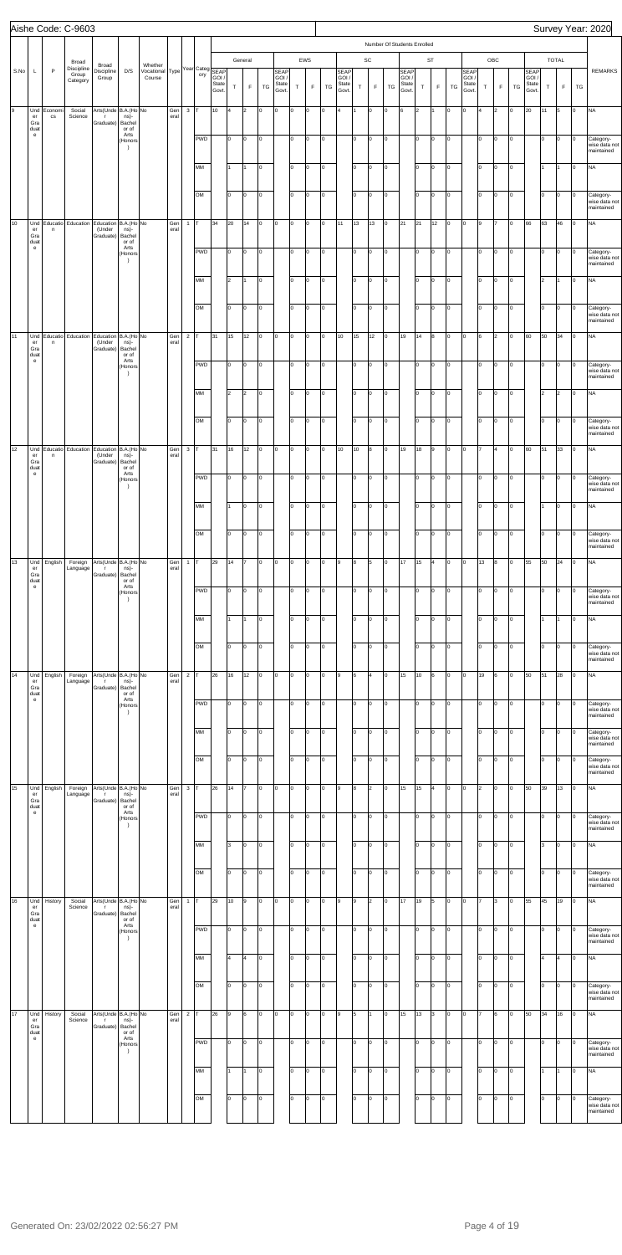|    |      |                                                                        |                        | Aishe Code: C-9603                               |                                                   |                                                             |                                                      |             |                |                  |                         |             |                           |                      |                                        |                   |                     |          |                                 |          |                              |                                           |                                       |                |                   |          |                                 |                      |                    |          |                                        |           |                      |                      | Survey Year: 2020                                      |
|----|------|------------------------------------------------------------------------|------------------------|--------------------------------------------------|---------------------------------------------------|-------------------------------------------------------------|------------------------------------------------------|-------------|----------------|------------------|-------------------------|-------------|---------------------------|----------------------|----------------------------------------|-------------------|---------------------|----------|---------------------------------|----------|------------------------------|-------------------------------------------|---------------------------------------|----------------|-------------------|----------|---------------------------------|----------------------|--------------------|----------|----------------------------------------|-----------|----------------------|----------------------|--------------------------------------------------------|
|    | S.No | L                                                                      | $\mathsf P$            | Broad<br>Discipline<br>Group<br>Category         | Broad<br>Discipline<br>Group                      | D/S                                                         | Whether<br>Vocational Type Year Categ SEAP<br>Course |             |                | ory              | GOI /<br>State<br>Govt. | $\mathsf T$ | General<br>$\mathsf F$    | TG                   | <b>SEAP</b><br>GOI /<br>State<br>Govt. | $\top$            | EWS<br>$\mathsf F$  | TG       | SEAP<br>GOI /<br>State<br>Govt. | $\top$   | $\mathsf{SC}$<br>$\mathsf F$ | Number Of Students Enrolled<br>${\tt TG}$ | <b>SEAP</b><br>GOI/<br>State<br>Govt. | $\top$         | ST<br>$\mathsf F$ | TG       | SEAP<br>GOI /<br>State<br>Govt. | $\top$               | OBC<br>$\mathsf F$ | TG       | <b>SEAP</b><br>GOI /<br>State<br>Govt. | $\top$    | TOTAL<br>$\mathsf F$ | TG                   | <b>REMARKS</b>                                         |
| 9  |      | Und<br>er<br>Gra<br>duat                                               | Economi<br>$_{\rm CS}$ | Social<br>Science                                | Arts(Unde B.A.(Ho No<br>$\mathsf{r}$<br>Graduate) | ns)-<br>Bachel<br>or of                                     |                                                      | Gen<br>eral | $\mathbf{3}$   | Iт               | 10                      | 4           | $\vert$ <sub>2</sub>      | O                    | O                                      | l0                | O                   | O        | l4                              |          | O                            | lo.                                       | 6                                     | $\overline{2}$ |                   | Iо       | lo.                             | 4                    | 2                  | Iо       | 20                                     | 11        | 5                    | O                    | <b>NA</b>                                              |
|    |      | $\mathsf{e}% _{0}\left( \mathsf{e}\right)$                             |                        |                                                  |                                                   | Arts<br>(Honors<br>$\rightarrow$                            |                                                      |             |                | <b>PWD</b>       |                         | lo.         | O                         | lо                   |                                        | Iо                | $\overline{0}$      | O        |                                 | lо       | O                            | O                                         |                                       | lo.            | O                 | Iо       |                                 | lо                   | O                  | o        |                                        | lo.       | Iо                   | 0                    | Category-<br>wise data not<br>maintained               |
|    |      |                                                                        |                        |                                                  |                                                   |                                                             |                                                      |             |                | MM<br>OM         |                         | I1<br>I٥    | I1<br>$\vert 0 \vert$     | O<br>O               |                                        | lo<br>lо          | 0<br>$\overline{0}$ | O<br>O   |                                 | Iо<br>Iо | O<br>O                       | O<br>O                                    |                                       | I٥<br>I٥       | $\vert$ 0<br>O    | Iо<br>lо |                                 | Iо<br>Iо             | O<br>O             | lо<br>Iо |                                        | 1<br>lo.  | Iо                   | O<br>$\vert 0 \vert$ | <b>NA</b><br>Category-<br>wise data not<br>maintained  |
| 10 |      | Und<br>er                                                              | n                      | Educatio   Education   Education   B.A. (Ho   No | (Under                                            | ns)-                                                        |                                                      | Gen<br>eral | $\mathbf{1}$   | Iт               | 34                      | 20          | 14                        | lо                   | o                                      | l0                | O                   | O        | 11                              | 13       | 13                           | O                                         | 21                                    | 21             | 12                | Iо       | o                               | 9                    |                    | o        | 66                                     | 63        | 46                   | O                    | <b>NA</b>                                              |
|    |      | Gra<br>duat<br>$\mathsf{e}% _{0}\left( \mathsf{e}\right)$              |                        |                                                  | Graduate)                                         | Bachel<br>or of<br>Arts<br>(Honors<br>$\rightarrow$         |                                                      |             |                | <b>PWD</b>       |                         | lo.         | O                         | lо                   |                                        | Iо                | O                   | O        |                                 | lо       | O                            | O                                         |                                       | lo.            | O                 | Iо       |                                 | lо                   | O                  | o        |                                        | lo.       | Iо                   | 0                    | Category-<br>wise data not<br>maintained               |
|    |      |                                                                        |                        |                                                  |                                                   |                                                             |                                                      |             |                | MM<br>OM         |                         | 2<br>lo.    | 1<br>$\vert 0 \vert$      | $\overline{10}$<br>O |                                        | Iо<br>lо          | O<br>O              | O<br>O   |                                 | lо<br>lо | O<br>O                       | O<br>O                                    |                                       | lo.<br>I٥      | $\vert$ 0<br>O    | lо<br>Iо |                                 | Iо<br>lо             | O<br>O             | Iо<br>O  |                                        | 2<br>lo.  | O                    | O<br>0               | <b>NA</b><br>Category-<br>wise data not                |
| 11 |      | Und<br>er<br>Gra<br>duat<br>$\mathsf{e}% _{0}\left( \mathsf{e}\right)$ | n                      | Educatio   Education   Education   B.A. (Ho   No | (Under<br>Graduate)                               | ns)-<br>Bachel<br>or of<br>Arts                             |                                                      | Gen<br>eral | $\overline{c}$ | Iт               | 31                      | 15          | 12                        | lо                   | o                                      | l0                | O                   | O        | 10                              | 15       | 12                           | O                                         | 19                                    | 14             | 8                 | lо       | o                               | 6                    | 2                  | o        | 60                                     | 50        | 34                   | O                    | maintained<br><b>NA</b>                                |
|    |      |                                                                        |                        |                                                  |                                                   | (Honors<br>$\rightarrow$                                    |                                                      |             |                | <b>PWD</b><br>MM |                         | lo.<br>2    | O<br>$\vert$ <sub>2</sub> | O<br>O               |                                        | Iо<br>lo          | O<br>0              | O<br>O   |                                 | lо<br>Iо | O<br>O                       | O<br>O                                    |                                       | lo.<br>lo.     | O<br>$\vert$ 0    | Iо<br>Iо |                                 | lо<br>Iо             | O<br>O             | o<br>Iо  |                                        | lo.<br>2  | Iо<br>2              | 0<br>O               | Category-<br>wise data not<br>maintained<br><b>NA</b>  |
|    |      |                                                                        |                        |                                                  |                                                   |                                                             |                                                      |             |                | OM               |                         | lo.         | $\vert 0 \vert$           | O                    |                                        | lо                | O                   | O        |                                 | lо       | O                            | O                                         |                                       | lo.            | O                 | lо       |                                 | Iо                   | O                  | O        |                                        | lo.       | O                    | $\circ$              | Category-<br>wise data not<br>maintained               |
| 12 |      | Und<br>er<br>Gra<br>duat                                               | n                      | Educatio Education Education B.A. (Ho No         | (Under<br>Graduate)                               | ns)-<br>Bachel<br>or of                                     |                                                      | Gen<br>eral | $\mathbf{3}$   | lт               | 31                      | 16          | 12                        | $\vert$ 0            | O                                      | l0                | Iо                  | o        | 10                              | 10       | 8                            | O                                         | 19                                    | 18             | 9                 | lо       | o                               |                      | l4                 | o        | 60                                     | 51        | 33                   | $\overline{0}$       | <b>NA</b>                                              |
|    |      | $\mathbf{e}% _{t}\left( t\right)$                                      |                        |                                                  |                                                   | Arts<br>(Honors<br>$\rightarrow$                            |                                                      |             |                | <b>PWD</b><br>MM |                         | lo.         | $\vert 0 \vert$<br>lo.    | lо<br>lo             |                                        | Iо<br>lo.         | Iо<br>O             | O<br>O   |                                 | lо<br>Iо | O<br>o                       | O<br>lo.                                  |                                       | lo.<br>l٥      | O<br>o            | Iо<br>Iо |                                 | lо<br>lо             | O<br>lо            | O<br>Iо  |                                        | lo.       | 0<br>l٥              | 0<br>o               | Category-<br>wise data not<br>maintained<br><b>NA</b>  |
|    |      |                                                                        |                        |                                                  |                                                   |                                                             |                                                      |             |                | OM               |                         | I٥          | lo.                       | lo                   |                                        | Iо                | O                   | lo.      |                                 | lо       | o                            | l0.                                       |                                       | lo.            | o                 | Iо       |                                 | Iо                   | I٥                 | I٥       |                                        | lo.       | I٥                   | o                    | Category-<br>wise data not<br>maintained               |
| 13 |      | Und<br>er<br>Gra<br>duat                                               | English                | Foreign<br>Language                              | Arts(Unde B.A.(Ho No<br>$\mathbf{r}$<br>Graduate) | ns)-<br>Bachel<br>or of                                     |                                                      | Gen<br>eral | $\mathbf{1}$   | Iт               | 29                      | 14          | 17                        | O                    | O                                      | l0.               | o                   | O        | 9                               | 8        | 5                            | lo.                                       | 17                                    | 15             | $\overline{4}$    | Iо       | O                               | 13                   | 8                  | Iо       | 55                                     | 50        | 24                   | O                    | <b>NA</b>                                              |
|    |      | $\mathsf{e}% _{0}\left( \mathsf{e}\right)$                             |                        |                                                  |                                                   | Arts<br>(Honors<br>$\rightarrow$                            |                                                      |             |                | <b>PWD</b><br>MM |                         | l0          | O                         | O<br>0               |                                        | l0.<br>I٥         | O<br>I٥             | O<br>l0  |                                 | lо<br>Ιo | o<br>o                       | l0<br>l٥                                  |                                       | I٥<br>l٥       | o<br>o            | lо<br>lо |                                 | lo<br>lo             | I٥<br>I٥           | Iо<br>I٥ |                                        | lo.       | I٥                   | o<br>0               | Category-<br>wise data not<br>maintained<br><b>NA</b>  |
|    |      |                                                                        |                        |                                                  |                                                   |                                                             |                                                      |             |                | OM               |                         | I٥          | lo.                       | lo                   |                                        | lо                | O                   | lo.      |                                 | lо       | o                            | lo.                                       |                                       | lo.            | lо                | lо       |                                 | Iо                   | I٥                 | I٥       |                                        | lo.       | I٥                   | o                    | Category-<br>wise data not<br>maintained               |
| 14 |      | Und<br>er<br>Gra<br>duat<br>$\mathsf{e}% _{0}\left( \mathsf{e}\right)$ | English                | Foreign<br>Language                              | Arts(Unde B.A.(Ho No<br>$\mathsf T$<br>Graduate)  | ns)-<br>Bachel<br>or of<br>Arts<br>(Honors<br>$\rightarrow$ |                                                      | Gen<br>eral | $\mathbf 2$    | <b>PWD</b>       | 26                      | 16<br>I٥    | 12<br>O                   | O<br>O               | O                                      | l0.<br>l0.        | o<br>O              | O<br>O   | 9                               | 6<br>lо  | 4<br>O                       | lo.<br>l0                                 | 15                                    | 10<br>I٥       | 6<br>o            | lо<br>lо | O                               | 19<br>lo             | Iо                 | I٥<br>I٥ | 50                                     | 51<br>lo. | 28<br>l0.            | ю<br>Iо              | <b>NA</b><br>Category-<br>wise data not                |
|    |      |                                                                        |                        |                                                  |                                                   |                                                             |                                                      |             |                | MM               |                         | I٥          | l0                        | 0                    |                                        | Iо                | I٥                  | l0       |                                 | Ιo       | o                            | l٥                                        |                                       | l٥             | o                 | lо       |                                 | l٥                   | I٥                 | I٥       |                                        | lo.       | l٥                   | 0                    | maintained<br>Category-<br>wise data not<br>maintained |
| 15 |      | Und                                                                    | English                | Foreign                                          | Arts(Unde B.A.(Ho No                              |                                                             |                                                      | Gen<br>eral | $\mathbf{3}$   | OM<br>Iт         | 26                      | I٥<br>14    | O<br>17                   | lo<br>O              | O                                      | Iо                | O<br>o              | lo.<br>O | 9                               | lо<br>8  | o<br>$\overline{2}$          | l0.<br>lo.                                | 15                                    | lo.<br>15      | o<br>4            | Iо<br>lо | O                               | Iо<br>$\overline{2}$ | I٥<br>Iо           | I٥<br>I٥ | 50                                     | lo.<br>39 | I٥<br>13             | o<br>O               | Category-<br>wise data not<br>maintained<br><b>NA</b>  |
|    |      | er<br>Gra<br>duat<br>$\mathsf{e}% _{0}\left( \mathsf{e}\right)$        |                        | Language                                         | $\mathbf{r}$<br>Graduate)                         | ns)-<br>Bachel<br>or of<br>Arts<br>(Honors                  |                                                      |             |                | <b>PWD</b>       |                         | I٥          | O                         | O                    |                                        | ln.               | O                   | O        |                                 | lо       | o                            | I۵                                        |                                       | I٥             | o                 | lо       |                                 | lo                   | I٥                 | I٥       |                                        | lo.       | ı٥                   | o                    | Category-<br>wise data not                             |
|    |      |                                                                        |                        |                                                  |                                                   | $\rightarrow$                                               |                                                      |             |                | MM               |                         | l3.         | Iо                        | l0                   |                                        | Iо                | O                   | O        |                                 | Ιo       | o                            | l٥                                        |                                       | l٥             | lо                | lо       |                                 | l٥                   | I٥                 | I٥       |                                        | 3         | l٥                   | O                    | maintained<br><b>NA</b>                                |
| 16 |      | Und                                                                    | History                | Social                                           | Arts(Unde B.A.(Ho No                              |                                                             |                                                      | Gen         | $\mathbf{1}$   | OM<br>Iт         | 29                      | I٥<br>10    | lo.<br>l9                 | lo<br>O              | O                                      | Iо<br>ln.         | O<br>o              | lo.<br>O | 9                               | lо<br>l9 | o<br>$\overline{2}$          | l0.<br>lo.                                | 17                                    | lo.<br>19      | o<br>5            | Iо<br>lо | lo.                             | Iо                   | I٥<br>l3           | I٥<br>I٥ | 55                                     | lo.<br>45 | I٥<br>19             | o<br>O               | Category-<br>wise data not<br>maintained<br><b>NA</b>  |
|    |      | er<br>Gra<br>duat<br>$\mathsf{e}% _{0}\left( \mathsf{e}\right)$        |                        | Science                                          | $\mathsf{r}$<br>Graduate)                         | ns)-<br>Bachel<br>or of<br>Arts<br>(Honors<br>$\rightarrow$ |                                                      | eral        |                | <b>PWD</b>       |                         | I٥          | O                         | O                    |                                        | l0.               | O                   | O        |                                 | lо       | O                            | l0                                        |                                       | I٥             | o                 | lо       |                                 | lo                   | Iо                 | Iо       |                                        | lo.       | l٥                   | o                    | Category-<br>wise data not<br>maintained               |
|    |      |                                                                        |                        |                                                  |                                                   |                                                             |                                                      |             |                | MM<br>OM         |                         | 4<br>I٥     | 4<br>lo.                  | lо<br>O              |                                        | $ 0\rangle$<br>lо | $\overline{0}$<br>O | o<br>o   |                                 | lо<br>lо | o<br>O                       | lо<br>lo.                                 |                                       | lo.<br>I٥      | lо<br>O           | Iо<br>Iо |                                 | lо<br>lо             | o<br>O             | lо<br>O  |                                        | 4<br>lo.  | 4<br>Iо              | $\circ$<br>o         | <b>NA</b><br>Category-<br>wise data not<br>maintained  |
| 17 |      | Und<br>er<br>Gra<br>duat                                               | History                | Social<br>Science                                | Arts(Unde B.A.(Ho No<br>$\mathsf{r}$<br>Graduate) | ns)-<br>Bachel<br>or of                                     |                                                      | Gen<br>eral | $\mathbf 2$    | lτ               | 26                      | l9          | 6                         | o                    | 0                                      |                   | I٥                  | l0       | 9                               | 5        |                              | I۵                                        | 15                                    | 13             | 3                 | lо       | lo.                             |                      |                    | I٥       | 50                                     | 34        | 16                   | O                    | <b>NA</b>                                              |
|    |      | $\mathbf{e}$                                                           |                        |                                                  |                                                   | Arts<br>(Honors<br>$\rightarrow$                            |                                                      |             |                | <b>PWD</b>       |                         | I٥          | O                         | O                    |                                        | l٥                | O                   | O        |                                 | lо       | O                            | l0                                        |                                       | I٥             | O                 | lо       |                                 | l٥                   | O                  | I٥       |                                        | lo.       | 0                    | 0                    | Category-<br>wise data not<br>maintained               |
|    |      |                                                                        |                        |                                                  |                                                   |                                                             |                                                      |             |                | MM<br>OM         |                         | I٥          | 11<br>O                   | lo<br>lo             |                                        | lo<br>Iо          | 0<br>O              | O<br>o   |                                 | Iо<br>lо | O<br>o                       | l0<br>lo.                                 |                                       | I٥<br>I٥       | Iо<br>o           | lо<br>lо |                                 | lо<br>Iо             | 0<br>O             | O<br>Iо  |                                        | I1<br>lo. | 0                    | lo.<br>o             | <b>NA</b><br>Category-                                 |
|    |      |                                                                        |                        |                                                  |                                                   |                                                             |                                                      |             |                |                  |                         |             |                           |                      |                                        |                   |                     |          |                                 |          |                              |                                           |                                       |                |                   |          |                                 |                      |                    |          |                                        |           |                      |                      | wise data not<br>maintained                            |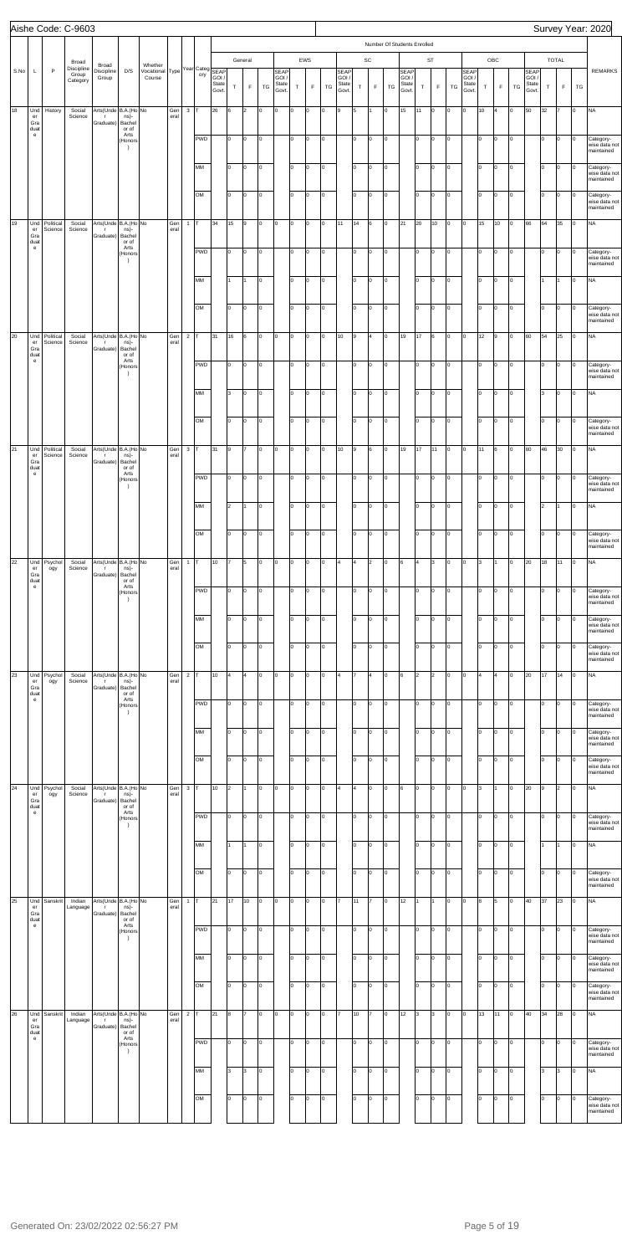|      |                                                                                                           |                      | Aishe Code: C-9603                       |                                                   |                                       |                                                      |             |                |            |                         |                |                        |    |                                        |             |                    |    |                                        |        |                                             |     |                                      |                |                   |    |                                 |             |                    |     |                                               |             |                             |    | Survey Year: 2020                        |
|------|-----------------------------------------------------------------------------------------------------------|----------------------|------------------------------------------|---------------------------------------------------|---------------------------------------|------------------------------------------------------|-------------|----------------|------------|-------------------------|----------------|------------------------|----|----------------------------------------|-------------|--------------------|----|----------------------------------------|--------|---------------------------------------------|-----|--------------------------------------|----------------|-------------------|----|---------------------------------|-------------|--------------------|-----|-----------------------------------------------|-------------|-----------------------------|----|------------------------------------------|
|      |                                                                                                           |                      |                                          |                                                   |                                       |                                                      |             |                |            |                         |                |                        |    |                                        |             |                    |    |                                        |        |                                             |     | Number Of Students Enrolled          |                |                   |    |                                 |             |                    |     |                                               |             |                             |    |                                          |
| S.No | L                                                                                                         | $\mathsf{P}$         | Broad<br>Discipline<br>Group<br>Category | Broad<br>Discipline<br>Group                      | D/S                                   | Whether<br>Vocational Type Year Categ SEAP<br>Course |             |                | ory        | GOI /<br>State<br>Govt. | $\mathsf T$    | General<br>$\mathsf F$ | TG | <b>SEAP</b><br>GOI /<br>State<br>Govt. | $\mathsf T$ | EWS<br>$\mathsf F$ | TG | <b>SEAP</b><br>GOI /<br>State<br>Govt. | $\top$ | $\operatorname{\textsf{SC}}$<br>$\mathsf F$ | TG  | <b>SEAP</b><br>GOI/<br>State<br>Govt | $\top$         | ST<br>$\mathsf F$ | TG | SEAP<br>GOI /<br>State<br>Govt. | $\mathsf T$ | OBC<br>$\mathsf F$ | TG  | <b>SEAP</b><br>GOI /<br><b>State</b><br>Govt. | $\mathsf T$ | <b>TOTAL</b><br>$\mathsf F$ | TG | <b>REMARKS</b>                           |
| 18   | Und<br>$\mathsf{er}\,$<br>Gra                                                                             | History              | Social<br>Science                        | Arts(Unde B.A.(Ho No<br>$\mathsf{r}$<br>Graduate) | ns)-<br>Bachel                        |                                                      | Gen<br>eral | $\mathbf 3$    |            | 26                      | 6              | $\overline{2}$         | O  | lо                                     | l0          | $\Omega$           | O  | l9                                     | 5      |                                             | lo. | 15                                   | 11             | $\vert$ 0         | lо | lо                              | 10          | l4                 | lo. | 50                                            | 32          | 17                          | O  | <b>NA</b>                                |
|      | duat<br>$\mathbf{e}$                                                                                      |                      |                                          |                                                   | or of<br>Arts<br>(Honors<br>$\lambda$ |                                                      |             |                | <b>PWD</b> |                         | lо             | o                      | O  |                                        | I٥          | $\Omega$           | O  |                                        | lо     | O                                           | lо  |                                      | I٥             | O                 | Iо |                                 | lо          | O                  | O   |                                               | I٥          | Iо                          | O  | Category-<br>wise data not<br>maintained |
|      |                                                                                                           |                      |                                          |                                                   |                                       |                                                      |             |                | MM         |                         | lо             | O.                     | O  |                                        | Iо          | $\Omega$           | O  |                                        | I٥     | O                                           | lо  |                                      | I٥             | Iо                | Iо |                                 | Iо          | lо                 | O   |                                               | I٥          | Iо                          | l0 | Category-<br>wise data not<br>maintained |
|      |                                                                                                           |                      |                                          |                                                   |                                       |                                                      |             |                | OM         |                         | lо             | o                      | O  |                                        | lо          | lo.                | o  |                                        | lо     | O                                           | lо  |                                      | I٥             | Iо                | Iо |                                 | Iо          | Iо                 | O   |                                               | lo.         | Iо                          | o  | Category-<br>wise data not<br>maintained |
| 19   | Und<br>$\mathsf{er}% \left( \mathcal{M}\right) \equiv\mathsf{er}\left( \mathcal{M}\right)$<br>Gra<br>duat | Political<br>Science | Social<br>Science                        | Arts(Unde B.A.(Ho No<br>$\mathsf{r}$<br>Graduate) | ns)-<br>Bachel<br>or of               |                                                      | Gen<br>eral | $\overline{1}$ |            | 34                      | 15             | 9                      | O  | O                                      | lo.         | O                  | O  | 11                                     | 14     | 6                                           | lо  | 21                                   | 20             | 10                | lо | o                               | 15          | 10                 | lo. | 66                                            | 64          | 35                          | O  | <b>NA</b>                                |
|      | $\mathbf{e}$                                                                                              |                      |                                          |                                                   | Arts<br>(Honors<br>$\lambda$          |                                                      |             |                | <b>PWD</b> |                         | lо             | o                      | O  |                                        | I٥          | $\Omega$           | O  |                                        | lо     | O                                           | lо  |                                      | I٥             | Iо                | Iо |                                 | lо          | Iо                 | o   |                                               | I٥          | Iо                          | O  | Category-<br>wise data not<br>maintained |
|      |                                                                                                           |                      |                                          |                                                   |                                       |                                                      |             |                | MM         |                         | I1             |                        | O  |                                        | Iо          | $\Omega$           | O  |                                        | lo.    | O                                           | lо  |                                      | I٥             | Iо                | Iо |                                 | Iо          | lо                 | O   |                                               | I1          |                             | O  | <b>NA</b>                                |
|      |                                                                                                           |                      |                                          |                                                   |                                       |                                                      |             |                | OM         |                         | lо             | o                      | O  |                                        | lо          | lo.                | O  |                                        | lо     | O                                           | lо  |                                      | I٥             | Iо                | Iо |                                 | Iо          | Iо                 | o   |                                               | I٥          | Iо                          | 0  | Category-<br>wise data not<br>maintained |
| 20   | Und<br>er<br>Gra<br>duat                                                                                  | Political<br>Science | Social<br>Science                        | Arts(Unde B.A.(Ho No<br>$\mathsf{r}$<br>Graduate) | ns)-<br>Bachel<br>or of               |                                                      | Gen<br>eral | $\overline{2}$ |            | 31                      | 16             | 6                      | O  | lо                                     | lo.         | lo.                | O  | 10                                     | l9     | $\overline{a}$                              | lo. | 19                                   | 17             | 6                 | lо | o                               | 12          | l9                 | o   | 60                                            | 54          | 25                          | O  | <b>NA</b>                                |
|      | $\mathbf{e}$                                                                                              |                      |                                          |                                                   | Arts<br>(Honors<br>$\lambda$          |                                                      |             |                | <b>PWD</b> |                         | lо             | o                      | O  |                                        | I٥          | lo.                | O  |                                        | lо     | O                                           | lо  |                                      | I٥             | Iо                | Iо |                                 | lо          | Iо                 | O   |                                               | I٥          | Iо                          | O  | Category-<br>wise data not<br>maintained |
|      |                                                                                                           |                      |                                          |                                                   |                                       |                                                      |             |                | MM         |                         | lз             | o                      | O  |                                        | Iо          | $\Omega$           | O  |                                        | lo.    | O                                           | lо  |                                      | I٥             | Iо                | lо |                                 | Iо          | Iо                 | o   |                                               | 3           | Iо                          | O  | <b>NA</b>                                |
|      |                                                                                                           |                      |                                          |                                                   |                                       |                                                      |             |                | OM         |                         | lо             | o                      | O  |                                        | lо          | lo.                | O  |                                        | lо     | O                                           | lо  |                                      | I٥             | Iо                | Iо |                                 | Iо          | Iо                 | o   |                                               | I٥          | Iо                          | 0  | Category-<br>wise data not<br>maintained |
| 21   | Und<br>er<br>Gra<br>duat<br>$\mathbf{e}$                                                                  | Political<br>Science | Social<br>Science                        | Arts(Unde B.A.(Ho No<br>$\mathsf{r}$<br>Graduate) | ns)-<br>Bachel<br>or of<br>Arts       |                                                      | Gen<br>eral | $\mathbf 3$    |            | 31                      | l9             | 17                     | O  | O                                      | o           | lo.                | O  | 10                                     | l9     | 6                                           | Iо  | 19                                   | 17             | 11                | Iо | O                               | 11          | 6                  | o   | 60                                            | 46          | 30                          | O  | <b>NA</b>                                |
|      |                                                                                                           |                      |                                          |                                                   | (Honors<br>$\rightarrow$              |                                                      |             |                | <b>PWD</b> |                         | 10             | O                      | O  |                                        | I٥          | O                  | O  |                                        | lо     | o                                           | lо  |                                      | I٥             | Iо                | Iо |                                 | Iо          | Iо                 | o   |                                               | I٥          | 0                           | 0  | Category-<br>wise data not<br>maintained |
|      |                                                                                                           |                      |                                          |                                                   |                                       |                                                      |             |                | MM         |                         | 2              |                        | lo |                                        | lo.         | $\Omega$           | lо |                                        | I٥     | O                                           | I۵  |                                      | l٥             | O                 | Iо |                                 | Iо          | Iо                 | l٥  |                                               | 2           |                             | O  | <b>NA</b>                                |
|      |                                                                                                           |                      |                                          |                                                   |                                       |                                                      |             |                | OM         |                         | Iо             | lo.                    | lo |                                        | lо          | $\Omega$           | l0 |                                        | lо     | O                                           | ln. |                                      | lo             | o                 | Iо |                                 | Iо          | I٥                 | lo. |                                               | lo.         | I٥                          | 0  | Category-<br>wise data not<br>maintained |
| 22   | Und<br>er<br>Gra<br>duat                                                                                  | Psychol<br>ogy       | Social<br>Science                        | Arts(Unde B.A.(Ho No<br>$\Gamma$<br>Graduate)     | ns)-<br>Bachel<br>or of               |                                                      | Gen<br>eral | $\mathbf{1}$   |            | 10                      |                | 5                      | o  | O                                      | l0          | $\Omega$           | I٥ | 4                                      | 4      | 2                                           | l0  | 6                                    | l4             | 3                 | Iо | lо                              | 3           |                    | I٥  | 20                                            | 18          | 11                          | Iо | <b>NA</b>                                |
|      | $\mathbf{e}$                                                                                              |                      |                                          |                                                   | Arts<br>(Honors<br>$\rightarrow$      |                                                      |             |                | <b>PWD</b> |                         | lо             | l0                     | O  |                                        | I٥          | $\Omega$           | O  |                                        | I٥     | 0                                           | I٥  |                                      | I٥             | O                 | Iо |                                 | l٥          | I٥                 | I٥  |                                               | lo.         | I٥                          | l0 | Category-<br>wise data not<br>maintained |
|      |                                                                                                           |                      |                                          |                                                   |                                       |                                                      |             |                | MM         |                         | I٥             | l0                     | l0 |                                        | lo.         | $\Omega$           | I٥ |                                        | I٥     | O                                           | ln. |                                      | l٥             | lo.               | Iо |                                 | Iо          | I٥                 | lo. |                                               | I٥          | l٥                          | 0  | Category-<br>wise data not<br>maintained |
|      |                                                                                                           |                      |                                          |                                                   |                                       |                                                      |             |                | OM         |                         | Iо             | lo.                    | O  |                                        | lо          | $\Omega$           | o  |                                        | lо     | O                                           | I۵  |                                      | lo             | o                 | Iо |                                 | Iо          | I٥                 | lo. |                                               | lo.         | O                           | Iо | Category-<br>wise data not<br>maintained |
| 23   | Und<br>er<br>Gra<br>duat                                                                                  | Psychol<br>ogy       | Social<br>Science                        | Arts(Unde B.A.(Ho No<br>$\mathsf{r}$<br>Graduate) | ns)-<br>Bachel<br>or of               |                                                      | Gen<br>eral | $\sqrt{2}$     |            | 10                      | l4             | l4                     | o  | O                                      | I٥          | $\Omega$           | I٥ | 4                                      |        | 4                                           | l0  | 6                                    | $\overline{2}$ | $\overline{2}$    | Iо | lо                              | 4           |                    | I٥  | 20                                            | 17          | 14                          | O  | <b>NA</b>                                |
|      | $\mathbf{e}$                                                                                              |                      |                                          |                                                   | Arts<br>(Honors<br>$\rightarrow$      |                                                      |             |                | <b>PWD</b> |                         | lо             | l0                     | O  |                                        | I٥          | $\Omega$           | O  |                                        | I٥     | 0                                           | I٥  |                                      | lo             | O                 | Iо |                                 | l٥          | I٥                 | I٥  |                                               | lo.         | I٥                          | l0 | Category-<br>wise data not<br>maintained |
|      |                                                                                                           |                      |                                          |                                                   |                                       |                                                      |             |                | MM         |                         | I٥             | l0                     | l0 |                                        | lo.         | $\Omega$           | I٥ |                                        | I٥     | O                                           | ln. |                                      | l٥             | lo.               | Iо |                                 | Iо          | I٥                 | lo. |                                               | I٥          | lo                          | 0  | Category-<br>wise data not<br>maintained |
|      |                                                                                                           |                      |                                          |                                                   |                                       |                                                      |             |                | OM         |                         | Iо             | lo.                    | O  |                                        | lo          | $\Omega$           | l0 |                                        | lо     | O                                           | ln. |                                      | lo             | o                 | Iо |                                 | Iо          | I٥                 | lo. |                                               | lo.         | O                           | Iо | Category-<br>wise data not<br>maintained |
| 24   | Und<br>er<br>Gra<br>duat                                                                                  | Psychol<br>ogy       | Social<br>Science                        | Arts(Unde B.A.(Ho No<br>$\mathsf{r}$<br>Graduate) | ns)-<br>Bachel<br>or of               |                                                      | Gen<br>eral | $\mathbf{3}$   |            | 10                      | $\overline{2}$ |                        | o  | O                                      | I٥          | $\Omega$           | I٥ | 4                                      | 4      | O                                           | l0  | 6                                    | lo.            | o                 | Iо | lо                              | 3           |                    | I٥  | 20                                            | l9          | $\overline{2}$              | 0  | <b>NA</b>                                |
|      | $\mathsf{e}% _{0}\left( \mathsf{e}\right)$                                                                |                      |                                          |                                                   | Arts<br>(Honors<br>$\rightarrow$      |                                                      |             |                | <b>PWD</b> |                         | Iо             | l0                     | O  |                                        | I٥          | $\Omega$           | l0 |                                        | I٥     | 0                                           | I٥  |                                      | lo             | o                 | Iо |                                 | l٥          | I٥                 | I٥  |                                               | lo.         | l٥                          | l0 | Category-<br>wise data not<br>maintained |
|      |                                                                                                           |                      |                                          |                                                   |                                       |                                                      |             |                | MM         |                         | I1             |                        | l0 |                                        | lo.         | $\Omega$           | I٥ |                                        | I٥     | O                                           | ln. |                                      | l٥             | lo.               | Iо |                                 | Iо          | I٥                 | lo. |                                               |             |                             | 0  | <b>NA</b>                                |
|      |                                                                                                           |                      |                                          |                                                   |                                       |                                                      |             |                | OM         |                         | Iо             | lo.                    | O  |                                        | lo          | $\Omega$           | I٥ |                                        | I٥     | O                                           | ln. |                                      | lo             | o                 | Iо |                                 | Iо          | I٥                 | lo. |                                               | lo.         | I٥                          | l0 | Category-<br>wise data not<br>maintained |
| 25   | Und<br>er<br>Gra<br>duat                                                                                  | Sanskrit             | Indian<br>Language                       | Arts(Unde B.A.(Ho No<br>$\mathsf{r}$<br>Graduate) | ns)-<br>Bachel<br>or of               |                                                      | Gen<br>eral | $\mathbf{1}$   |            | 21                      | 17             | 10                     | O  | O                                      | I٥          | $\Omega$           | I٥ | 17                                     | 11     |                                             | I۵  | 12                                   |                |                   | Iо | lо                              | 8           | l5                 | I٥  | 40                                            | 37          | 23                          | O  | <b>NA</b>                                |
|      | $\mathsf{e}% _{0}\left( \mathsf{e}\right)$                                                                |                      |                                          |                                                   | Arts<br>(Honors<br>$\rightarrow$      |                                                      |             |                | <b>PWD</b> |                         | I٥             | l0                     | O  |                                        | I٥          | $\Omega$           | lо |                                        | I٥     | O                                           | I٥  |                                      | lo             | o                 | Iо |                                 | l٥          | I٥                 | I٥  |                                               | lo.         | 0                           | O  | Category-<br>wise data not<br>maintained |
|      |                                                                                                           |                      |                                          |                                                   |                                       |                                                      |             |                | MM         |                         | lо             | o                      | O  |                                        | lо          | 0                  | O  |                                        | lо     | o                                           | Iо  |                                      | lо             | Iо                | Iо |                                 | lо          | O                  | lо  |                                               | I٥          | Iо                          | O  | Category-<br>wise data not<br>maintained |
|      |                                                                                                           |                      |                                          |                                                   |                                       |                                                      |             |                | OM         |                         | lо             | lo.                    | O  |                                        | lo          | lo.                | O  |                                        | lо     | O                                           | 0   |                                      | I٥             | Iо                | Iо |                                 | Iо          | Iо                 | o   |                                               | I٥          | Iо                          | l٥ | Category-<br>wise data not<br>maintained |
| 26   | $\ensuremath{\mathsf{Und}}$<br>er<br>Gra<br>duat                                                          | Sanskrit             | Indian<br>Language                       | Arts(Unde B.A.(Ho No<br>$\mathsf{r}$<br>Graduate) | ns)-<br>Bachel<br>or of               |                                                      | Gen<br>eral | $\overline{2}$ |            | 21                      | 8              |                        | O  | O                                      | I٥          | $\Omega$           | I٥ | 17                                     | 10     |                                             | In. | 12                                   | 3              | 3                 | Iо | Iо                              | 13          | 11                 | lo. | 40                                            | 34          | 28                          | O  | <b>NA</b>                                |
|      | $\mathbf{e}$                                                                                              |                      |                                          |                                                   | Arts<br>(Honors<br>$\rightarrow$      |                                                      |             |                | PWD        |                         | I٥             | l0                     | O  |                                        | I٥          | $\Omega$           | O  |                                        | lо     | O                                           | I0. |                                      | I٥             | O                 | Iо |                                 | l٥          | O                  | I٥  |                                               | lo.         | 0                           | o  | Category-<br>wise data not<br>maintained |
|      |                                                                                                           |                      |                                          |                                                   |                                       |                                                      |             |                | MM         |                         | lз             | l3                     | O  |                                        | lо          | $\Omega$           | O  |                                        | I٥     | 0                                           | I٥  |                                      | I٥             | 0                 | Iо |                                 | lo.         | 0                  | lo. |                                               | 3           | 3                           | O  | <b>NA</b>                                |
|      |                                                                                                           |                      |                                          |                                                   |                                       |                                                      |             |                | OM         |                         | lо             | lo.                    | O  |                                        | lo          | $\Omega$           | O  |                                        | lо     | O                                           | I٥  |                                      | I٥             | O                 | Iо |                                 | Iо          | O                  | O   |                                               | I٥          | 0                           | l0 | Category-<br>wise data not<br>maintained |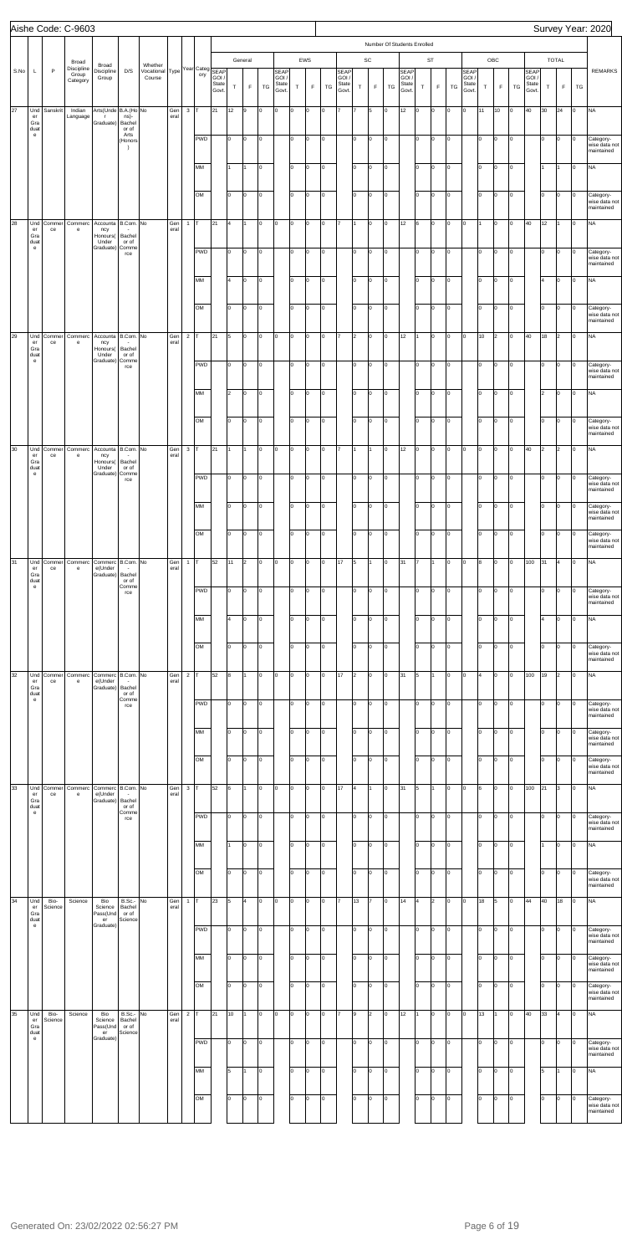|      |                                   |                 | Aishe Code: C-9603                       |                                                |                                           |                                      |             |                         |                        |                        |                    |                        |                        |                                 |                    |                                  |          |                                 |                |                   |          |                                 |                             |                                        |                |                                 |          |                    |                |                                        |                            |                             |         | Survey Year: 2020                                     |
|------|-----------------------------------|-----------------|------------------------------------------|------------------------------------------------|-------------------------------------------|--------------------------------------|-------------|-------------------------|------------------------|------------------------|--------------------|------------------------|------------------------|---------------------------------|--------------------|----------------------------------|----------|---------------------------------|----------------|-------------------|----------|---------------------------------|-----------------------------|----------------------------------------|----------------|---------------------------------|----------|--------------------|----------------|----------------------------------------|----------------------------|-----------------------------|---------|-------------------------------------------------------|
|      |                                   |                 |                                          |                                                |                                           |                                      |             |                         |                        |                        |                    |                        |                        |                                 |                    |                                  |          |                                 |                |                   |          |                                 | Number Of Students Enrolled |                                        |                |                                 |          |                    |                |                                        |                            |                             |         |                                                       |
| S.No | L                                 | $\mathsf{P}$    | Broad<br>Discipline<br>Group<br>Category | Broad<br>Discipline<br>Group                   | D/S                                       | Whether<br>Vocational Type<br>Course |             |                         | Year Categ SEAP<br>ory | GOI,<br>State<br>Govt. | $\top$             | General<br>$\mathsf F$ | TG                     | SEAP<br>GOI /<br>State<br>Govt. | $\top$             | EWS<br>F                         | TG       | SEAF<br>GOI /<br>State<br>Govt. | $\top$         | SC<br>$\mathsf F$ | TG       | SEAP<br>GOI /<br>State<br>Govt. | $\top$                      | ST<br>$\mathsf F$                      | TG             | SEAP<br>GOI /<br>State<br>Govt. | $\top$   | OBC<br>$\mathsf F$ | $T{\mathsf G}$ | <b>SEAP</b><br>GOI /<br>State<br>Govt. | T                          | <b>TOTAL</b><br>$\mathsf F$ | TG      | <b>REMARKS</b>                                        |
| 27   | Und<br>er<br>Gra                  | Sanskrit        | Indian<br>Language                       | Arts(Unde B.A.(Ho No<br>r<br>Graduate)         | ns)-<br>Bachel                            |                                      | Gen<br>eral | $\mathbf{3}$            |                        | 21                     | 12                 | 9                      | lо                     | lо                              | O                  | lo.                              | lо       |                                 |                | 5                 | lo.      | 12                              | 0                           | $\vert$ 0                              | O              | O                               | 11       | 10                 | Iо             | 40                                     | 30                         | 24                          | O       | <b>NA</b>                                             |
|      | duat<br>$\mathbf{e}$              |                 |                                          |                                                | or of<br>Arts<br>(Honors<br>$\rightarrow$ |                                      |             |                         | <b>PWD</b>             |                        | lo.                | o                      | lо                     |                                 | I٥                 | 0                                | lо       |                                 | lo.            | Iо                | O        |                                 | lo.                         | $\vert$ 0                              | $\circ$        |                                 | Iо       | O                  | lо             |                                        | Iо                         | lо                          | O       | Category-<br>wise data not<br>maintained              |
|      |                                   |                 |                                          |                                                |                                           |                                      |             |                         | MM                     |                        | 1                  | 11                     | $\overline{0}$         |                                 | I٥                 | lo.                              | lо       |                                 | I٥             | Iо                | O        |                                 | I٥                          | $\vert$ 0                              | lо             |                                 | Iо       | $\circ$            | lо             |                                        | I1                         | $\overline{1}$              | O       | <b>NA</b>                                             |
|      |                                   |                 |                                          |                                                |                                           |                                      |             |                         | OM                     |                        | lo                 | O                      | $\overline{0}$         |                                 | lо                 | $\overline{0}$                   | lо       |                                 | I٥             | O                 | O        |                                 | I٥                          | $\vert$ 0                              | lо             |                                 | lо       | O                  | lо             |                                        | Iо                         | o                           | 0       | Category-<br>wise data not                            |
| 28   | Und<br>er                         | Commer<br>ce    | Commerc<br>e                             | Accounta B.Com. No<br>ncy                      |                                           |                                      | Gen<br>eral | $\mathbf{1}$            |                        | 21                     | 4                  | 11                     | $\overline{0}$         | $\vert 0 \vert$                 | O                  | lo.                              | lо       |                                 | 1              | Iо                | lo.      | 12                              | 6                           | $\vert$ 0                              | $\circ$        | O                               | 11       | 0                  | Iо             | 40                                     | 12                         | 11                          | Iо      | maintained<br><b>NA</b>                               |
|      | Gra<br>duat<br>$\mathbf{e}$       |                 |                                          | Honours(<br>Under<br>Graduate)                 | Bachel<br>or of<br>Comme<br>rce           |                                      |             |                         | <b>PWD</b>             |                        | lo.                | O                      | $\overline{0}$         |                                 | I٥                 | $\circ$                          | lо       |                                 | lo.            | O                 | O        |                                 | lo.                         | $\vert$ 0                              | $\circ$        |                                 | Iо       | O                  | lо             |                                        | Iо                         | lо                          | O       | Category-<br>wise data not<br>maintained              |
|      |                                   |                 |                                          |                                                |                                           |                                      |             |                         | MM                     |                        | 14                 | o                      | $\vert$ 0              |                                 | I٥                 | <b>O</b>                         | lо       |                                 | I٥             | Iо                | O        |                                 | I٥                          | $\vert$ 0                              | lо             |                                 | Iо       | $\circ$            | lо             |                                        | 4                          | o                           | O       | <b>NA</b>                                             |
|      |                                   |                 |                                          |                                                |                                           |                                      |             |                         | OM                     |                        | lo                 | O                      | $\vert$ 0              |                                 | lo.                | $\overline{0}$                   | lо       |                                 | I٥             | O                 | O        |                                 | I٥                          | $\vert$ 0                              | lо             |                                 | lо       | O                  | lо             |                                        | I٥                         | Iо                          | O       | Category-<br>wise data not<br>maintained              |
| 29   | Und<br>er<br>Gra<br>duat          | Commer<br>ce    | Commerc<br>e                             | Accounta B.Com. No<br>ncy<br>Honours(<br>Under | Bachel<br>or of                           |                                      | Gen<br>eral | $\overline{\mathbf{c}}$ |                        | 21                     | 5                  | O                      | $\vert$ 0              | $\vert 0 \vert$                 | O                  | lo.                              | lо       |                                 | $\overline{2}$ | lо                | lo.      | 12                              | I1                          | $\mathsf{I}^{\mathsf{o}}$              | $\circ$        | O                               | 10       | $\overline{2}$     | Iо             | 40                                     | 18                         | $\overline{2}$              | Iо      | <b>NA</b>                                             |
|      | $\mathbf{e}$                      |                 |                                          | Graduate)                                      | Comme<br>rce                              |                                      |             |                         | <b>PWD</b>             |                        | lo.                | O                      | lо                     |                                 | I٥                 | $\circ$                          | lо       |                                 | lo.            | O                 | O        |                                 | lo.                         | $\vert$ 0                              | $\circ$        |                                 | Iо       | O                  | Iо             |                                        | Iо                         | lо                          | O       | Category-<br>wise data not<br>maintained              |
|      |                                   |                 |                                          |                                                |                                           |                                      |             |                         | MM                     |                        | $\vert$ 2          | o                      | $\vert$ 0              |                                 | I٥                 | <b>O</b>                         | lо       |                                 | I٥             | O                 | O        |                                 | I٥                          | $\vert$ 0                              | $\overline{0}$ |                                 | Iо       | $\circ$            | lо             |                                        | 2                          | Iо                          | O       | <b>NA</b>                                             |
| 30   | Und                               | Commer          | Commerc                                  | Accounta B.Com. No                             |                                           |                                      | Gen         | $\mathbf{3}$            | OM                     | 21                     | lo<br>$\mathbf{1}$ | O<br>I1.               | $\vert$ 0<br>$\vert$ 0 | Iо                              | o<br>O             | $\overline{0}$<br>$\overline{0}$ | lо<br>lо | 17                              | I٥<br>1        | O<br>I1.          | O<br>lo. | 12                              | I٥<br>Iо                    | $\mathsf{I}^{\mathsf{o}}$<br>$\vert$ 0 | lо<br>$\circ$  | O                               | lо<br>Iо | O<br>0             | lо<br>Iо       | 40                                     | I٥<br>$\vert$ <sub>2</sub> | lо<br>2                     | O<br>O  | Category-<br>wise data not<br>maintained<br><b>NA</b> |
|      | er<br>Gra<br>duat<br>$\mathbf{e}$ | ce              | e                                        | ncy<br>Honours(<br>Under<br>Graduate)          | Bachel<br>or of<br>Comme                  |                                      | eral        |                         |                        |                        |                    |                        |                        |                                 |                    |                                  |          |                                 |                |                   |          |                                 |                             |                                        |                |                                 |          |                    |                |                                        |                            |                             |         |                                                       |
|      |                                   |                 |                                          |                                                | rce                                       |                                      |             |                         | <b>PWD</b>             |                        | lo                 | o                      | lо                     |                                 | lo.                | Iо                               | lо       |                                 | lo.            | O                 | O        |                                 | lo.                         | $\vert$ 0                              | O              |                                 | Iо       | 0                  | O              |                                        | lо                         | O                           | $\circ$ | Category-<br>wise data not<br>maintained              |
|      |                                   |                 |                                          |                                                |                                           |                                      |             |                         | MM                     |                        | lo                 | O                      | Iо                     |                                 | I٥                 | 0                                | Iо       |                                 | I٥             | Iо                | lo.      |                                 | I٥                          | $\overline{0}$                         | o              |                                 | Iо       | O                  | O              |                                        | Iо                         | o                           | l0      | Category-<br>wise data not<br>maintained              |
|      |                                   |                 |                                          |                                                |                                           |                                      |             |                         | OM                     |                        | lo.                | o                      | Iо                     |                                 | lo.                | 0                                | Iо       |                                 | I٥             | Iо                | lo.      |                                 | I٥                          | Iо                                     | o              |                                 | lo.      | Iо                 | O              |                                        | Iо                         | o                           | l0      | Category-<br>wise data not<br>maintained              |
| 31   | Und<br>er<br>Gra<br>duat          | Commer<br>ce    | Commerc<br>e                             | Commerc B.Com. No<br>e(Under<br>Graduate)      | Bachel<br>or of                           |                                      | Gen<br>eral | $\mathbf{1}$            |                        | 52                     | 11                 | 2                      | Iо                     | $\circ$                         | O                  | 0                                | Iо       | 17                              | 5              | I1.               | lo.      | 31                              | 17                          | I1                                     | O              | O                               | 8        | lo.                | O              | 100                                    | 31                         | l4                          | Iо      | <b>NA</b>                                             |
|      | $\mathbf{e}$                      |                 |                                          |                                                | Comme<br>rce                              |                                      |             |                         | <b>PWD</b>             |                        | lo.                | o                      | Iо                     |                                 | I٥                 | 0                                | Iо       |                                 | I٥             | Iо                | lo.      |                                 | I٥                          | O                                      | O              |                                 | Iо       | O                  | O              |                                        | Iо                         | o                           | Iо      | Category-<br>wise data not<br>maintained              |
|      |                                   |                 |                                          |                                                |                                           |                                      |             |                         | MM                     |                        | 4                  | O                      | $\overline{0}$         |                                 | I٥                 | l0                               | Iо       |                                 | lo             | Iо                | lo.      |                                 | I٥                          | $\overline{0}$                         | 0              |                                 | lo.      | lo.                | O              |                                        | l4                         | o                           | Iо      | <b>NA</b>                                             |
|      |                                   |                 |                                          |                                                |                                           |                                      |             |                         | OM                     |                        | lo.                | o                      | O                      |                                 | lо                 | 0                                | Iо       |                                 | I٥             | Iо                | lo.      |                                 | I٥                          | O                                      | o              |                                 | lо       | Iо                 | O              |                                        | Iо                         | Iо                          | Iо      | Category-<br>wise data not<br>maintained              |
| 32   | Und<br>er<br>Gra                  | Commer<br>ce    | Commerc<br>e                             | Commerc B.Com. No<br>e(Under<br>Graduate)      | Bachel                                    |                                      | Gen<br>eral | $\overline{2}$          |                        | 52                     | 8                  | I1                     | Iо                     | $\overline{0}$                  | O                  | 0                                | Iо       | 17                              | $\overline{2}$ | Iо                | l0       | 31                              | 5                           | I1                                     | O              | O                               | l4       | lo.                | l0             | 100                                    | 19                         | 2                           | Iо      | <b>NA</b>                                             |
|      | duat<br>$\mathbf{e}$              |                 |                                          |                                                | or of<br>Comme<br>rce                     |                                      |             |                         | <b>PWD</b>             |                        | lo.                | o                      | Iо                     |                                 | I٥                 | 0                                | Iо       |                                 | I٥             | Iо                | lo.      |                                 | I٥                          | O                                      | O              |                                 | Iо       | lo.                | O              |                                        | Iо                         | o                           | Iо      | Category-<br>wise data no<br>maintained               |
|      |                                   |                 |                                          |                                                |                                           |                                      |             |                         | MM                     |                        | lo.                | O                      | Iо                     |                                 | I٥                 | l0                               | Iо       |                                 | lo             | Iо                | lo.      |                                 | Ιo                          | $\overline{0}$                         | O              |                                 | Iо       | O                  | O              |                                        | I٥                         | o                           | I٥      | Category-<br>wise data not<br>maintained              |
|      |                                   |                 |                                          |                                                |                                           |                                      |             |                         | OM                     |                        | lo.                | o                      | O                      |                                 | lo.                | 0                                | Iо       |                                 | I٥             | Iо                | lo.      |                                 | I٥                          | O                                      | o              |                                 | lо       | Iо                 | O              |                                        | Iо                         | o                           | Iо      | Category-<br>wise data not<br>maintained              |
| 33   | Und<br>er<br>Gra<br>duat          | Commer<br>ce    | Commerc<br>e                             | Commerc B.Com. No<br>e(Under<br>Graduate)      | Bachel<br>or of                           |                                      | Gen<br>eral | $\mathbf{3}$            |                        | 52                     | 6                  | I1                     | Iо                     | $\overline{0}$                  | O                  | 0                                | Iо       | 17                              | $\overline{4}$ | I1.               | lo.      | 31                              | 5                           | I1                                     | O              | O                               | 6        | lo.                | l0             | 100                                    | 21                         | 3                           | Iо      | <b>NA</b>                                             |
|      | $\mathbf{e}$                      |                 |                                          |                                                | Comme<br>rce                              |                                      |             |                         | <b>PWD</b>             |                        | lo.                | o                      | Iо                     |                                 | I٥                 | 0                                | Iо       |                                 | I٥             | Iо                | lo.      |                                 | I٥                          | O                                      | O              |                                 | Iо       | lo.                | O              |                                        | Iо                         | o                           | Iо      | Category-<br>wise data not<br>maintained              |
|      |                                   |                 |                                          |                                                |                                           |                                      |             |                         | MM                     |                        |                    | O                      | Iо                     |                                 | I٥                 | l0                               | Iо       |                                 | lo             | Iо                | lo.      |                                 | Ιo                          | $\overline{0}$                         | 0              |                                 | Iо       | O                  | O              |                                        | l1                         | o                           | l0      | <b>NA</b>                                             |
|      |                                   |                 |                                          |                                                |                                           |                                      |             |                         | OM                     |                        | lo                 | o                      | O                      |                                 | I٥                 | 0                                | Iо       |                                 | I٥             | Iо                | lo.      |                                 | I٥                          | O                                      | o              |                                 | lо       | Iо                 | O              |                                        | Iо                         | o                           | Iо      | Category-<br>wise data not<br>maintained              |
| 34   | Und<br>er<br>Gra                  | Bio-<br>Science | Science                                  | Bio<br>Science<br>Pass(Und                     | <b>B.Sc.-</b><br>Bachel<br>or of          | No                                   | Gen<br>eral | $\mathbf{1}$            |                        | 23                     | 5                  | 4                      | Iо                     | $\overline{0}$                  | O                  | 0                                | Iо       |                                 | 13             | l7                | lo.      | 14                              | 4                           | $\vert$ <sub>2</sub>                   | 0              | O                               | 18       | 5                  | l0             | 44                                     | 40                         | 18                          | lo.     | <b>NA</b>                                             |
|      | duat<br>$\mathbf{e}$              |                 |                                          | er<br>Graduate)                                | Science                                   |                                      |             |                         | <b>PWD</b>             |                        | lo.                | o                      | Iо                     |                                 | I٥                 | lo.                              | Iо       |                                 | I٥             | Iо                | lo.      |                                 | I٥                          | O                                      | O              |                                 | Iо       | O                  | O              |                                        | Iо                         | o                           | Iо      | Category-<br>wise data not<br>maintained              |
|      |                                   |                 |                                          |                                                |                                           |                                      |             |                         | MM                     |                        | lo.                | $\vert$ 0              | $\vert$ 0              |                                 | $\overline{\circ}$ | $\vert$ 0                        | O        |                                 | lo.            | Iо                | O        |                                 | lo.                         | $\vert$ 0                              | $\circ$        |                                 | lо       | lо                 | ю              |                                        | lо                         | lо                          | $\circ$ | Category-<br>wise data not<br>maintained              |
|      |                                   |                 |                                          |                                                |                                           |                                      |             |                         | OM                     |                        | lo                 | O                      | lо                     |                                 | lо                 | lo.                              | lо       |                                 | I٥             | O                 | 0        |                                 | I٥                          | $\overline{0}$                         | $\circ$        |                                 | lо       | O                  | Iо             |                                        | I٥                         | Iо                          | lo.     | Category-<br>wise data not<br>maintained              |
| 35   | Und<br>er<br>Gra                  | Bio-<br>Science | Science                                  | Bio<br>Science<br>Pass(Und                     | B.Sc.- No<br>Bachel<br>or of              |                                      | Gen<br>eral | $\overline{2}$          |                        | 21                     | 10                 | 11                     | Iо                     | $\circ$                         | O                  | 0                                | Iо       |                                 | 9              | I <sub>2</sub>    | lo.      | 12                              |                             | $\overline{0}$                         | O              | O                               | 13       | 1                  | l0             | 40                                     | 33                         | 4                           | lo.     | <b>NA</b>                                             |
|      | duat<br>$\mathbf{e}$              |                 |                                          | er<br>Graduate)                                | Science                                   |                                      |             |                         | <b>PWD</b>             |                        | lo.                | o                      | 0                      |                                 | I٥                 | lo.                              | Iо       |                                 | I٥             | Iо                | O        |                                 | I٥                          | O                                      | O              |                                 | Iо       | 0                  | O              |                                        | Iо                         | o                           | Iо      | Category-<br>wise data not<br>maintained              |
|      |                                   |                 |                                          |                                                |                                           |                                      |             |                         | MM                     |                        | 5                  | I1                     | Iо                     |                                 | I٥                 | lo.                              | lо       |                                 | I٥             | Iо                | l0       |                                 | I٥                          | $\overline{0}$                         | <b>lo</b>      |                                 | Iо       | 0                  | O              |                                        | 5                          |                             | lo.     | <b>NA</b>                                             |
|      |                                   |                 |                                          |                                                |                                           |                                      |             |                         | OM                     |                        | lo.                | o                      | Iо                     |                                 | I٥                 | lo.                              | Iо       |                                 | I٥             | Iо                | lo.      |                                 | I٥                          | $\overline{0}$                         | O              |                                 | lо       | 0                  | O              |                                        | Iо                         | o                           | Iо      | Category-<br>wise data not                            |
|      |                                   |                 |                                          |                                                |                                           |                                      |             |                         |                        |                        |                    |                        |                        |                                 |                    |                                  |          |                                 |                |                   |          |                                 |                             |                                        |                |                                 |          |                    |                |                                        |                            |                             |         | maintained                                            |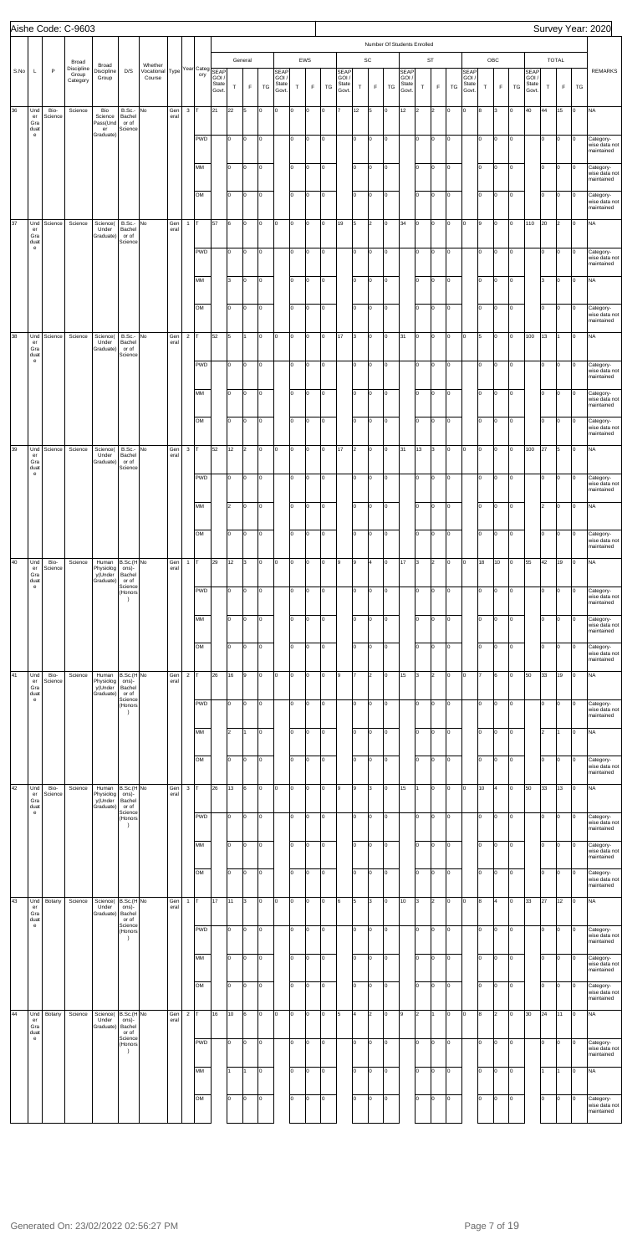|      |                                                                                     |                 | Aishe Code: C-9603           |                                            |                                                   |                                                      |             |                |            |                |             |                |     |                |             |             |     |                      |                         |                |                |                             |        |                      |           |                     |        |             |     |                     |        |                |           | Survey Year: 2020                                     |
|------|-------------------------------------------------------------------------------------|-----------------|------------------------------|--------------------------------------------|---------------------------------------------------|------------------------------------------------------|-------------|----------------|------------|----------------|-------------|----------------|-----|----------------|-------------|-------------|-----|----------------------|-------------------------|----------------|----------------|-----------------------------|--------|----------------------|-----------|---------------------|--------|-------------|-----|---------------------|--------|----------------|-----------|-------------------------------------------------------|
|      |                                                                                     |                 |                              |                                            |                                                   |                                                      |             |                |            |                |             |                |     |                |             |             |     |                      |                         |                |                | Number Of Students Enrolled |        |                      |           |                     |        |             |     |                     |        |                |           |                                                       |
| S.No | L                                                                                   | $\mathsf P$     | Broad<br>Discipline<br>Group | Broad<br>Discipline<br>Group               | D/S                                               | Whether<br>Vocational Type Year Categ SEAP<br>Course |             |                | ory        | GOI/           |             | General        |     | SEAP<br>GOI /  |             | EWS         |     | <b>SEAP</b><br>GOI / |                         | SC             |                | <b>SEAP</b><br>GOI/         |        | <b>ST</b>            |           | <b>SEAP</b><br>GOI/ |        | OBC         |     | <b>SEAP</b><br>GOI/ |        | TOTAL          |           | <b>REMARKS</b>                                        |
|      |                                                                                     |                 | Category                     |                                            |                                                   |                                                      |             |                |            | State<br>Govt. | $\mathsf T$ | $\mathsf F$    | TG  | State<br>Govt. | $\mathsf T$ | $\mathsf F$ | TG  | State<br>Govt.       | $\top$                  | $\mathsf F$    | TG             | State<br>Govt.              | $\top$ | $\mathsf F$          | TG        | State<br>Govt.      | $\top$ | $\mathsf F$ | TG  | State<br>Govt.      | $\top$ | $\mathsf F$    | TG        |                                                       |
| 36   | Und<br>er<br>Gra                                                                    | Bio-<br>Science | Science                      | Bio<br>Science<br>Pass(Und                 | B.Sc.- No<br>Bachel<br>or of                      |                                                      | Gen<br>eral | $3$ T          |            | 21             | 22          | 5              | O   | O              | l0          | $\Omega$    | O   | 17                   | 12                      | 5              | 0              | 12                          | 2      | $\vert$ <sub>2</sub> | O         | O                   | R.     | l3          | Iо  | 40                  | 44     | 15             | Iо        | <b>NA</b>                                             |
|      | duat<br>$\mathsf{e}% _{0}\left( \mathsf{e}\right)$                                  |                 |                              | $\mathsf{er}\,$<br>Graduate)               | Science                                           |                                                      |             |                | <b>PWD</b> |                | lо          | o              | O   |                | I٥          | lo.         | O   |                      | I٥                      | O              | Iо             |                             | lo.    | Iо                   | lо        |                     | lo.    | Iо          | o   |                     | lо     | O              | O         | Category-<br>wise data not<br>maintained              |
|      |                                                                                     |                 |                              |                                            |                                                   |                                                      |             |                | MM         |                | I٥          | O              | O   |                | Iо          | lo.         | O   |                      | lo.                     | O              | Iо             |                             | I٥     | $\vert$ 0            | $\vert$ 0 |                     | lo     | Iо          | o   |                     | lо     | O              | lo        | Category-<br>wise data not<br>maintained              |
|      |                                                                                     |                 |                              |                                            |                                                   |                                                      |             |                | OM         |                | I٥          | O              | O   |                | lo          | lo.         | O   |                      | lо                      | O              | Iо             |                             | I٥     | Iо                   | lо        |                     | lo     | Iо          | o   |                     | lо     | O              | lo        | Category-<br>wise data not<br>maintained              |
| 37   | Und<br>er<br>Gra                                                                    | Science         | Science                      | Science(<br>Under<br>Graduate)             | B.Sc.- No<br>Bachel<br>or of                      |                                                      | Gen<br>eral | $\mathbf{1}$   | Iт         | 57             | 6           | O              | O   | O              | O           | lo.         | O   | 19                   | 5                       | 2              | Iо             | 34                          | O      | 0                    | O         | O                   | 9      | Iо          | lo. | 110                 | 20     | $\overline{2}$ | lo        | <b>NA</b>                                             |
|      | duat<br>$\mathsf{e}% _{0}\left( \mathsf{e}\right)$                                  |                 |                              |                                            | Science                                           |                                                      |             |                | <b>PWD</b> |                | lо          | o              | O   |                | I٥          | $\Omega$    | O   |                      | I٥                      | O              | Iо             |                             | lo.    | Iо                   | lо        |                     | lo.    | Iо          | lo. |                     | lо     | O              | lo        | Category-<br>wise data not<br>maintained              |
|      |                                                                                     |                 |                              |                                            |                                                   |                                                      |             |                | MM         |                | lз          | o              | O   |                | Iо          | $\Omega$    | O   |                      | I٥                      | O              | Iо             |                             | I٥     | $\vert$ 0            | $\vert$ 0 |                     | lo     | Iо          | o   |                     | 3      | O              | Iо        | <b>NA</b>                                             |
|      |                                                                                     |                 |                              |                                            |                                                   |                                                      |             |                | OM         |                | I٥          | o              | O   |                | lо          | $\Omega$    | O   |                      | lо                      | O              | O              |                             | I٥     | Iо                   | lо        |                     | Iо     | Iо          | o   |                     | lо     | O              | O         | Category-<br>wise data not                            |
| 38   | Und<br>er                                                                           | Science         | Science                      | Science(<br>Under                          | B.Sc.- No<br>Bachel                               |                                                      | Gen<br>eral | $\overline{c}$ | Iт         | 52             | 5           |                | O   | O              | o           | lo.         | O   | 17                   | 3                       | o              | Iо             | 31                          | O      | Iо                   | O         | O                   | 5      | l0          | l0  | 100                 | 13     |                | lo        | maintained<br><b>NA</b>                               |
|      | Gra<br>duat<br>$\mathsf{e}% _{0}\left( \mathsf{e}\right)$                           |                 |                              | Graduate)                                  | or of<br>Science                                  |                                                      |             |                | <b>PWD</b> |                | 10          | o              | O   |                | I٥          | $\Omega$    | O   |                      | lo.                     | o              | Iо             |                             | lo.    | Iо                   | lо        |                     | I٥     | Iо          | lo. |                     | lо     | O              | Iо        | Category-<br>wise data not                            |
|      |                                                                                     |                 |                              |                                            |                                                   |                                                      |             |                | MM         |                | I٥          | o              | O   |                | Iо          | O           | O   |                      | I٥                      | O              | lо             |                             | I٥     | $\vert$ 0            | $\vert$ 0 |                     | lo     | Iо          | o   |                     | lо     | O              | O         | maintained<br>Category-<br>wise data not              |
|      |                                                                                     |                 |                              |                                            |                                                   |                                                      |             |                | OM         |                | I٥          | o              | O   |                | lо          | lo.         | O   |                      | lо                      | o              | lо             |                             | lo.    | Iо                   | lо        |                     | Iо     | Iо          | o   |                     | lо     | O              | lo        | maintained<br>Category-                               |
| 39   | Und                                                                                 | Science         | Science                      | Science(                                   | B.Sc.- No                                         |                                                      | Gen         | $\mathbf{3}$   | Iт         | 52             | 12          | $\overline{2}$ | Iо  | O              | o           | O           | O   | 17                   | $\vert$ <sub>2</sub>    | o              | lо             | 31                          | 13     | 3                    | O         | O                   | lo.    | Iо          | lo. | 100                 | 27     | 5              | lo        | wise data not<br>maintained<br><b>NA</b>              |
|      | er<br>Gra<br>duat<br>$\mathbf{e}% _{t}\left( t\right)$                              |                 |                              | Under<br>Graduate)                         | Bachel<br>or of<br>Science                        |                                                      | eral        |                | <b>PWD</b> |                | 10          | O              | lо  |                | I٥          | O           | O   |                      | lo.                     | o              | 0              |                             | lo.    | Iо                   | lо        |                     | I٥     | lо          | lо  |                     | 10     | 0              | O         | Category-                                             |
|      |                                                                                     |                 |                              |                                            |                                                   |                                                      |             |                | MM         |                | 2           | o              | lo  |                | lo.         | $\Omega$    | O   |                      | I٥                      | O              | lo.            |                             | I٥     | Iо                   | lо        |                     | lo.    | Iо          | l0  |                     | 2      | o              | Iо        | wise data not<br>maintained<br><b>NA</b>              |
|      |                                                                                     |                 |                              |                                            |                                                   |                                                      |             |                | OM         |                | Iо          | o              | O   |                | lо          | $\Omega$    | lo. |                      | I٥                      | O              | l0             |                             | I٥     | Iо                   | lо        |                     | I٥     | Iо          | I٥  |                     | lо     | O              | lo        |                                                       |
| 40   | Und                                                                                 | Bio-            | Science                      | Human                                      | B.Sc.(H No                                        |                                                      | Gen         | $\mathbf{1}$   | Iт         | 29             | 12          | 3              | O   | O              | l0          | $\Omega$    | l0  | l9                   | 9                       | $\overline{4}$ | Iо             | 17                          | 3      | $\vert$ <sub>2</sub> | lо        | O                   | 18     | 10          | lo. | 55                  | 42     | 19             | Iо        | Category-<br>wise data not<br>maintained<br><b>NA</b> |
|      | er<br>Gra<br>duat<br>$\mathsf{e}% _{0}\left( \mathsf{e}\right)$                     | Science         |                              | Physiolog<br>y(Under<br>Graduate)          | ons)-<br>Bachel<br>or of<br>Science               |                                                      | eral        |                |            |                |             |                |     |                |             | $\Omega$    |     |                      |                         |                |                |                             |        |                      |           |                     | I∩     |             | lo. |                     |        |                |           |                                                       |
|      |                                                                                     |                 |                              |                                            | (Honors<br>$\rightarrow$                          |                                                      |             |                | <b>PWD</b> |                | I٥          | o              | O   |                | I٥          |             | lо  |                      | I٥                      | O              | I٥             |                             | I٥     | Iо                   | lо        |                     |        | Iо          |     |                     | Iо     | O              | O         | Category-<br>wise data not<br>maintained              |
|      |                                                                                     |                 |                              |                                            |                                                   |                                                      |             |                | MM         |                | I٥          | o              | l0  |                | lo.         | $\Omega$    | I٥  |                      | I٥                      | 0              | I٥             |                             | lo.    | Iо                   | lо        |                     | I٥     | l0          | lo. |                     | Iо     | O              | I٥        | Category-<br>wise data not<br>maintained              |
|      |                                                                                     |                 |                              |                                            |                                                   |                                                      |             |                | OM         |                | lо          | o              | O   |                | lо          | $\Omega$    | o   |                      | I٥                      | O              | lo.            |                             | I٥     | Iо                   | lо        |                     | I٥     | Iо          | I٥  |                     | lо     | O              | Iо        | Category-<br>wise data not<br>maintained              |
| 41   | Und<br>$\mathsf{er}\,$<br>Gra<br>duat<br>$\mathsf{e}% _{0}\left( \mathsf{e}\right)$ | Bio-<br>Science | Science                      | Human<br>Physiolog<br>y(Under<br>Graduate) | B.Sc.(H No<br>ons)-<br>Bachel<br>or of<br>Science |                                                      | Gen<br>eral | $\overline{c}$ | Iт         | 26             | 16          | 9              | O   | O              | O           | $\Omega$    | o   | l9                   |                         | 2              | lo.            | 15                          | 3      | 2                    | lо        | O                   |        | 6           | ln. | 50                  | 33     | 19             | Iо        | <b>NA</b>                                             |
|      |                                                                                     |                 |                              |                                            | (Honors<br>$\rightarrow$                          |                                                      |             |                | <b>PWD</b> |                | I٥          | o              | O   |                | I٥          | $\Omega$    | lо  |                      | I٥                      | O              | 0              |                             | lo.    | O                    | lо        |                     | I٥     | Iо          | lo. |                     | Iо     | O              | O         | Category-<br>wise data not<br>maintained              |
|      |                                                                                     |                 |                              |                                            |                                                   |                                                      |             |                | MM         |                | 2           |                | lo  |                | Ιo          | $\Omega$    | lо  |                      | I٥                      | O              | ln.            |                             | lo.    | Iо                   | lо        |                     | l٥     | l0          | lo. |                     | 2      |                | I٥        | <b>NA</b>                                             |
|      |                                                                                     |                 |                              |                                            |                                                   |                                                      |             |                | OM         |                | lо          | o              | O   |                | lо          | $\Omega$    | o   |                      | I٥                      | O              | lo.            |                             | I٥     | Iо                   | lо        |                     | I٥     | Iо          | I٥  |                     | lо     | lo.            | Iо        | Category-<br>wise data not<br>maintained              |
| 42   | Und<br>$\mathsf{er}\,$<br>Gra<br>duat                                               | Bio-<br>Science | Science                      | Human<br>Physiolog<br>y(Under<br>Graduate) | B.Sc.(H No<br>ons)-<br>Bachel<br>or of            |                                                      | Gen<br>eral | $\mathbf{3}$   | Iт         | 26             | 13          | 6              | O   | O              | I٥          | $\Omega$    | o   | 9                    | l9                      | 3              | lo.            | 15                          |        | Iо                   | lо        | O                   | 10     | 14          | lo. | 50                  | 33     | 13             | l0        | <b>NA</b>                                             |
|      | $\mathsf{e}% _{0}\left( \mathsf{e}\right)$                                          |                 |                              |                                            | Science<br>(Honors<br>$\rightarrow$               |                                                      |             |                | <b>PWD</b> |                | I٥          | o              | l0  |                | I٥          | $\Omega$    | O   |                      | I٥                      | O              | I٥             |                             | I٥     | Iо                   | lо        |                     | l٥     | Iо          | Iо  |                     | Iо     | O              | O         | Category-<br>wise data not<br>maintained              |
|      |                                                                                     |                 |                              |                                            |                                                   |                                                      |             |                | MM         |                | I٥          | o              | lo  |                | Ιo          | $\Omega$    | lо  |                      | I٥                      | O              | ln.            |                             | lo.    | Iо                   | lо        |                     | l٥     | l0          | Iо  |                     | Iо     | O              | I٥        | Category-<br>wise data not<br>maintained              |
|      |                                                                                     |                 |                              |                                            |                                                   |                                                      |             |                | OM         |                | Iо          | o              | O   |                | lо          | $\Omega$    | O   |                      | I٥                      | O              | lo.            |                             | I٥     | Iо                   | lо        |                     | I٥     | Iо          | I٥  |                     | lо     | O              | Iо        | Category-<br>wise data not<br>maintained              |
| 43   | Und<br>er<br>Gra<br>duat                                                            | Botany          | Science                      | Science(<br>Under<br>Graduate)             | B.Sc.(H No<br>ons)-<br>Bachel<br>or of            |                                                      | Gen<br>eral | $\mathbf{1}$   | Iт         | 17             | 11          | 3              | O   | O              | l0          | $\Omega$    | o   | 6                    | 5                       | 3              | lo.            | 10                          | 3      | $\vert$ <sub>2</sub> | lо        | O                   | ß.     | 14          | ln. | 33                  | 27     | 12             | Iо        | <b>NA</b>                                             |
|      | $\mathsf{e}% _{0}\left( \mathsf{e}\right)$                                          |                 |                              |                                            | Science<br>(Honors<br>$\rightarrow$               |                                                      |             |                | <b>PWD</b> |                | I٥          | o              | O   |                | I٥          | $\Omega$    | O   |                      | I٥                      | O              | 0              |                             | I٥     | Iо                   | lо        |                     | l٥     | Iо          | Iо  |                     | Iо     | O              | O         | Category-<br>wise data not<br>maintained              |
|      |                                                                                     |                 |                              |                                            |                                                   |                                                      |             |                | MM         |                | $\vert$ o   | $\vert$ 0      | lо  |                | lо          | lo          | 0   |                      | I٥                      | o              | $\overline{0}$ |                             | 0      | $\vert$ 0            | lо        |                     | 0      | Iо          | O   |                     | lо     | O              | $\vert$ 0 | Category-<br>wise data not<br>maintained              |
|      |                                                                                     |                 |                              |                                            |                                                   |                                                      |             |                | OM         |                | lо          | o              | lo. |                | lо          | lo.         | O   |                      | lо                      | O              | 0              |                             | lo.    | Iо                   | lо        |                     | lo     | Iо          | lo. |                     | lо     | O              | I٥        | Category-<br>wise data not<br>maintained              |
| 44   | Und<br>er<br>Gra                                                                    | Botany          | Science                      | Science(<br>Under<br>Graduate)             | B.Sc.(H No<br>ons)-<br>Bachel                     |                                                      | Gen<br>eral | $\overline{c}$ | Iт         | 16             | 10          | 6              | O   | O              | l0          | $\Omega$    | I٥  | 5                    | $\overline{\mathbf{4}}$ | 2              | l0.            | 9                           | 2      | 11                   | Iо        | O                   |        | 2           | ln. | 30                  | 24     | 11             | Iо        | <b>NA</b>                                             |
|      | duat<br>$\mathsf{e}% _{0}\left( \mathsf{e}\right)$                                  |                 |                              |                                            | or of<br>Science<br>(Honors<br>$\rightarrow$      |                                                      |             |                | <b>PWD</b> |                | I٥          | O              | O   |                | lo.         | $\Omega$    | O   |                      | lo.                     | O              | 0              |                             | I٥     | O                    | lо        |                     | I٥     | Iо          | Iо  |                     | Iо     | O              | O         | Category-<br>wise data not<br>maintained              |
|      |                                                                                     |                 |                              |                                            |                                                   |                                                      |             |                | MM         |                |             |                | O   |                | Iо          | $\Omega$    | O   |                      | lo.                     | O              | 0              |                             | I٥     | Iо                   | O         |                     | I٥     | Iо          | ln. |                     | I1     |                | l0        | <b>NA</b>                                             |
|      |                                                                                     |                 |                              |                                            |                                                   |                                                      |             |                | OM         |                | lо          | o              | o   |                | lо          | $\Omega$    | O   |                      | lo.                     | O              | I٥             |                             | lo.    | Iо                   | lо        |                     | lo     | Iо          | lo. |                     | lо     | O              | O         | Category-<br>wise data not<br>maintained              |
|      |                                                                                     |                 |                              |                                            |                                                   |                                                      |             |                |            |                |             |                |     |                |             |             |     |                      |                         |                |                |                             |        |                      |           |                     |        |             |     |                     |        |                |           |                                                       |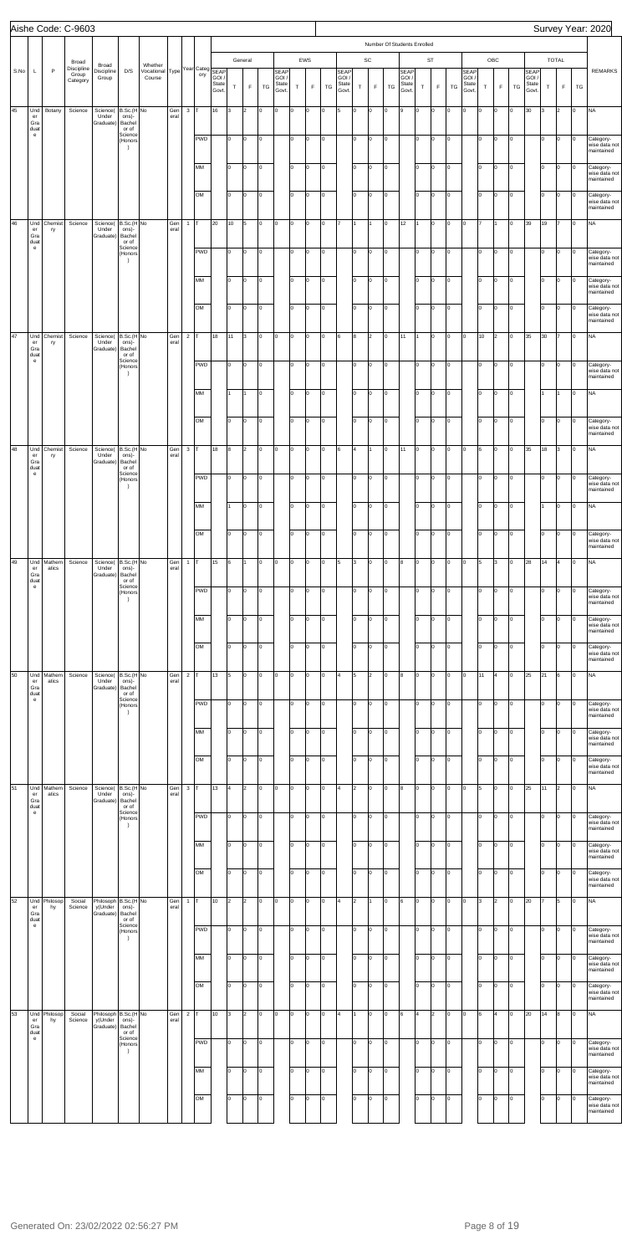|      |                                                                        |                 | Aishe Code: C-9603                       |                                                     |                                                   |                                      |             |                |            |                                            |                |                        |    |                                        |             |          |    |                                        |                |                              |                                   |                                 |        |                          |    |                                       |             |                    |    |                                        |        |                             |    | Survey Year: 2020                                     |
|------|------------------------------------------------------------------------|-----------------|------------------------------------------|-----------------------------------------------------|---------------------------------------------------|--------------------------------------|-------------|----------------|------------|--------------------------------------------|----------------|------------------------|----|----------------------------------------|-------------|----------|----|----------------------------------------|----------------|------------------------------|-----------------------------------|---------------------------------|--------|--------------------------|----|---------------------------------------|-------------|--------------------|----|----------------------------------------|--------|-----------------------------|----|-------------------------------------------------------|
| S.No | L                                                                      | $\mathsf{P}$    | Broad<br>Discipline<br>Group<br>Category | Broad<br>Discipline<br>Group                        | D/S                                               | Whether<br>Vocational Type<br>Course |             |                | ory        | Year Categ SEAP<br>GOI /<br>State<br>Govt. | $\mathsf T$    | General<br>$\mathsf F$ | TG | <b>SEAP</b><br>GOI /<br>State<br>Govt. | $\mathsf T$ | EWS<br>F | TG | <b>SEAP</b><br>GOI /<br>State<br>Govt. | $\mathsf T$    | $\mathsf{SC}$<br>$\mathsf F$ | Number Of Students Enrolled<br>TG | SEAP<br>GOI /<br>State<br>Govt. | $\top$ | <b>ST</b><br>$\mathsf F$ | TG | <b>SEAP</b><br>GOI/<br>State<br>Govt. | $\mathsf T$ | OBC<br>$\mathsf F$ | TG | <b>SEAP</b><br>GOI /<br>State<br>Govt. | $\top$ | <b>TOTAL</b><br>$\mathsf F$ | TG | <b>REMARKS</b>                                        |
| 45   | Und<br>er<br>Gra<br>duat                                               | Botany          | Science                                  | Science(<br>Under<br>Graduate)                      | B.Sc.(H No<br>ons)-<br>Bachel<br>or of            |                                      | Gen<br>eral | 3              |            | 16                                         | Iз             | 2                      | O  | O                                      | O           | ln.      | Iо | 5                                      | o              | Iо                           | O                                 | l9                              | Iо     | o                        | lо | lо                                    | lo.         | $\Omega$           | Iо | 30                                     | 3      | $\overline{2}$              | l0 | <b>NA</b>                                             |
|      | $\mathsf{e}% _{0}\left( \mathsf{e}\right)$                             |                 |                                          |                                                     | Science<br>(Honors<br>$\rightarrow$               |                                      |             |                | <b>PWD</b> |                                            | lо             | o                      | 0  |                                        | lo.         | l0.      | Iо |                                        | lo.            | Iо                           | O                                 |                                 | Iо     | o                        | lо |                                       | I٥          | l0                 | O  |                                        | lо     | o                           | 0  | Category-<br>wise data not<br>maintained              |
|      |                                                                        |                 |                                          |                                                     |                                                   |                                      |             |                | MM         |                                            | lо             | o                      | Iо |                                        | I٥          | l0.      | Iо |                                        | I٥             | Iо                           | O                                 |                                 | Iо     | O                        | Iо |                                       | lо          | O                  | O  |                                        | Iо     | O                           | I٥ | Category-<br>wise data not<br>maintained              |
|      |                                                                        |                 |                                          |                                                     |                                                   |                                      |             |                | OM         |                                            | lо             | o                      | O  |                                        | I٥          | l0.      | Iо |                                        | lo.            | Iо                           | O                                 |                                 | lо     | o                        | O  |                                       | lо          | l0                 | O  |                                        | Iо     | o                           | 0  | Category-<br>wise data not<br>maintained              |
| 46   | Und<br>er<br>Gra<br>duat<br>$\mathsf{e}% _{0}\left( \mathsf{e}\right)$ | Chemist<br>ry   | Science                                  | Science(<br>Under<br>Graduate)                      | B.Sc.(H No<br>ons)-<br>Bachel<br>or of<br>Science |                                      | Gen<br>eral | $\mathbf{1}$   |            | 20                                         | 10             | 5                      | 0  | O                                      | O           | ln.      | Iо |                                        |                | I1                           | o                                 | 12                              | I1     | o                        | lо | lо                                    |             |                    | I٥ | 39                                     | 19     |                             | l0 | NA                                                    |
|      |                                                                        |                 |                                          |                                                     | (Honors<br>$\rightarrow$                          |                                      |             |                | <b>PWD</b> |                                            | lо             | o                      | 0  |                                        | lo.         | l0.      | Iо |                                        | lo.            | Iо                           | O                                 |                                 | Iо     | o                        | lо |                                       | I٥          | l0                 | O  |                                        | lо     | o                           | Iо | Category-<br>wise data not<br>maintained              |
|      |                                                                        |                 |                                          |                                                     |                                                   |                                      |             |                | MM         |                                            | lо             | o                      | Iо |                                        | I٥          | l0.      | Iо |                                        | I٥             | Iо                           | O                                 |                                 | Iо     | O                        | O  |                                       | lо          | l0                 | O  |                                        | lо     | O                           | 0  | Category-<br>wise data not<br>maintained              |
|      |                                                                        |                 |                                          |                                                     |                                                   |                                      |             |                | OM         |                                            | lо             | o                      | o  |                                        | I٥          | l0.      | Iо |                                        | lo.            | Iо                           | O                                 |                                 | lо     | o                        | O  |                                       | $ 0\rangle$ | l0                 | O  |                                        | lо     | o                           | 0  | Category-<br>wise data not<br>maintained              |
| 47   | Und<br>er<br>Gra<br>duat                                               | Chemist<br>ry   | Science                                  | Science(<br>Under<br>Graduate)                      | B.Sc.(H No<br>ons)-<br>Bachel<br>or of            |                                      | Gen<br>eral | $\sqrt{2}$     |            | 18                                         | 11             | 3                      | 0  | O                                      | O           | I٥       | Iо | 6                                      | 8              | I <sub>2</sub>               | o                                 | 11                              | l1     | o                        | O  | lо                                    | 10          | $\overline{2}$     | Iо | 35                                     | 30     |                             | l0 | NA                                                    |
|      | $\mathsf{e}% _{0}\left( \mathsf{e}\right)$                             |                 |                                          |                                                     | Science<br>(Honors<br>$\rightarrow$               |                                      |             |                | <b>PWD</b> |                                            | lо             | o                      | O  |                                        | lo.         | O        | Iо |                                        | lo.            | Iо                           | O                                 |                                 | Iо     | o                        | lо |                                       | I٥          | lo.                | Iо |                                        | lо     | o                           | 0  | Category-<br>wise data not<br>maintained              |
|      |                                                                        |                 |                                          |                                                     |                                                   |                                      |             |                | MM         |                                            | I1             | 11                     | Iо |                                        | I٥          | l0.      | Iо |                                        | I٥             | Iо                           | O                                 |                                 | Iо     | o                        | Iо |                                       | lо          | l0                 | O  |                                        |        |                             | I٥ | <b>NA</b>                                             |
|      |                                                                        |                 |                                          |                                                     |                                                   |                                      |             |                | OM         |                                            | lо             | o                      | O  |                                        | I٥          | l0.      | Iо |                                        | lo.            | Iо                           | O                                 |                                 | lо     | o                        | O  |                                       | $ 0\rangle$ | l0                 | O  |                                        | lо     | O                           | 0  | Category-<br>wise data not<br>maintained              |
| 48   | Und<br>er<br>Gra                                                       | Chemist<br>ry   | Science                                  | Science(<br>Under<br>Graduate)                      | B.Sc.(H No<br>ons)-<br>Bachel                     |                                      | Gen<br>eral | $\mathbf 3$    |            | 18                                         | 8              | 2                      | 0  | O                                      | o           | lo.      | Iо | 6                                      | $\overline{4}$ | I1                           | O                                 | 11                              | Iо     | o                        | O  | lо                                    | 6           | lo.                | Iо | 35                                     | 18     | 3                           | I٥ | NA                                                    |
|      | duat<br>$\mathsf{e}% _{0}\left( t\right)$                              |                 |                                          |                                                     | or of<br>Science<br>(Honors<br>$\rightarrow$      |                                      |             |                | PWD        |                                            | lо             | o                      | 0  |                                        | lo.         | 0        | lо |                                        | lo.            | O                            | O                                 |                                 | lо     | o                        | lо |                                       | I٥          | O                  | O  |                                        | lо     | o                           | 0  | Category-<br>wise data not                            |
|      |                                                                        |                 |                                          |                                                     |                                                   |                                      |             |                | MM         |                                            | l1             | O                      | lo |                                        | I٥          | ln.      | Iо |                                        | lo.            | Iо                           | O                                 |                                 | Iо     | o                        | O  |                                       | lo.         | $\Omega$           | Iо |                                        |        | o                           | I٥ | maintained<br><b>NA</b>                               |
|      |                                                                        |                 |                                          |                                                     |                                                   |                                      |             |                | OM         |                                            | lо             | o                      | lo |                                        | I٥          | ln.      | Iо |                                        | I٥             | Iо                           | O                                 |                                 | Iо     | lo.                      | O  |                                       | Iо          | l٥                 | I٥ |                                        | lо     | O                           | 0  | Category-<br>wise data not                            |
| 49   | Und<br>er                                                              | Mathem<br>atics | Science                                  | Science(<br>Under                                   | B.Sc.(H No<br>ons)-                               |                                      | Gen<br>eral | $\mathbf{1}$   |            | 15                                         | 6              |                        | o  | 0                                      | O           |          | l0 | 5                                      | 3              | Iо                           | O                                 | 8                               | Iо     | o                        | lо | lо                                    | 5           | 3                  | I٥ | 28                                     | 14     | 4                           | l0 | maintained<br><b>NA</b>                               |
|      | Gra<br>duat<br>$\mathsf{e}% _{0}\left( \mathsf{e}\right)$              |                 |                                          | Graduate)                                           | Bachel<br>or of<br>Science<br>(Honors             |                                      |             |                | <b>PWD</b> |                                            | lо             | O                      | o  |                                        | I٥          | ln.      | Iо |                                        | lo.            | O                            | O                                 |                                 | Iо     | Iо                       | lо |                                       | lo.         | l٥                 | I٥ |                                        | I٥     | O                           | 0  | Category-<br>wise data not                            |
|      |                                                                        |                 |                                          |                                                     | -1                                                |                                      |             |                | MM         |                                            | lо             | O                      | l٥ |                                        | I٥          |          | Iо |                                        | l٥             | Iо                           | o                                 |                                 | Iо     | Iо                       | lо |                                       | lo.         | $\Omega$           | I٥ |                                        | I٥     | O                           | I٥ | maintained<br>Category-<br>wise data not              |
|      |                                                                        |                 |                                          |                                                     |                                                   |                                      |             |                | OM         |                                            | lо             | o                      | l٥ |                                        | I٥          | ln.      | Iо |                                        | I٥             | Iо                           | O                                 |                                 | Iо     | lo.                      | O  |                                       | lо          | l٥                 | I٥ |                                        | lо     | O                           | 0  | maintained<br>Category-                               |
| 50   | Und                                                                    | Mathem          | Science                                  | Science(                                            | B.Sc.(H No                                        |                                      | Gen         | $\overline{2}$ |            | 13                                         | 5              | O                      | O  | 0                                      | O           |          | l0 | l4                                     | 5              | I <sub>2</sub>               | O                                 | 8                               | Iо     | o                        | lо | lо                                    | 11          | 4                  | I٥ | 25                                     | 21     | 6                           | l0 | wise data not<br>maintained<br><b>NA</b>              |
|      | er<br>Gra<br>duat<br>$\mathsf{e}% _{0}\left( t\right)$                 | atics           |                                          | Under<br>Graduate)                                  | ons)-<br>Bachel<br>or of<br>Science               |                                      | eral        |                | <b>PWD</b> |                                            | lо             | O                      | o  |                                        | I٥          | ln.      | Iо |                                        | lo.            | O                            | O                                 |                                 | Iо     | Iо                       | O  |                                       | lo.         | $\Omega$           | Iо |                                        | lо     | O                           | 0  |                                                       |
|      |                                                                        |                 |                                          |                                                     | (Honors<br>n                                      |                                      |             |                | MM         |                                            | I٥             | O                      | l٥ |                                        | I٥          |          | l0 |                                        | l٥             | Iо                           | o                                 |                                 | I٥     | Iо                       | lо |                                       | lo.         | $\Omega$           | Iо |                                        | I٥     | O                           | l٥ | Category-<br>wise data not<br>maintained<br>Category- |
|      |                                                                        |                 |                                          |                                                     |                                                   |                                      |             |                |            |                                            |                |                        |    |                                        |             |          |    |                                        |                |                              |                                   |                                 |        |                          |    |                                       |             |                    |    |                                        |        |                             |    | wise data not<br>maintained                           |
|      |                                                                        |                 |                                          |                                                     |                                                   |                                      |             |                | OM         |                                            | lо             | O                      | l٥ |                                        | I٥          | ln.      | Iо |                                        | I٥             | Iо                           | O                                 |                                 | Iо     | lo.                      | o  |                                       | lо          | l٥                 | I٥ |                                        | lо     | O                           | I٥ | Category-<br>wise data not<br>maintained              |
| 51   | Und<br>er<br>Gra<br>duat                                               | Mathem<br>atics | Science                                  | Science(<br>Under<br>Graduate)                      | B.Sc.(H No<br>ons)-<br>Bachel<br>or of            |                                      | Gen<br>eral | $\mathbf 3$    |            | 13                                         | 4              | $\overline{2}$         | o  | 0                                      | O           |          | l0 | l4                                     | $\overline{2}$ | Iо                           | O                                 | 8                               | Iо     | Iо                       | O  | lо                                    | 5           | $\Omega$           | I٥ | 25                                     | 11     | 2                           | l0 | <b>NA</b>                                             |
|      | $\mathsf{e}% _{0}\left( \mathsf{e}\right)$                             |                 |                                          |                                                     | Science<br>(Honors<br>n                           |                                      |             |                | <b>PWD</b> |                                            | lо             | O                      | 0  |                                        | I٥          |          | Iо |                                        | I٥             | O                            | O                                 |                                 | Iо     | Iо                       | O  |                                       | lo.         | lo                 | I٥ |                                        | I٥     | O                           | l٥ | Category-<br>wise data not<br>maintained              |
|      |                                                                        |                 |                                          |                                                     |                                                   |                                      |             |                | MM         |                                            | lо             | O                      | l٥ |                                        | I٥          |          | Iо |                                        | l٥             | Iо                           | o                                 |                                 | I٥     | Iо                       | Iо |                                       | lo.         | $\Omega$           | I٥ |                                        | I٥     | o                           | lo | Category-<br>wise data not<br>maintained              |
|      |                                                                        |                 |                                          |                                                     |                                                   |                                      |             |                | OM         |                                            | lо             | o                      | lo |                                        | I٥          | ln.      | Iо |                                        | I٥             | Iо                           | O                                 |                                 | Iо     | lo.                      | O  |                                       | Iо          | l٥                 | I٥ |                                        | lо     | O                           | I٥ | Category-<br>wise data not<br>maintained              |
| 52   | Und<br>er<br>Gra                                                       | Philosop<br>hy  | Social<br>Science                        | Philosoph B.Sc.(H No<br>y(Under<br>Graduate)        | ons)-<br>Bachel                                   |                                      | Gen<br>eral | $\mathbf{1}$   |            | 10                                         | $\overline{2}$ | 2                      | O  | 0                                      | O           |          | l0 | l4                                     | $\overline{2}$ | I1                           | O                                 | l6                              | Iо     | Iо                       | O  | lо                                    | 3           | $\mathfrak{p}$     | I٥ | 20                                     |        | 5                           | l0 | <b>NA</b>                                             |
|      | duat<br>$\mathsf{e}% _{0}\left( \mathsf{e}\right)$                     |                 |                                          |                                                     | or of<br>Science<br>(Honors<br>n                  |                                      |             |                | <b>PWD</b> |                                            | lо             | o                      | o  |                                        | I٥          | ln.      | Iо |                                        | lo.            | Iо                           | O                                 |                                 | Iо     | Iо                       | Iо |                                       | lo.         | lo                 | I٥ |                                        | I٥     | O                           | I٥ | Category-<br>wise data not<br>maintained              |
|      |                                                                        |                 |                                          |                                                     |                                                   |                                      |             |                | MM         |                                            | lо             | O                      | lо |                                        | I٥          | O        | O  |                                        | lo.            | Iо                           | o                                 |                                 | lо     | O                        | lо |                                       | $ 0\rangle$ | O                  | 0  |                                        | lо     | O                           | Iо | Category-<br>wise data not<br>maintained              |
|      |                                                                        |                 |                                          |                                                     |                                                   |                                      |             |                | OM         |                                            | lо             | o                      | O  |                                        | I٥          | l0.      | Iо |                                        | lo.            | Iо                           | O                                 |                                 | lо     | o                        | lо |                                       | $ 0\rangle$ | l0                 | O  |                                        | Iо     | O                           | I٥ | Category-<br>wise data not<br>maintained              |
| 53   | Und<br>er<br>Gra                                                       | Philosop<br>hy  | Social<br>Science                        | Philosoph B.Sc.(H No<br>y(Under<br>Graduate) Bachel | ons)-                                             |                                      | Gen<br>eral | $\overline{2}$ |            | 10                                         | 3              | $\overline{2}$         | 0  | 0                                      | O           | ln.      | Iо | l4                                     |                | Iо                           | O                                 | 6                               | 4      | l2                       | O  | 0                                     | 6           |                    | I∩ | 20                                     | 14     | 8                           | I٥ | <b>NA</b>                                             |
|      | duat<br>$\mathbf{e}$                                                   |                 |                                          |                                                     | or of<br>Science<br>(Honors<br>-1                 |                                      |             |                | <b>PWD</b> |                                            | l0             | O                      | 0  |                                        | I٥          | I٥       | Iо |                                        | lo.            | Iо                           | O                                 |                                 | Iо     | Iо                       | lо |                                       | I٥          | lo                 | Iо |                                        | lо     | O                           | 0  | Category-<br>wise data not<br>maintained              |
|      |                                                                        |                 |                                          |                                                     |                                                   |                                      |             |                | MM         |                                            | lо             | O                      | 0  |                                        | I٥          | ln.      | Iо |                                        | I٥             | O                            | O                                 |                                 | Iо     | o                        | O  |                                       | Iо          | l0.                | O  |                                        | Iо     | O                           | I٥ | Category-<br>wise data not<br>maintained              |
|      |                                                                        |                 |                                          |                                                     |                                                   |                                      |             |                | OM         |                                            | lо             | O                      | o  |                                        | I٥          | ln.      | Iо |                                        | I٥             | Iо                           | O                                 |                                 | Iо     | Iо                       | Iо |                                       | lо          | ln.                | O  |                                        | lо     | O                           | I٥ | Category-<br>wise data not                            |
|      |                                                                        |                 |                                          |                                                     |                                                   |                                      |             |                |            |                                            |                |                        |    |                                        |             |          |    |                                        |                |                              |                                   |                                 |        |                          |    |                                       |             |                    |    |                                        |        |                             |    | maintained                                            |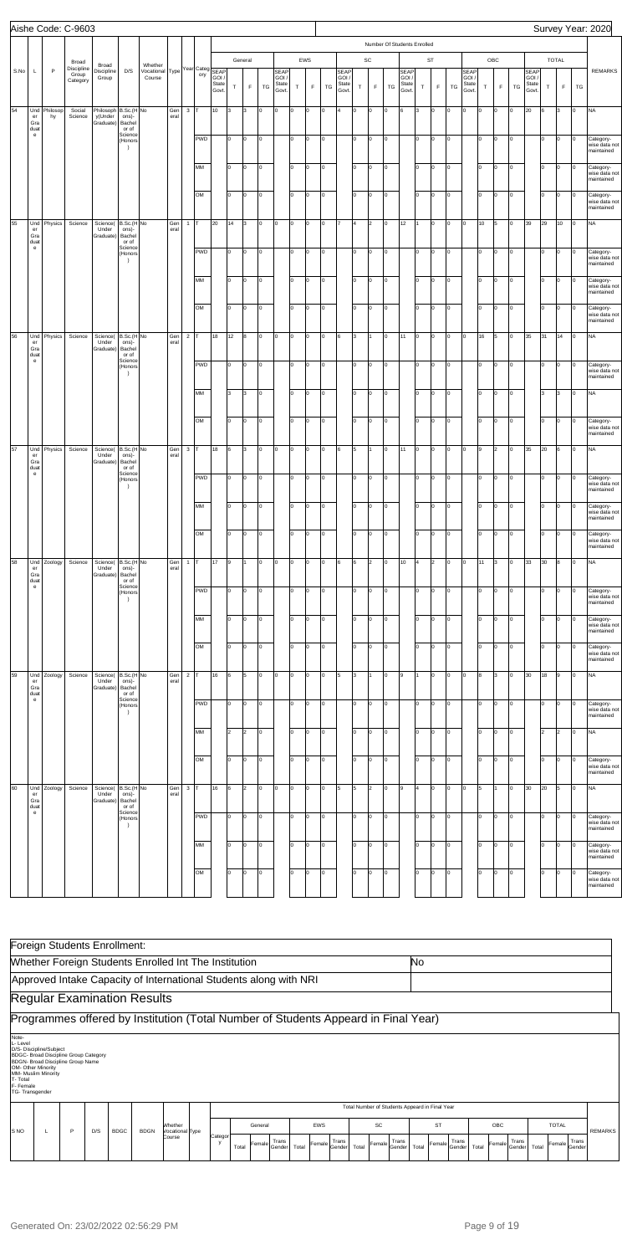|      |                                          |                | Aishe Code: C-9603              |                                                           |                                                   |                      |             |                |                        |                         |          |                |           |                                       |             |             |                |                                 |             |                |          |                                 |           |               |        |                                       |          |             |           |                                       |             |                |                      | Survey Year: 2020                                     |
|------|------------------------------------------|----------------|---------------------------------|-----------------------------------------------------------|---------------------------------------------------|----------------------|-------------|----------------|------------------------|-------------------------|----------|----------------|-----------|---------------------------------------|-------------|-------------|----------------|---------------------------------|-------------|----------------|----------|---------------------------------|-----------|---------------|--------|---------------------------------------|----------|-------------|-----------|---------------------------------------|-------------|----------------|----------------------|-------------------------------------------------------|
|      |                                          |                |                                 |                                                           |                                                   |                      |             |                |                        |                         |          |                |           |                                       |             |             |                |                                 |             |                |          | Number Of Students Enrolled     |           |               |        |                                       |          |             |           |                                       |             |                |                      |                                                       |
|      |                                          |                | Broad                           | Broad                                                     |                                                   | Whether              |             |                |                        |                         |          | General        |           |                                       |             | EWS         |                |                                 |             | SC             |          |                                 |           | $\texttt{ST}$ |        |                                       |          | OBC         |           |                                       |             | <b>TOTAL</b>   |                      |                                                       |
| S.No | L                                        | P              | Discipline<br>Group<br>Category | Discipline<br>Group                                       | D/S                                               | Vocational<br>Course | Type        |                | Year Categ SEAP<br>ory | GOI /<br>State<br>Govt. | Т        | $\mathsf F$    | TG        | <b>SEAP</b><br>GOI.<br>State<br>Govt. | $\mathsf T$ | $\mathsf F$ | TG             | SEAP<br>GOI /<br>State<br>Govt. | $\mathsf T$ | $\mathsf F$    | TG       | SEAP<br>GOI /<br>State<br>Govt. | T         | F             | TG     | <b>SEAP</b><br>GOI/<br>State<br>Govt. | $\top$   | $\mathsf F$ | <b>TG</b> | <b>SEAP</b><br>GOI/<br>State<br>Govt. | $\mathsf T$ | $\mathsf F$    | TG                   | <b>REMARKS</b>                                        |
| 54   | Und<br>er<br>Gra<br>duat                 | Philosop<br>hy | Social<br>Science               | Philosoph B.Sc.(H No<br>y(Under ons)-<br>Graduate) Bachel | or of                                             |                      | Gen<br>eral | $3$ T          |                        | 10                      | Iз       | 3              | ln.       | O                                     | o           | o           | lo             | 4                               | o           | lо             | Iо       | 6                               | 3         | lо            | O      | l٥                                    | $\Omega$ | lо          | lo.       | 20                                    | l6          | 3              | O                    | <b>NA</b>                                             |
|      | $\mathbf{e}$                             |                |                                 |                                                           | Science<br>(Honors<br>$\rightarrow$               |                      |             |                | PWD                    |                         | lo.      | O              | l0.       |                                       | lo.         | O           | O              |                                 | lо          | lо             | Iо       |                                 | I٥        | lо            | O      |                                       | I٥       | O           | o         |                                       | 10          | O              | O                    | Category-<br>wise data not<br>maintained              |
|      |                                          |                |                                 |                                                           |                                                   |                      |             |                | MM                     |                         | I٥       | o              | I۵        |                                       | I٥          | O           | O              |                                 | lо          | lо             | Iо       |                                 | I٥        | O             | O      |                                       | Iо       | 0           | O         |                                       | lо          | o              |                      | Category-<br>wise data not<br>maintained              |
|      |                                          |                |                                 |                                                           |                                                   |                      |             |                | OM                     |                         | I٥       | o              | l0        |                                       | lo.         | lо          | lо             |                                 | $ 0\rangle$ | lо             | Iо       |                                 | lo.       | O             | O      |                                       | Iо       | O           | o         |                                       | Iо          | O              | O                    | Category-<br>wise data not<br>maintained              |
| 55   | Und<br>er<br>Gra<br>duat                 | Physics        | Science                         | Science(<br>Under<br>Graduate)                            | B.Sc.(H No<br>ons)-<br>Bachel<br>or of            |                      | Gen<br>eral | $\mathbf{1}$   | Iт                     | 20                      | 14       | 3              | l0.       | O                                     | o           | O           | lo             |                                 | ١4          | $\overline{2}$ | Iо       | 12                              | 11        | lо            | O      | I٥                                    | 10       | 5           | lo.       | 39                                    | 29          | 10             | O                    | <b>NA</b>                                             |
|      | $\mathbf{e}$                             |                |                                 |                                                           | Science<br>(Honors<br>$\rightarrow$               |                      |             |                | PWD                    |                         | lo.      | O              | I٥        |                                       | lo.         | O           | O              |                                 | lо          | lо             | Iо       |                                 | I٥        | O             | O      |                                       | I٥       | O           | o         |                                       | 10          | O              | O                    | Category-<br>wise data not<br>maintained              |
|      |                                          |                |                                 |                                                           |                                                   |                      |             |                | MM                     |                         | I٥       | o              | I٥        |                                       | lo.         | O           | O              |                                 | lо          | lо             | Iо       |                                 | I٥        | O             | O      |                                       | Iо       | 0           | O         |                                       | lо          | o              | I٥                   | Category-<br>wise data not<br>maintained              |
|      |                                          |                |                                 |                                                           |                                                   |                      |             |                | OM                     |                         | I٥       | O              | l0        |                                       | lo.         | lо          | O              |                                 | $ 0\rangle$ | Iо             | Iо       |                                 | I٥        | O             | O      |                                       | Iо       | O           | o         |                                       | Iо          | O              | O                    | Category-<br>wise data not<br>maintained              |
| 56   | Und<br>er<br>Gra<br>duat<br>$\mathbf{e}$ | Physics        | Science                         | Science(<br>Under<br>Graduate)                            | B.Sc.(H No<br>ons)-<br>Bachel<br>or of<br>Science |                      | Gen<br>eral | $\overline{2}$ | Iт                     | 18                      | 12       | 8              | l0.       | O                                     | O           | lо          | lo             | 6                               | 3           |                | Iо       | 11                              | Iо        | O             | O      | I٥                                    | 16       |             | lo.       | 35                                    | 31          | 14             | O                    | <b>NA</b>                                             |
|      |                                          |                |                                 |                                                           | (Honors<br>$\rightarrow$                          |                      |             |                | PWD                    |                         | lo.      | O              | l0        |                                       | lo.         | lо          | o              |                                 | lо          | Iо             | Iо       |                                 | I٥        | O             | O      |                                       | I٥       | O           | o         |                                       | Iо          | O              | 0                    | Category-<br>wise data not<br>maintained              |
|      |                                          |                |                                 |                                                           |                                                   |                      |             |                | MM                     |                         | 3        | 3              | I٥        |                                       | lo.         | o           | O              |                                 | lо          | lо             | Iо       |                                 | I٥        | O             | O      |                                       | Iо       | 0           | o         |                                       | lз          | 3              | 0                    | <b>NA</b>                                             |
| 57   |                                          |                |                                 |                                                           |                                                   |                      |             |                | OM                     |                         | lо       | O              | l0<br>l0. |                                       | lo.         | lо<br>lо    | O<br>lo        |                                 | $ 0\rangle$ | Iо             | Iо<br>Iо |                                 | I٥        | O             | O      | l0                                    | Iо<br>9  | O           | O<br>o    |                                       | Iо          | O              | 0                    | Category-<br>wise data not<br>maintained              |
|      | Und<br>er<br>Gra<br>duat<br>$\mathbf{e}$ | Physics        | Science                         | Science(<br>Under<br>Graduate)                            | B.Sc.(H No<br>ons)-<br>Bachel<br>or of<br>Science |                      | Gen<br>eral | $3$ T          | PWD                    | 18                      | 6<br>lo. | 3<br>O         | l0.       | O                                     | O<br>lo.    | O           | O              | 6                               | 5<br>lo.    | lо             | Iо       | 11                              | Iо<br>lo. | O<br>O        | O<br>O |                                       | I٥       | 2<br>O      | O         | 35                                    | 20<br>10    | 6<br>o         | O<br>$\vert 0 \vert$ | <b>NA</b><br>Category-                                |
|      |                                          |                |                                 |                                                           | (Honors<br>$\rightarrow$                          |                      |             |                | MM                     |                         | I٥       | o              | ln.       |                                       | I٥          | o           | o              |                                 | Iо          | Iо             | Iо       |                                 | I٥        | O             | O      |                                       | I٥       | O           | o         |                                       | lо          | O              |                      | wise data not<br>maintained                           |
|      |                                          |                |                                 |                                                           |                                                   |                      |             |                | OM                     |                         | I٥       | o              |           |                                       | I٥          | O           | o              |                                 | $ 0\rangle$ | lo.            | Iо       |                                 | I٥        | lо            | O      |                                       | lо       | O           | o         |                                       | lо          | O              | 0                    | Category-<br>wise data not<br>maintained<br>Category- |
| 58   | Und                                      | Zoology        | Science                         | Science(                                                  | B.Sc.(H No                                        |                      | Gen         | $\mathbf{1}$   | Iт                     | 17                      | l9       |                |           | O                                     | lо          | O           | lo             | 6                               | 6           | 2              | Iо       | 10                              | 4         | 2             | O      | I٥                                    | 11       | 3           | O         | 33                                    | 30          | 8              | lo.                  | wise data not<br>maintained<br><b>NA</b>              |
|      | er<br>Gra<br>duat<br>${\bf e}$           |                |                                 | Under<br>Graduate)                                        | ons)-<br>Bachel<br>or of<br>Science               |                      | eral        |                | <b>PWD</b>             |                         | lo.      | o              | ln.       |                                       | lo.         | O           | O              |                                 | I٥          | l0             | Iо       |                                 | I٥        | lо            | o      |                                       | ١o       | O           | O         |                                       | 10          | o              | 0                    |                                                       |
|      |                                          |                |                                 |                                                           | (Honors<br>$\rightarrow$                          |                      |             |                | MM                     |                         | lо       | l0             |           |                                       | I٥          | l0          | lo             |                                 | Iо          | l0             | Iо       |                                 | lo.       | O             | O      |                                       | l٥       | O           | O         |                                       | lо          | o              |                      | Category-<br>wise data not<br>maintained<br>Category- |
|      |                                          |                |                                 |                                                           |                                                   |                      |             |                | OM                     |                         | lо       | o              | ln.       |                                       | I٥          | O           | o              |                                 | $ 0\rangle$ | Iо             | Iо       |                                 | I٥        | O             | O      |                                       | lо       | O           | o         |                                       | lо          | O              | 0                    | wise data not<br>maintained<br>Category-              |
| 59   | Und                                      | Zoology        | Science                         | Science(                                                  | B.Sc.(H No                                        |                      | Gen         | $2$ T          |                        | 16                      | 6        | 5              |           | O                                     | lо          | O           | lo             | 5                               | 3           |                | Iо       | l9                              | 1         | O             | O      | l0                                    | 8        | Iз          | Iо        | 30                                    | 18          | 9              | lo.                  | wise data not<br>maintained<br><b>NA</b>              |
|      | er<br>Gra<br>duat<br>${\bf e}$           |                |                                 | Under<br>Graduate)                                        | ons)-<br>Bachel<br>or of<br>Science<br>(Honors    |                      | eral        |                | <b>PWD</b>             |                         | lо       | o              | ln.       |                                       | lo.         | lо          | o              |                                 | I٥          | Iо             | Iо       |                                 | lo.       | lо            | O      |                                       | I٥       | 0           | O         |                                       | 10          | o              | 0                    | Category-<br>wise data not                            |
|      |                                          |                |                                 |                                                           | $\rightarrow$                                     |                      |             |                | MM                     |                         | 2        | 2              |           |                                       | I٥          | l٥          | lo             |                                 | Iо          | l0             | Iо       |                                 | lo.       | lо            | O      |                                       | lo.      | Iо          | lo.       |                                       | 2           | $\overline{2}$ | I٥                   | maintained<br><b>NA</b>                               |
|      |                                          |                |                                 |                                                           |                                                   |                      |             |                | OM                     |                         | I٥       | o              | ln.       |                                       | I٥          | lо          | o              |                                 | $ 0\rangle$ | Iо             | Iо       |                                 | I٥        | lо            | O      |                                       | Iо       | O           | o         |                                       | Iо          | O              | O                    | Category-<br>wise data not                            |
| 60   | Und<br>er                                | Zoology        | Science                         | Science(<br>Under                                         | B.Sc.(H No<br>ons)-                               |                      | Gen<br>eral | $\mathbf{3}$   | Iт                     | 16                      | 6        | $\overline{2}$ |           | O                                     | o           | O           | lo             | 5                               | 5           | $\overline{2}$ | Iо       | 9                               | 4         | O             | O      | l0                                    | 5        |             | I٥        | 30                                    | 20          | 5              | l0                   | maintained<br><b>NA</b>                               |
|      | Gra<br>duat<br>$\mathbf{e}$              |                |                                 | Graduate)                                                 | Bachel<br>or of<br>Science<br>(Honors             |                      |             |                | <b>PWD</b>             |                         | I٥       | o              | ln.       |                                       | lo.         | o           | o              |                                 | I٥          | l0             | Iо       |                                 | I٥        | lо            | O      |                                       | I٥       | O           | O         |                                       | 10          | o              | O                    | Category-<br>wise data not                            |
|      |                                          |                |                                 |                                                           | $\rightarrow$                                     |                      |             |                | MM                     |                         | lо       | lo.            |           |                                       | I٥          | l٥          | $\overline{0}$ |                                 | Iо          | l0             | Iо       |                                 | o         | O             | O      |                                       | lo.      | Iо          | o         |                                       | lо          | o              |                      | maintained<br>Category-<br>wise data not              |
|      |                                          |                |                                 |                                                           |                                                   |                      |             |                | OM                     |                         | l0       | o              |           |                                       | lo.         | O           | lo             |                                 | $\log$      | Iо             | Iо       |                                 | I٥        | lо            | O      |                                       | lо       | lо          | lo.       |                                       | 10          | O              | O                    | maintained<br>Category-<br>wise data not              |
|      |                                          |                |                                 |                                                           |                                                   |                      |             |                |                        |                         |          |                |           |                                       |             |             |                |                                 |             |                |          |                                 |           |               |        |                                       |          |             |           |                                       |             |                |                      | maintained                                            |

|                                                            | Foreign Students Enrollment:                                                                                                                                     |   |     |             |                                                                                    |                            |                                  |       |         |                              |       |        |                 |       |                                                |       |       |           |                 |       |            |                 |       |              |                 |                |
|------------------------------------------------------------|------------------------------------------------------------------------------------------------------------------------------------------------------------------|---|-----|-------------|------------------------------------------------------------------------------------|----------------------------|----------------------------------|-------|---------|------------------------------|-------|--------|-----------------|-------|------------------------------------------------|-------|-------|-----------|-----------------|-------|------------|-----------------|-------|--------------|-----------------|----------------|
|                                                            |                                                                                                                                                                  |   |     |             | <b>Whether Foreign Students Enrolled Int The Institution</b>                       |                            |                                  |       |         |                              |       |        |                 |       |                                                |       | No.   |           |                 |       |            |                 |       |              |                 |                |
|                                                            |                                                                                                                                                                  |   |     |             | Approved Intake Capacity of International Students along with NRI                  |                            |                                  |       |         |                              |       |        |                 |       |                                                |       |       |           |                 |       |            |                 |       |              |                 |                |
|                                                            |                                                                                                                                                                  |   |     |             | <b>Regular Examination Results</b>                                                 |                            |                                  |       |         |                              |       |        |                 |       |                                                |       |       |           |                 |       |            |                 |       |              |                 |                |
|                                                            |                                                                                                                                                                  |   |     |             | Programmes offered by Institution (Total Number of Students Appeard in Final Year) |                            |                                  |       |         |                              |       |        |                 |       |                                                |       |       |           |                 |       |            |                 |       |              |                 |                |
| Note-<br>L- Level<br>T-Total<br>F-Female<br>TG-Transgender | D/S- Discipline/Subject<br><b>BDGC- Broad Discipline Group Category</b><br><b>BDGN- Broad Discipline Group Name</b><br>OM- Other Minority<br>MM- Muslim Minority |   |     |             |                                                                                    |                            |                                  |       |         |                              |       |        |                 |       |                                                |       |       |           |                 |       |            |                 |       |              |                 |                |
|                                                            |                                                                                                                                                                  |   |     |             |                                                                                    |                            |                                  |       |         |                              |       |        |                 |       | Total Number of Students Appeard in Final Year |       |       |           |                 |       |            |                 |       |              |                 |                |
| <b>SNO</b>                                                 |                                                                                                                                                                  | P | D/S | <b>BDGC</b> | <b>BDGN</b>                                                                        | Whether<br>Vocational Type |                                  |       | General |                              |       | EWS    |                 |       | <b>SC</b>                                      |       |       | <b>ST</b> |                 |       | <b>OBC</b> |                 |       | <b>TOTAL</b> |                 | <b>REMARKS</b> |
|                                                            |                                                                                                                                                                  |   |     |             |                                                                                    | Course                     | Categor <sup>®</sup><br><b>V</b> | Total | Female  | Trans<br>Gender <sup>1</sup> | Total | Female | Trans<br>Gender | Total | Female Gender                                  | Trans | Total | Female    | Trans<br>Gender | Total | Female     | Trans<br>Gender | Total | Female       | Trans<br>Gender |                |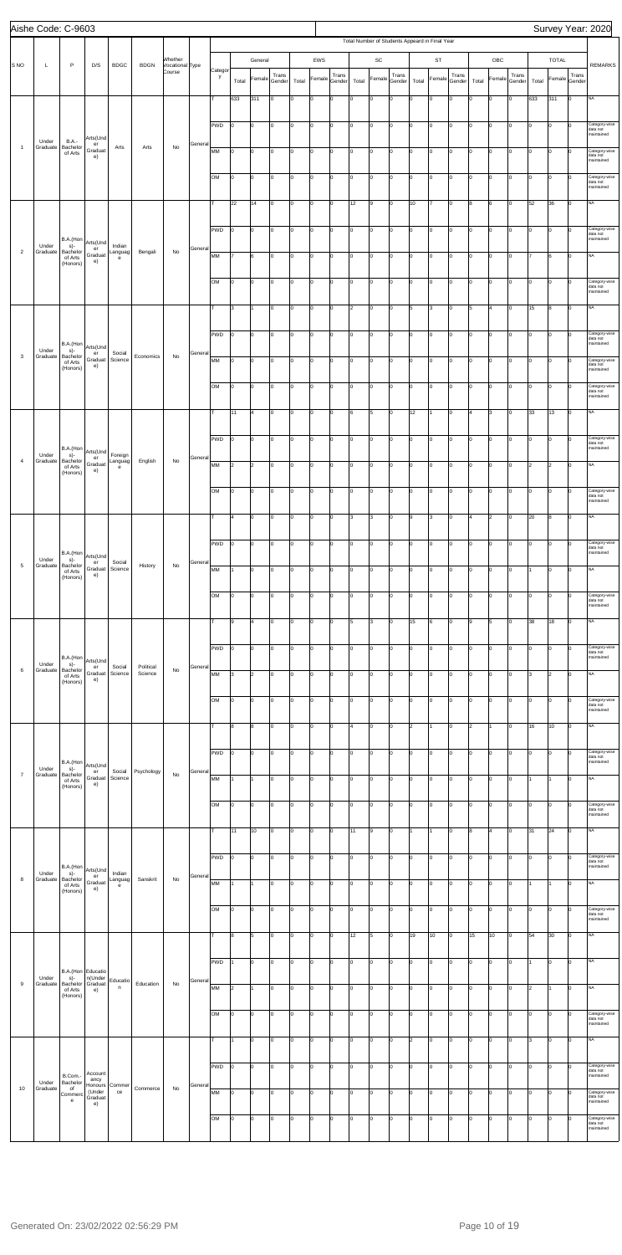| Aishe Code: C-9603 |                   |                                         |                           |                    |                      |                            |         |              |                 |                      |                 |       |        |                 |       |              |                 |       |                                                |                 |                |                |                 |       |              |                 | Survey Year: 2020                       |
|--------------------|-------------------|-----------------------------------------|---------------------------|--------------------|----------------------|----------------------------|---------|--------------|-----------------|----------------------|-----------------|-------|--------|-----------------|-------|--------------|-----------------|-------|------------------------------------------------|-----------------|----------------|----------------|-----------------|-------|--------------|-----------------|-----------------------------------------|
|                    |                   |                                         |                           |                    |                      |                            |         |              |                 |                      |                 |       |        |                 |       |              |                 |       | Total Number of Students Appeard in Final Year |                 |                |                |                 |       |              |                 |                                         |
| S <sub>NO</sub>    | L                 | P                                       | D/S                       | <b>BDGC</b>        | <b>BDGN</b>          | Whether<br>Vocational Type |         |              |                 | General              |                 |       | EWS    |                 |       | SC           |                 |       | <b>ST</b>                                      |                 |                | OBC            |                 |       | <b>TOTAL</b> |                 | <b>REMARKS</b>                          |
|                    |                   |                                         |                           |                    |                      | Course                     |         | Categor<br>y | Total           | Female               | Trans<br>Gender | Total | Female | Trans<br>Gender | Total | Female       | Trans<br>Gender | Total | Female                                         | Trans<br>Gender | Total          | Female         | Trans<br>Gender | Total | Female       | Trans<br>Gender |                                         |
|                    |                   |                                         |                           |                    |                      |                            |         | T            | 633             | 311                  | Iо              | Iо    | O      | lo.             | Iо    | O            | lo.             | I٥    | $\overline{0}$                                 | I٥              | lo             | $\overline{0}$ | lo.             | 633   | 311          | I٥              | <b>NA</b>                               |
|                    |                   |                                         |                           |                    |                      |                            |         |              |                 |                      |                 |       |        |                 |       |              |                 |       |                                                |                 |                |                |                 |       |              |                 |                                         |
|                    |                   |                                         |                           |                    |                      |                            |         | <b>PWD</b>   | I٥              | o                    | Iо              | lо    | O      | lo.             | Iо    | O            | I٥              | lo.   | $\overline{0}$                                 | 0               | o              | $\overline{0}$ | Iо              | l٥    | 0            | Iо              | Category-wise<br>data not<br>maintained |
| $\overline{1}$     | Under<br>Graduate | <b>B.A.-</b><br>Bachelor                | Arts(Und<br>er<br>Graduat | Arts               | Arts                 | No                         | General | MM           | O               | $\overline{0}$       | Iо              | Iо    | O      | Iо              | Iо    | O            | Iо              | lо    | $\overline{0}$                                 | I٥              | Iо             | 0              | lо              | Iо    | 0            | n               | Category-wise                           |
|                    |                   | of Arts                                 | e)                        |                    |                      |                            |         |              |                 |                      |                 |       |        |                 |       |              |                 |       |                                                |                 |                |                |                 |       |              |                 | data not<br>maintained                  |
|                    |                   |                                         |                           |                    |                      |                            |         | OМ           | lo.             | $\overline{0}$       | Iо              | Iо    | O      | Iо              | I٥    | o            | lo              | lo.   | $\overline{0}$                                 | Iо              | Iо             | lo.            | lo.             | Ιo    | lo           | $\Omega$        | Category-wise<br>data not               |
|                    |                   |                                         |                           |                    |                      |                            |         |              |                 |                      |                 |       |        |                 |       |              |                 |       |                                                |                 |                |                |                 |       |              |                 | maintained                              |
|                    |                   |                                         |                           |                    |                      |                            |         | т            | 22              | 14                   | Iо              | lо    | 0      | Iо              | 12    | 9            | I٥              | 10    | 7                                              | lо              | 8              | 6              | Iо              | 52    | 36           | Iо              | <b>NA</b>                               |
|                    |                   |                                         |                           |                    |                      |                            |         | <b>PWD</b>   | O               | lo                   | I٥              | Iо    | O      | Iо              | Iо    | O            | lo.             | I٥    | 0                                              | 0               | I٥             | 0              | Iо              | Iо    | 0            | $\Omega$        | Category-wise<br>data not               |
|                    | Under             | B.A.(Hon<br>s)-                         | Arts(Und<br>er            | Indian             |                      |                            | General |              |                 |                      |                 |       |        |                 |       |              |                 |       |                                                |                 |                |                |                 |       |              |                 | maintained                              |
| $\overline{2}$     | Graduate          | Bachelor<br>of Arts<br>(Honors)         | Graduat<br>e)             | Languag<br>e       | Bengali              | No                         |         | МM           | 17              | 6                    | lo.             | Iо    | l0     | Iо              | I٥    | 0            | lo.             | I٥    | $\overline{0}$                                 | lо              | I٥             | lo.            | lo.             |       | 6            | I٥              | <b>NA</b>                               |
|                    |                   |                                         |                           |                    |                      |                            |         | OM           | O               | $\overline{0}$       | Iо              | lо    | O      | Iо              | I٥    | O            | I٥              | I٥    | $\overline{0}$                                 | 0               | o              | $\overline{0}$ | Iо              | Iо    | O            | Iо              | Category-wise                           |
|                    |                   |                                         |                           |                    |                      |                            |         |              |                 |                      |                 |       |        |                 |       |              |                 |       |                                                |                 |                |                |                 |       |              |                 | data not<br>maintained                  |
|                    |                   |                                         |                           |                    |                      |                            |         | т            | 3               |                      | I٥              | Iо    | O      | Iо              | 2     | O            | Iо              | 5     | 3                                              | I٥              | 5              | $\overline{4}$ | Iо              | 15    | 8            | I٥              | <b>NA</b>                               |
|                    |                   |                                         |                           |                    |                      |                            |         |              | lo.             | $\overline{0}$       | Iо              | Iо    | l0     |                 | I٥    | 0            | $\vert 0 \vert$ | I٥    | O                                              | Iо              | Iо             | lo.            | Iо              | lo.   | lo           | Iо              | Category-wise                           |
|                    | Under             | B.A.(Hon<br>s)-                         | Arts(Und                  |                    |                      |                            |         | <b>PWD</b>   |                 |                      |                 |       |        | lо              |       |              |                 |       |                                                |                 |                |                |                 |       |              |                 | data not<br>maintained                  |
| 3                  | Graduate          | Bachelor<br>of Arts                     | er<br>Graduat<br>e)       | Social<br>Science  | Economics            | No                         | General | MM           | I٥              | $\overline{0}$       | Iо              | Iо    | O      | lo.             | Iо    | O            | I٥              | Iо    | 0                                              | 0               | o              | $\overline{0}$ | Iо              | Ιo    | O            | O               | Category-wise<br>data not               |
|                    |                   | (Honors)                                |                           |                    |                      |                            |         |              |                 |                      |                 |       |        |                 |       |              |                 |       |                                                |                 |                |                |                 |       |              |                 | maintained                              |
|                    |                   |                                         |                           |                    |                      |                            |         | <b>OM</b>    | O               | O                    | Iо              | Iо    | l0     | lo.             | Iо    | O            | l0              | I٥    | $\overline{0}$                                 | 0               | I٥             | 0              | lo.             | Iо    | l0           | n               | Category-wise<br>data not<br>maintained |
|                    |                   |                                         |                           |                    |                      |                            |         | T            | 11              | l4                   | I٥              | Iо    | l0     | Iо              | l6    | 5            | lo.             | 12    | 11                                             | lо              | 4              | 3              | lo.             | 33    | 13           | lo.             | <b>NA</b>                               |
|                    |                   |                                         |                           |                    |                      |                            |         |              |                 |                      |                 |       |        |                 |       |              |                 |       |                                                |                 |                |                |                 |       |              |                 |                                         |
|                    |                   | B.A.(Hon                                |                           |                    |                      |                            |         | <b>PWD</b>   | I٥              | $\overline{0}$       | I٥              | lо    | O      | Iо              | I٥    | $\mathsf{o}$ | I٥              | I٥    | $\overline{0}$                                 | 0               | o              | $\overline{0}$ | lо              | Iо    | lо           | Iо              | Category-wise<br>data not<br>maintained |
| $\overline{4}$     | Under<br>Graduate | s)-<br>Bachelor                         | Arts(Und<br>er<br>Graduat | Foreign<br>Languag | English              | No                         | General | MM           | 2               | 2                    | Iо              | Iо    | O      | Iо              | lо    | O            | Iо              | I٥    | $\overline{0}$                                 | lo.             | lо             | 0              | lо              | 2     | 2            | I٥              | <b>NA</b>                               |
|                    |                   | of Arts<br>(Honors)                     | e)                        | e                  |                      |                            |         |              |                 |                      |                 |       |        |                 |       |              |                 |       |                                                |                 |                |                |                 |       |              |                 |                                         |
|                    |                   |                                         |                           |                    |                      |                            |         | OM           | 0               |                      |                 |       |        |                 |       | $\mathbf 0$  |                 |       |                                                |                 |                |                |                 |       |              |                 | ategory-wise<br>data not                |
|                    |                   |                                         |                           |                    |                      |                            |         |              |                 |                      |                 |       |        |                 |       |              |                 |       |                                                |                 |                |                |                 |       |              |                 | maintained                              |
|                    |                   |                                         |                           |                    |                      |                            |         | т            | 4               | $\overline{0}$       | Iо              | lо    | 0      | Iо              | 3     | 3            | Iо              | l9    | 3                                              | O               | $\overline{4}$ | $\overline{2}$ | Iо              | 20    | 8            | I٥              | <b>NA</b>                               |
|                    |                   |                                         |                           |                    |                      |                            |         | <b>PWD</b>   | 0               | $\overline{0}$       | I٥              | Iо    | O      | lo.             | Iо    | O            | I٥              | lо    | 0                                              | 0               | lo             | 0              | Iо              | Iо    | 0            | Iо              | Category-wise<br>data not               |
| $\overline{5}$     | Under             | B.A.(Hon Arts(Und<br>s)-                | er                        | Social             |                      |                            | General |              |                 |                      |                 |       |        |                 |       |              |                 |       |                                                |                 |                |                |                 |       |              |                 | maintained                              |
|                    | Graduate          | Bachelor<br>of Arts<br>(Honors)         | Graduat<br>e)             | Science            | History              | No                         |         | МM           | 11.             | $\overline{0}$       | I٥              | Iо    | l0     | Iо              | Iо    | 0            | lo.             | I٥    | O                                              | I٥              | I٥             | $\overline{0}$ | lo.             |       | lo           | I٥              | <b>NA</b>                               |
|                    |                   |                                         |                           |                    |                      |                            |         | OM           | I٥              | o                    | Iо              | lо    | O      | lo.             | Iо    | O            | Iо              | lо    | $\overline{0}$                                 | 0               | o              | $\overline{0}$ | Iо              | Iо    | 0            | I٥              | Category-wise                           |
|                    |                   |                                         |                           |                    |                      |                            |         |              |                 |                      |                 |       |        |                 |       |              |                 |       |                                                |                 |                |                |                 |       |              |                 | data not<br>maintained                  |
|                    |                   |                                         |                           |                    |                      |                            |         |              | 9               | 4                    | lo.             | Iо    | O      | lo.             | 5     | 3            | I٥              | 15    | 6                                              | I٥              | l9             | 5              | Iо              | 38    | 18           | lo.             | <b>NA</b>                               |
|                    |                   |                                         |                           |                    |                      |                            |         | <b>PWD</b>   | I٥              | $\overline{0}$       | Iо              | Iо    | l0     | Iо              | I٥    | o            | lo.             | I٥    | O                                              | Iо              | Iо             | lo.            | lo.             | lo.   | lo           | lo.             | Category-wise                           |
|                    | Under             | B.A.(Hon<br>s)-                         | Arts(Und                  |                    |                      |                            |         |              |                 |                      |                 |       |        |                 |       |              |                 |       |                                                |                 |                |                |                 |       |              |                 | data not<br>maintained                  |
| $\,6$              | Graduate          | Bachelor<br>of Arts                     | er<br>Graduat<br>e)       | Social<br>Science  | Political<br>Science | No                         | General | MM           | 3               | $\vert$ <sub>2</sub> | Iо              | Iо    | 0      | lo.             | Iо    | 0            | Iо              | I٥    | 0                                              | 0               | o              | $\mathbf 0$    | Iо              | ıз    | 2            | I٥              | <b>NA</b>                               |
|                    |                   | (Honors)                                |                           |                    |                      |                            |         |              |                 |                      |                 |       |        |                 |       |              |                 |       |                                                |                 |                |                |                 |       |              |                 |                                         |
|                    |                   |                                         |                           |                    |                      |                            |         | OМ           | O               | 0                    | lo.             | I٥    | O      | Iо              | Iо    | O            | I٥              | lо    | 0                                              | I٥              | I٥             | 0              | Iо              | Iо    | l0           | Iо              | Category-wise<br>data not<br>maintained |
|                    |                   |                                         |                           |                    |                      |                            |         | lт           | 8               | 8                    | lo.             | Iо    | l0     | Iо              | 4     | 0            | lo.             | 2     | 1                                              | lо              | $\overline{2}$ |                | lo.             | 16    | 10           | lo.             | <b>NA</b>                               |
|                    |                   |                                         |                           |                    |                      |                            |         |              |                 |                      |                 |       |        |                 |       |              |                 |       |                                                |                 |                |                |                 |       |              |                 |                                         |
|                    |                   | B.A.(Hon                                |                           |                    |                      |                            |         | <b>PWD</b>   | 0               | O                    | Iо              | lо    | O      | lo.             | I٥    | O            | I٥              | lо    | $\overline{0}$                                 | O               | o              | $\overline{0}$ | Iо              | Iо    | 0            | Iо              | Category-wise<br>data not<br>maintained |
| $\overline{7}$     | Under<br>Graduate | s)-<br>Bachelor<br>of Arts              | Arts(Und<br>er<br>Graduat | Social<br>Science  | Psychology           | No                         | General | MM           |                 | 11                   | I٥              | Iо    | O      | lo.             | Iо    | O            | Iо              | I٥    | 0                                              | lо              | I٥             | 0              | Iо              |       | I1           | l٥              | <b>NA</b>                               |
|                    |                   | (Honors)                                | e)                        |                    |                      |                            |         |              |                 |                      |                 |       |        |                 |       |              |                 |       |                                                |                 |                |                |                 |       |              |                 |                                         |
|                    |                   |                                         |                           |                    |                      |                            |         | OM           | 0               | $\overline{0}$       | Iо              | Iо    | O      | I٥              | I٥    | O            | $\vert 0 \vert$ | lo.   | O                                              | Iо              | Iо             | lo.            | lо              | lo.   | lo           | lo.             | Category-wise<br>data not<br>maintained |
|                    |                   |                                         |                           |                    |                      |                            |         | т            | 11              | 10                   | Iо              | lо    | O      | Iо              | 11    | 9            | I٥              | 1     | 1                                              | O               | 8              | $\overline{4}$ | Iо              | 31    | 24           | I٥              | <b>NA</b>                               |
|                    |                   |                                         |                           |                    |                      |                            |         |              |                 |                      |                 |       |        |                 |       |              |                 |       |                                                |                 |                |                |                 |       |              |                 |                                         |
|                    |                   |                                         |                           |                    |                      |                            |         | <b>PWD</b>   | 0               | lo                   | lo.             | Iо    | O      | lo.             | Iо    | O            | I٥              | lо    | $\overline{0}$                                 | 0               | I٥             | 0              | lo.             | Iо    | 0            | Iо              | Category-wise<br>data not               |
| $\bf8$             | Under<br>Graduate | B.A.(Hon<br>s)-<br>Bachelor             | Arts(Und<br>er            | Indian<br>Languag  | Sanskrit             | No                         | General |              |                 |                      |                 |       |        |                 |       |              |                 |       |                                                |                 |                |                |                 |       |              |                 | maintained                              |
|                    |                   | of Arts<br>(Honors)                     | Graduat<br>e)             | e                  |                      |                            |         | МM           | 11.             | $\overline{1}$       | I٥              | Iо    | l0     | Iо              | Iо    | 0            | lo.             | I٥    | O                                              | I٥              | I٥             | $\overline{0}$ | lo.             |       | I1.          | Ιo              | <b>NA</b>                               |
|                    |                   |                                         |                           |                    |                      |                            |         | OM           | O               | $\overline{0}$       | I٥              | Iо    | O      | lo.             | I٥    | O            | Iо              | lo.   | $\overline{0}$                                 | 0               | o              | $\overline{0}$ | Iо              | Iо    | 0            | I٥              | Category-wise<br>data not               |
|                    |                   |                                         |                           |                    |                      |                            |         |              |                 |                      |                 |       |        |                 |       |              |                 |       |                                                |                 |                |                |                 |       |              |                 | maintained                              |
|                    |                   |                                         |                           |                    |                      |                            |         | T            | 8               | 5                    | Iо              | Iо    | O      | Iо              | 12    | 5            | I٥              | 19    | 10                                             | lо              | 15             | 10             | Iо              | 54    | 30           | lo.             | <b>NA</b>                               |
|                    |                   |                                         |                           |                    |                      |                            |         | PWD          |                 | 0                    |                 |       |        |                 |       | 0            |                 |       |                                                |                 |                |                |                 |       | ıυ           |                 |                                         |
|                    | Under             | B.A.(Hon Educatio<br>s)-                | n(Under                   | Educatio           |                      |                            |         |              |                 |                      |                 |       |        |                 |       |              |                 |       |                                                |                 |                |                |                 |       |              |                 |                                         |
| 9                  | Graduate          | Bachelor Graduat<br>of Arts<br>(Honors) | e)                        | n                  | Education            | No                         | General | MM           | $\vert$ 2       | l1                   | Iо              | lо    | 0      | Iо              | 0     | 0            | Iо              | 10    | 0                                              | O               | lо             | 0              | Iо              | 2     | 1            | Iо              | NA                                      |
|                    |                   |                                         |                           |                    |                      |                            |         |              |                 |                      |                 |       |        |                 |       |              |                 |       |                                                |                 |                |                |                 |       |              | n               |                                         |
|                    |                   |                                         |                           |                    |                      |                            |         | OM           | $\vert 0 \vert$ | $\overline{0}$       | I٥              | 10    | O      | Iо              | Iо    | O            | Iо              | lo.   | $\overline{0}$                                 | 0               | lо             | 0              | Iо              | Iо    | 0            |                 | Category-wise<br>data not<br>maintained |
|                    |                   |                                         |                           |                    |                      |                            |         | т            | 11              | $\overline{0}$       | lo.             | Iо    | O      | Iо              | I٥    | 0            | lo.             | 2     | $\overline{0}$                                 | lo.             | I٥             | lo.            | lo.             | lз    | lo           | lo.             | <b>NA</b>                               |
|                    |                   |                                         |                           |                    |                      |                            |         |              |                 |                      |                 |       |        |                 |       |              |                 |       |                                                |                 |                |                |                 |       |              |                 |                                         |
|                    |                   | B.Com.-                                 | Account                   |                    |                      |                            |         | PWD          | $\vert 0 \vert$ | $\overline{0}$       | Iо              | lо    | O      | Iо              | lo.   | O            | I٥              | Iо    | $\overline{0}$                                 | O               | I٥             | $\overline{0}$ | Iо              | Iо    | 0            | Iо              | Category-wise<br>data not<br>maintained |
| 10                 | Under<br>Graduate | Bachelor<br>of<br>Commero               | ancy<br>Honours<br>(Under | Commer<br>ce       | Commerce             | No                         | General | MM           | O               | $\overline{0}$       | Iо              | Iо    | O      | Iо              | lо    | O            | Iо              | lo.   | $\overline{0}$                                 | I٥              | lо             | 0              | Iо              | Iо    | lo           | n               | Category-wise                           |
|                    |                   | e                                       | Graduat<br>e)             |                    |                      |                            |         |              |                 |                      |                 |       |        |                 |       |              |                 |       |                                                |                 |                |                |                 |       |              |                 | data not<br>maintained                  |
|                    |                   |                                         |                           |                    |                      |                            |         | OM           | 0               | $\overline{0}$       | Iо              | Iо    | O      | Iо              | Iо    | O            | lo.             | I٥    | O                                              | lо              | I٥             | lo.            | lo.             | Iо    | lo           | $\Omega$        | Category-wise<br>data not<br>maintained |
|                    |                   |                                         |                           |                    |                      |                            |         |              |                 |                      |                 |       |        |                 |       |              |                 |       |                                                |                 |                |                |                 |       |              |                 |                                         |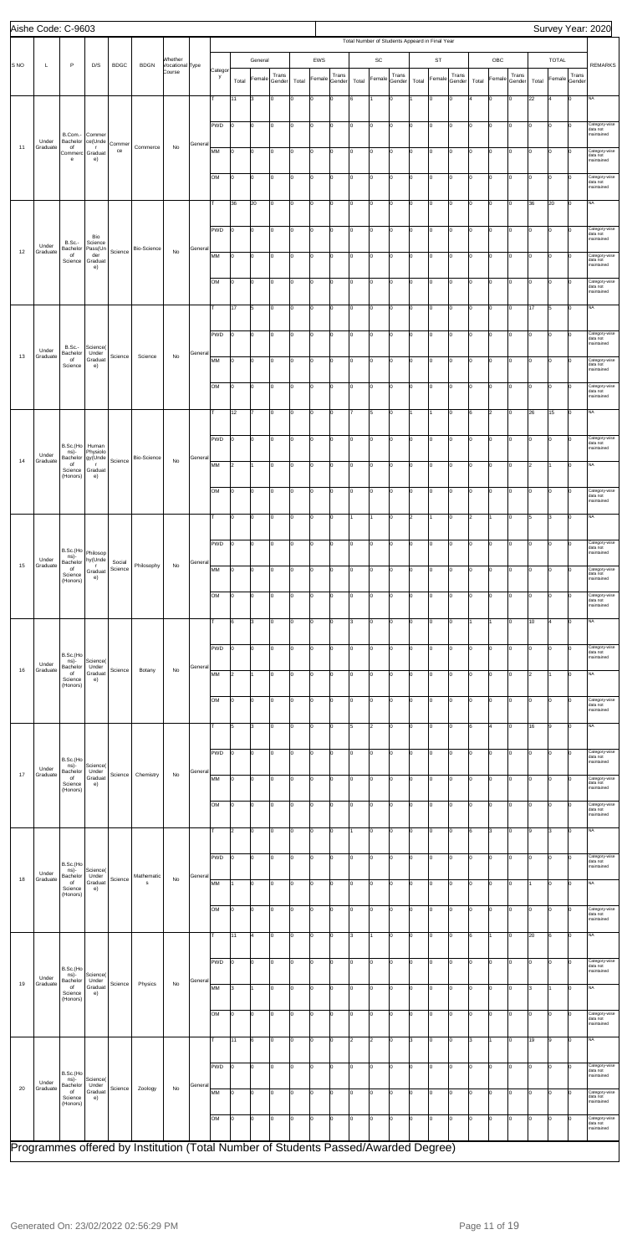|                 | Aishe Code: C-9603 |                                       |                                     |             |                                                                                    |                            |         |              |       |                |                 |       |        |                 |       |               |                 |       |                                                |                 |       |                |                 |       |              |                 | Survey Year: 2020                       |
|-----------------|--------------------|---------------------------------------|-------------------------------------|-------------|------------------------------------------------------------------------------------|----------------------------|---------|--------------|-------|----------------|-----------------|-------|--------|-----------------|-------|---------------|-----------------|-------|------------------------------------------------|-----------------|-------|----------------|-----------------|-------|--------------|-----------------|-----------------------------------------|
|                 |                    |                                       |                                     |             |                                                                                    |                            |         |              |       |                |                 |       |        |                 |       |               |                 |       | Total Number of Students Appeard in Final Year |                 |       |                |                 |       |              |                 |                                         |
| S <sub>NO</sub> | Г                  | $\mathsf{P}$                          | D/S                                 | <b>BDGC</b> | <b>BDGN</b>                                                                        | Whether<br>Vocational Type |         |              |       | General        |                 |       | EWS    |                 |       | $\mathsf{SC}$ |                 |       | <b>ST</b>                                      |                 |       | OBC            |                 |       | <b>TOTAL</b> |                 | <b>REMARKS</b>                          |
|                 |                    |                                       |                                     |             |                                                                                    | Course                     |         | Categor<br>y | Total | Female         | Trans<br>Gender | Total | Female | Trans<br>Gender | Total | Female        | Trans<br>Gender | Total | Female                                         | Trans<br>Gender | Total | Female         | Trans<br>Gender | Total | Female       | Trans<br>Gender |                                         |
|                 |                    |                                       |                                     |             |                                                                                    |                            |         |              | 11    | 3              | I٥              | lо    | lo     | 0               | 6     | 11            | I٥              |       | $\mathbf 0$                                    | Iо              |       | $\mathbf{0}$   | Iо              | 22    | l4           | $\mathbf 0$     | NA                                      |
|                 |                    |                                       |                                     |             |                                                                                    |                            |         |              |       |                |                 |       |        |                 |       |               |                 |       |                                                |                 |       |                |                 |       |              |                 |                                         |
|                 |                    |                                       |                                     |             |                                                                                    |                            |         | <b>PWD</b>   | I٥    | 0              | Iо              | lо    | l0     | Iо              | I٥    | O             | I٥              | I٥    | 0                                              | Iо              | I٥    | O              | Iо              | Iо    | lo           | $\mathbf 0$     | Category-wise<br>data not               |
|                 | Under              | B.Com.-<br>Bachelor                   | Commer<br>ce(Unde                   | Commer      |                                                                                    |                            | General |              |       |                |                 |       |        |                 |       |               |                 |       |                                                |                 |       |                |                 |       |              |                 | maintained                              |
| 11              | Graduate           | of<br>Commerc Graduat<br>$\mathbf{e}$ | $\mathsf{r}$<br>e)                  | ce          | Commerce                                                                           | No                         |         | MM           | lо    | O              | Iо              | Iо    | o      | Iо              | Iо    | o             | I٥              | Iо    | 0                                              | Iо              | I٥    | $\overline{0}$ | Iо              | l0    | 0            | $\Omega$        | Category-wise<br>data not<br>maintained |
|                 |                    |                                       |                                     |             |                                                                                    |                            |         |              |       |                |                 |       |        |                 |       |               |                 |       |                                                |                 |       |                |                 |       |              |                 |                                         |
|                 |                    |                                       |                                     |             |                                                                                    |                            |         | <b>OM</b>    | Iо    | O              | Iо              | lо    | o      | 0               | I٥    | lo            | lo.             | Iо    | 0                                              | Iо              | I٥    | $\circ$        | lо              | Iо    | lo           | $\Omega$        | Category-wise<br>data not<br>maintained |
|                 |                    |                                       |                                     |             |                                                                                    |                            |         |              | 36    | 20             | Iо              | I٥    | l0     | Iо              | I٥    | O             | I٥              | Iо    | 0                                              | Iо              | I٥    | 0              | Iо              | 36    | 20           | Iо              | NA                                      |
|                 |                    |                                       |                                     |             |                                                                                    |                            |         |              |       |                |                 |       |        |                 |       |               |                 |       |                                                |                 |       |                |                 |       |              |                 |                                         |
|                 |                    |                                       |                                     |             |                                                                                    |                            |         | PWD          | Iо    | O              | Iо              | lо    | o      | 0               | I٥    | lo            | I٥              | 10    | 0                                              | Iо              | I٥    | $\overline{0}$ | Iо              | Iо    | 0            | $\Omega$        | Category-wise<br>data not               |
|                 | Under              | <b>B.Sc.-</b><br>Bachelor             | Bio<br>Science<br>Pass(Un           |             | Bio-Science                                                                        |                            | General |              |       |                |                 |       |        |                 |       |               |                 |       |                                                |                 |       |                |                 |       |              |                 | maintained                              |
| 12              | Graduate           | of<br>Science                         | der<br>Graduat                      | Science     |                                                                                    | No                         |         | MM           | lо    | O              | lo.             | lо    | o      | Iо              | I٥    | lo            | I٥              | I٥    | O                                              | Iо              | I٥    | $\overline{0}$ | Iо              | Iо    | 0            | $\Omega$        | Category-wise<br>data not<br>maintained |
|                 |                    |                                       | e)                                  |             |                                                                                    |                            |         |              |       |                |                 |       |        |                 |       |               |                 |       |                                                |                 |       |                |                 |       |              |                 |                                         |
|                 |                    |                                       |                                     |             |                                                                                    |                            |         | OM           | lо    | 0              | Iо              | I٥    | l0     | Iо              | I٥    | O             | I٥              | Iо    | 0                                              | Iо              | I٥    | 0              | Iо              | Iо    | 10           | 0               | Category-wise<br>data not<br>maintained |
|                 |                    |                                       |                                     |             |                                                                                    |                            |         | т            | 17    | 5              | Iо              | lо    | o      | 0               | I٥    | o             | lo.             | Iо    | 0                                              | Iо              | I٥    | lо             | 0               | 17    | 5            | lо              | NA.                                     |
|                 |                    |                                       |                                     |             |                                                                                    |                            |         |              |       |                |                 |       |        |                 |       |               |                 |       |                                                |                 |       |                |                 |       |              |                 |                                         |
|                 |                    |                                       |                                     |             |                                                                                    |                            |         | PWD          | I٥    | O              | Iо              | lо    | o      | 0               | I٥    | lo            | lo.             | Iо    | 0                                              | Iо              | I٥    | $\circ$        | lо              | Iо    | l0           | $\mathbf 0$     | Category-wise<br>data not               |
| 13              | Under<br>Graduate  | <b>B.Sc.-</b><br>Bachelor             | Science(<br>Under                   |             |                                                                                    |                            | General |              |       |                |                 |       |        |                 |       |               |                 |       |                                                |                 |       |                |                 |       |              |                 | maintained                              |
|                 |                    | of<br>Science                         | Graduat<br>e)                       | Science     | Science                                                                            | No                         |         | MM           | lо    | 0              | Iо              | lо    | l0     | 0               | 0     | O             | I٥              | I٥    | 0                                              | Iо              | I٥    | 0              | Iо              | 10    | lo           | 0               | Category-wise<br>data not<br>maintained |
|                 |                    |                                       |                                     |             |                                                                                    |                            |         | <b>OM</b>    | lо    | 0              | lo.             | lо    | lo     | 0               | I٥    | lo            | I٥              | I٥    | 0                                              | Iо              | I٥    | O              | lо              | Iо    |              | $\Omega$        |                                         |
|                 |                    |                                       |                                     |             |                                                                                    |                            |         |              |       |                |                 |       |        |                 |       |               |                 |       |                                                |                 |       |                |                 |       | 0            |                 | Category-wise<br>data not<br>maintained |
|                 |                    |                                       |                                     |             |                                                                                    |                            |         |              | 12    |                | lo.             | lо    | o      | $\mathbf 0$     |       | 5             | I٥              |       |                                                | Iо              | 6     | $\overline{2}$ | Iо              | 26    | 15           | Iо              | NA                                      |
|                 |                    |                                       |                                     |             |                                                                                    |                            |         |              |       |                |                 |       |        |                 |       |               |                 |       |                                                |                 |       |                |                 |       |              |                 |                                         |
|                 |                    | B.Sc.(Ho                              | Human                               |             |                                                                                    |                            |         | <b>PWD</b>   | I٥    | 0              | Iо              | I٥    | O      | Iо              | I٥    | O             | I٥              | Iо    | 0                                              | Iо              | I٥    | O              | Iо              | Iо    | l0           | $\mathbf 0$     | Category-wise<br>data not               |
| 14              | Under<br>Graduate  | ns)-<br>Bachelor                      | Physiolo<br>gy(Unde                 | Science     | Bio-Science                                                                        | No                         | General |              |       |                |                 |       |        |                 |       |               |                 |       |                                                |                 |       |                |                 |       |              |                 | maintained                              |
|                 |                    | of<br>Science<br>(Honors)             | $\mathsf{r}$<br>Graduat<br>e)       |             |                                                                                    |                            |         | MM           | 2     | 1              | Iо              | Iо    | o      | Iо              | lo.   | O             | lo.             | Iо    | 0                                              | Iо              | I٥    | lо             | Iо              | l2    | 1            | Iо              | NA.                                     |
|                 |                    |                                       |                                     |             |                                                                                    |                            |         | OМ           | 10    | 10             |                 | 10    |        |                 |       |               |                 |       |                                                |                 |       |                |                 |       | 10           | 10              | ategory-wise;                           |
|                 |                    |                                       |                                     |             |                                                                                    |                            |         |              |       |                |                 |       |        |                 |       |               |                 |       |                                                |                 |       |                |                 |       |              |                 | data not<br>maintained                  |
|                 |                    |                                       |                                     |             |                                                                                    |                            |         |              | I٥    | 0              | Iо              | I٥    | O      | 0               |       | 11            | I٥              | 2     |                                                | Iо              | 2     | 1              | Iо              | 5     | 3            | $\mathbf 0$     | NA                                      |
|                 |                    |                                       |                                     |             |                                                                                    |                            |         |              |       |                |                 |       |        |                 |       |               |                 |       |                                                |                 |       |                |                 |       |              |                 |                                         |
|                 |                    | B.Sc.(Ho                              |                                     |             |                                                                                    |                            |         | PWD          | lо    | 0              | I٥              | I٥    | O      | 0               | I٥    | O             | I٥              | I٥    | $\mathbf 0$                                    | Iо              | I٥    | O              | Iо              | 0     | 0            | 0               | Category-wise<br>data not               |
| 15              | Under<br>Graduate  | ns)-<br>Bachelor                      | Philosop<br>hy(Unde<br>$\mathbf{r}$ | Social      | Philosophy                                                                         | No                         | General |              |       |                |                 |       |        |                 |       |               |                 |       |                                                |                 |       |                |                 |       |              |                 | maintained                              |
|                 |                    | of<br>Science<br>(Honors)             | Graduat<br>e)                       | Science     |                                                                                    |                            |         | MM           | I٥    | O              | lo.             | lо    | lo     | $\mathbf 0$     | I٥    | lo            | I٥              | ١n    | $\Omega$                                       | Iо              | lo.   | $\mathbf 0$    | Iо              | o     | O            | $\Omega$        | Category-wise<br>data not<br>maintained |
|                 |                    |                                       |                                     |             |                                                                                    |                            |         | OM           | 10    | 0              | Iо              | lо    | O      | 0               | I٥    | O             | I٥              | lo    | 0                                              | Iо              | I٥    | 0              | Iо              | Iо    | 0            | 0               | Category-wise                           |
|                 |                    |                                       |                                     |             |                                                                                    |                            |         |              |       |                |                 |       |        |                 |       |               |                 |       |                                                |                 |       |                |                 |       |              |                 | data not<br>maintained                  |
|                 |                    |                                       |                                     |             |                                                                                    |                            |         |              | 6     | 3              | lo.             | lо    | lo     | 0               | lз    | lo            | I٥              | I٥    | 0                                              | Iо              |       | $\overline{1}$ | Iо              | 10    | 4            | I٥              | NA.                                     |
|                 |                    |                                       |                                     |             |                                                                                    |                            |         |              |       |                |                 |       |        |                 |       |               |                 |       |                                                |                 |       |                |                 |       |              |                 |                                         |
|                 |                    | B.Sc.(Ho                              |                                     |             |                                                                                    |                            |         | PWD          | I٥    | O              | lo.             | lо    | lo     | $\mathbf 0$     | I٥    | lo            | I٥              | I٥    | 0                                              | Iо              | lo.   | O              | Iо              | Iо    | l0           | $\Omega$        | Category-wise<br>data not<br>maintained |
| 16              | Under<br>Graduate  | ns)-<br>Bachelor                      | Science(<br>Under<br>Graduat        | Science     | Botany                                                                             | No                         | General |              |       |                |                 |       |        |                 |       |               |                 |       |                                                |                 |       |                |                 |       |              |                 |                                         |
|                 |                    | of<br>Science<br>(Honors)             | e)                                  |             |                                                                                    |                            |         | MM           | 2     | 1              | I٥              | lо    | O      | 0               | I٥    | O             | I٥              | I٥    | 0                                              | Iо              | I٥    | 0              | Iо              | 2     | 1            | $\mathbf 0$     | NA                                      |
|                 |                    |                                       |                                     |             |                                                                                    |                            |         | <b>OM</b>    | lо    | 0              | I٥              | lо    | lo     | 0               | I٥    | O             | I٥              | I٥    | 0                                              | Iо              | I٥    | O              | Iо              | Iо    | 0            | 0               | Category-wise                           |
|                 |                    |                                       |                                     |             |                                                                                    |                            |         |              |       |                |                 |       |        |                 |       |               |                 |       |                                                |                 |       |                |                 |       |              |                 | data not<br>maintained                  |
|                 |                    |                                       |                                     |             |                                                                                    |                            |         | T            | l5    | 3              | lo.             | lо    | lo     | $\mathbf 0$     | 5     | 2             | I٥              | I٥    | 0                                              | Iо              | 6     | $\overline{4}$ | Iо              | 16    | l9           | $\Omega$        | NA                                      |
|                 |                    |                                       |                                     |             |                                                                                    |                            |         |              |       |                |                 |       |        |                 |       |               |                 |       |                                                |                 |       |                |                 |       |              |                 |                                         |
|                 |                    | B.Sc.(Ho                              |                                     |             |                                                                                    |                            |         | <b>PWD</b>   | I٥    | 0              | Iо              | lо    | O      | 0               | I٥    | O             | I٥              | I٥    | 0                                              | Iо              | I٥    | 0              | Iо              | 10    | 10           | 0               | Category-wise<br>data not<br>maintained |
| 17              | Under<br>Graduate  | ns)-<br>Bachelor<br>of                | Science(<br>Under<br>Graduat        | Science     | Chemistry                                                                          | No                         | General | MM           | lо    | 0              | Iо              | lо    | lo     | 0               | I٥    | O             | I٥              | 10    | 0                                              | Iо              | I٥    | $\circ$        | Iо              | l0    | 0            | $\Omega$        | Category-wise                           |
|                 |                    | Science<br>(Honors)                   | e)                                  |             |                                                                                    |                            |         |              |       |                |                 |       |        |                 |       |               |                 |       |                                                |                 |       |                |                 |       |              |                 | data not<br>maintained                  |
|                 |                    |                                       |                                     |             |                                                                                    |                            |         | OM           | Iо    | o              | Iо              | lо    | lo     | $\mathbf 0$     | I٥    | O             | lo.             | I٥    | $\mathbf 0$                                    | Iо              | I٥    | $\circ$        | lо              | Iо    | 0            | $\Omega$        | Category-wise<br>data not               |
|                 |                    |                                       |                                     |             |                                                                                    |                            |         |              |       |                |                 |       |        |                 |       |               |                 |       |                                                |                 |       |                |                 |       |              |                 | maintained                              |
|                 |                    |                                       |                                     |             |                                                                                    |                            |         |              | 2     | 0              | I٥              | lо    | l0     | 0               |       | O             | Iо              | I٥    | $\mathbf 0$                                    | Iо              | 6     | 3              | Iо              | 9     | 3            | $\mathbf 0$     | NA                                      |
|                 |                    |                                       |                                     |             |                                                                                    |                            |         |              |       |                |                 |       |        |                 |       |               |                 |       |                                                |                 |       |                |                 |       |              |                 |                                         |
|                 |                    | B.Sc.(Ho<br>ns)-                      | Science(                            |             |                                                                                    |                            |         | PWD          | Iо    | 0              | I٥              | lо    | lo     | 0               | I٥    | lo            | Iо              | I٥    | 0                                              | Iо              | I٥    | O              | Iо              | Iо    | 0            | $\Omega$        | Category-wise<br>data not<br>maintained |
| 18              | Under<br>Graduate  | Bachelor<br>of                        | Under<br>Graduat                    | Science     | Mathematic<br>$\mathbf{s}$                                                         | No                         | General | MM           |       | O              | lo.             | lо    | lo     | $\mathbf 0$     | I٥    | $\mathsf{o}$  | I٥              | ۱n    | $\Omega$                                       | Iо              | lo.   | $\mathbf{0}$   | Iо              |       | I٥           | $\Omega$        | <b>NA</b>                               |
|                 |                    | Science<br>(Honors)                   | e)                                  |             |                                                                                    |                            |         |              |       |                |                 |       |        |                 |       |               |                 |       |                                                |                 |       |                |                 |       |              |                 |                                         |
|                 |                    |                                       |                                     |             |                                                                                    |                            |         | OM           | 10    | 0              | Iо              | lо    | l0     | 0               | I٥    | O             | Iо              | I٥    | 0                                              | Iо              | I٥    | 0              | Iо              | Iо    | lo           | $\mathbf 0$     | Category-wise<br>data not               |
|                 |                    |                                       |                                     |             |                                                                                    |                            |         |              |       |                |                 |       |        |                 |       |               |                 |       |                                                |                 |       |                |                 |       |              |                 | maintained                              |
|                 |                    |                                       |                                     |             |                                                                                    |                            |         | T            | 11    | $\overline{4}$ | Iо              | I٥    | o      | 0               | 3     | 1             | lo.             | Iо    | 0                                              | Iо              | 6     | 1              | Iо              | 20    | 6            | Iо              | NA.                                     |
|                 |                    |                                       |                                     |             |                                                                                    |                            |         |              |       |                |                 |       |        |                 |       |               |                 |       |                                                |                 |       |                |                 |       |              |                 |                                         |
|                 |                    | B.Sc.(Ho<br>ns)-                      | Science(                            |             |                                                                                    |                            |         | PWD          |       | ΙO             |                 |       |        |                 |       |               |                 |       |                                                |                 |       |                |                 |       |              |                 | ategory-wise<br>data not<br>maintained  |
| 19              | Under<br>Graduate  | Bachelor<br>of                        | Under<br>Graduat                    | Science     | Physics                                                                            | $\mathsf{No}$              | General | MM           | 3     |                | Iо              | I٥    | l0     | 0               | I٥    | O             | Iо              | Iо    | 0                                              | Iо              | I٥    | 0              | Iо              | 3     |              | 0               | NA                                      |
|                 |                    | Science<br>(Honors)                   | e)                                  |             |                                                                                    |                            |         |              |       |                |                 |       |        |                 |       |               |                 |       |                                                |                 |       |                |                 |       |              |                 |                                         |
|                 |                    |                                       |                                     |             |                                                                                    |                            |         | OM           | lо    | O              | Iо              | I٥    | lo     | 0               | I٥    | O             | I٥              | I٥    | 0                                              | Iо              | I٥    | O              | lо              | Iо    | 0            | 0               | Category-wise<br>data not               |
|                 |                    |                                       |                                     |             |                                                                                    |                            |         |              |       |                |                 |       |        |                 |       |               |                 |       |                                                |                 |       |                |                 |       |              |                 | maintained                              |
|                 |                    |                                       |                                     |             |                                                                                    |                            |         |              | 11    | 6              | Iо              | I٥    | lo     | 0               | 2     | 2             | I٥              | lз    | $\mathbf 0$                                    | Iо              | lз    | $\overline{1}$ | Iо              | 19    | l9           | $\Omega$        | NA                                      |
|                 |                    |                                       |                                     |             |                                                                                    |                            |         | <b>PWD</b>   |       |                |                 |       |        |                 |       |               |                 |       |                                                |                 |       |                |                 |       |              |                 |                                         |
|                 |                    | B.Sc.(Ho<br>ns)-                      | Science(                            |             |                                                                                    |                            |         |              | lо    | 0              | Iо              | Iо    | lo     | Iо              | I٥    | o             | Iо              | I٥    | 0                                              | Iо              | I٥    | $\mathbf 0$    | Iо              | Iо    | l0           | 0               | Category-wise<br>data not<br>maintained |
| 20              | Under<br>Graduate  | Bachelor<br>of                        | Under<br>Graduat                    | Science     | Zoology                                                                            | No                         | General | MM           | lо    | O              | Iо              | Iо    | o      | $\mathbf 0$     | lo.   | o             | I٥              | Iо    | $\mathbf 0$                                    | Iо              | I٥    | lо             | lо              | lo.   | 0            |                 | Category-wise                           |
|                 |                    | Science<br>(Honors)                   | e)                                  |             |                                                                                    |                            |         |              |       |                |                 |       |        |                 |       |               |                 |       |                                                |                 |       |                |                 |       |              |                 | data not<br>maintained                  |
|                 |                    |                                       |                                     |             |                                                                                    |                            |         | OM           | lо    | o              | Iо              | lо    | o      | Iо              | lo.   | lo            | lo.             | Iо    | $\mathbf 0$                                    | Iо              | I٥    | lо             | lо              | Iо    | lo           | n               | Category-wise<br>data not               |
|                 |                    |                                       |                                     |             |                                                                                    |                            |         |              |       |                |                 |       |        |                 |       |               |                 |       |                                                |                 |       |                |                 |       |              |                 | maintained                              |
|                 |                    |                                       |                                     |             | Programmes offered by Institution (Total Number of Students Passed/Awarded Degree) |                            |         |              |       |                |                 |       |        |                 |       |               |                 |       |                                                |                 |       |                |                 |       |              |                 |                                         |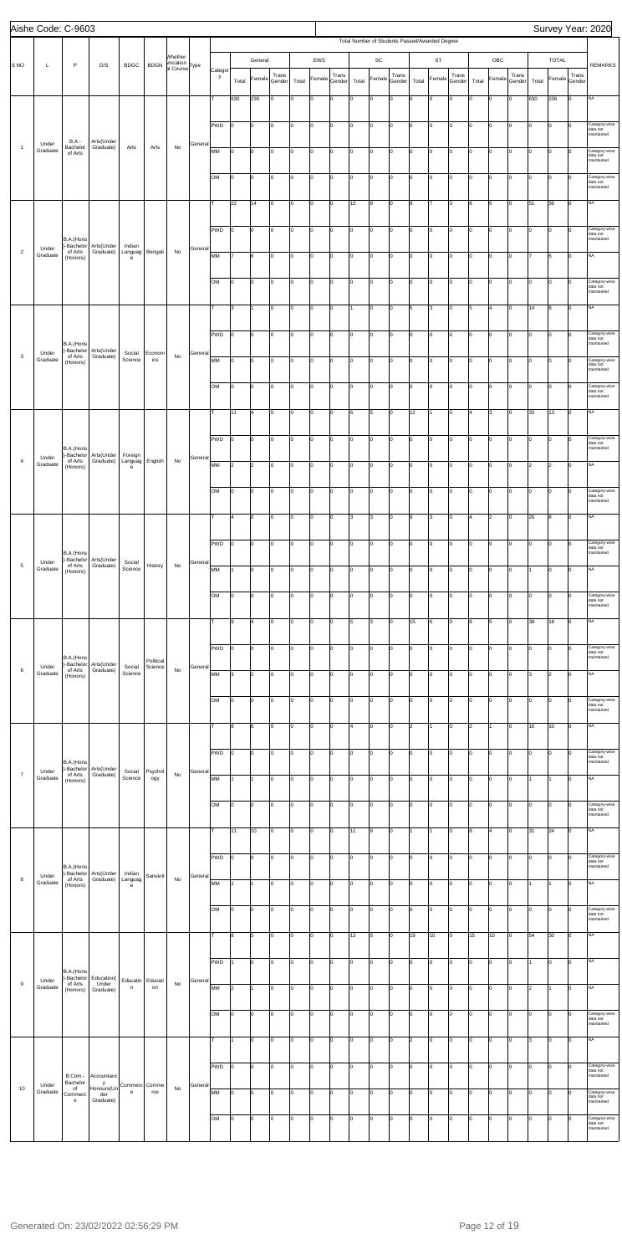|                | Aishe Code: C-9603 |                                    |                                |                                                         |                      |                                       |         |         |           |                |                 |       |                |                 |       |                 |                                                |       |                |                 |                 |                |                 |       |                      |                 | Survey Year: 2020                       |
|----------------|--------------------|------------------------------------|--------------------------------|---------------------------------------------------------|----------------------|---------------------------------------|---------|---------|-----------|----------------|-----------------|-------|----------------|-----------------|-------|-----------------|------------------------------------------------|-------|----------------|-----------------|-----------------|----------------|-----------------|-------|----------------------|-----------------|-----------------------------------------|
|                |                    |                                    |                                |                                                         |                      |                                       |         |         |           |                |                 |       |                |                 |       |                 | Total Number of Students Passed/Awarded Degree |       |                |                 |                 |                |                 |       |                      |                 |                                         |
| S NO           | L                  | P                                  | D/S                            | <b>BDGC</b>                                             | <b>BDGN</b>          | Whether<br>Vocation<br>al Course Type |         | Categor |           | General        |                 |       | EWS            |                 |       | SC              |                                                |       | ST             |                 |                 | OBC            |                 |       | <b>TOTAL</b>         |                 | <b>REMARKS</b>                          |
|                |                    |                                    |                                |                                                         |                      |                                       |         | y       | Total     | Female         | Trans<br>Gender | Total | Female         | Trans<br>Gender | Total | Female          | Trans<br>Gender                                | Total | Female         | Trans<br>Gender | Total           | Female         | Trans<br>Gender | Total | Female               | Trans<br>Gender |                                         |
|                |                    |                                    |                                |                                                         |                      |                                       |         | T       | 630       | 236            | Iо              | I٥    | $\mathsf{o}$   | lо              | I٥    | $ 0\rangle$     | $\Omega$                                       | Iо    | $\overline{0}$ | I٥              | I٥              | $\overline{0}$ | lo.             | 630   | 236                  | Iо              | <b>NA</b>                               |
|                |                    |                                    |                                |                                                         |                      |                                       |         |         |           |                |                 |       |                |                 |       |                 |                                                |       |                |                 |                 |                |                 |       |                      |                 |                                         |
|                |                    |                                    |                                |                                                         |                      |                                       |         | PWD     | 10        | O              | Iо              | I٥    | $\mathbf 0$    | Iо              | I٥    | $\overline{0}$  | Iо                                             | lо    | $\mathbf 0$    | 0               | lо              | $\overline{0}$ | lо              | I٥    | $\circ$              | lо              | Category-wise<br>data not<br>maintained |
| $\overline{1}$ | Under<br>Graduate  | <b>B.A.-</b><br>Bachelor           | Arts(Under<br>Graduate)        | Arts                                                    | Arts                 | No                                    | General | MM      | 10        | O              | Iо              | lo.   | o              | lо              | l0    | $ 0\rangle$     | Iо                                             | Iо    | $\overline{0}$ | lo.             | Iо              | 0              | lо              | I٥    | lo                   | $\mathbf 0$     | Category-wise                           |
|                |                    | of Arts                            |                                |                                                         |                      |                                       |         |         |           |                |                 |       |                |                 |       |                 |                                                |       |                |                 |                 |                |                 |       |                      |                 | data not<br>maintained                  |
|                |                    |                                    |                                |                                                         |                      |                                       |         | OM      | lо        | 0              | Iо              | lo.   | o              | lо              | I٥    | $ 0\rangle$     | Iо                                             | Iо    | $\mathbf 0$    | lo.             | Iо              | lo.            | Iо              | Iо    | lo                   | Iо              | Category-wise<br>data not               |
|                |                    |                                    |                                |                                                         |                      |                                       |         |         |           |                |                 |       |                |                 |       |                 |                                                |       |                |                 |                 |                |                 |       |                      |                 | maintained                              |
|                |                    |                                    |                                |                                                         |                      |                                       |         | т       | 22        | 14             | Iо              | I٥    | $\mathbf 0$    | Iо              | 12    | 9               | Iо                                             | l9    |                | 0               | 8               | 6              | Iо              | 51    | 36                   | lо              | <b>NA</b>                               |
|                |                    |                                    |                                |                                                         |                      |                                       |         | PWD     | Iо        | O              | Iо              | I٥    | $\mathbf 0$    | lо              | l0    | lo              | Iо                                             | Iо    | l0             | 0               | I٥              | 0              | Iо              | I٥    | $\circ$              | lо              | Category-wise<br>data not               |
| $\overline{2}$ | Under              | B.A.(Hons<br>)-Bachelor            | Arts(Under                     | Indian                                                  | Bengali              | No                                    | General |         |           |                |                 |       |                |                 |       |                 |                                                |       |                |                 |                 |                |                 |       |                      |                 | maintained                              |
|                | Graduate           | of Arts<br>(Honors)                | Graduate)                      | Languag<br>e                                            |                      |                                       |         | MM      | 17        | 6              | Iо              | I٥    | lo             | lо              | I٥    | $ 0\rangle$     | Iо                                             | Iо    | $\overline{0}$ | I٥              | Iо              | lo.            | Iо              |       | 6                    | lо              | <b>NA</b>                               |
|                |                    |                                    |                                |                                                         |                      |                                       |         | OM      | 10        | lo             | Iо              | I٥    | $\mathbf 0$    | Iо              | lo.   | $\vert 0 \vert$ | Iо                                             | lо    | $\mathbf 0$    | 0               | I٥              | $\overline{0}$ | Iо              | Iо    | $\overline{0}$       | Iо              | Category-wise                           |
|                |                    |                                    |                                |                                                         |                      |                                       |         |         |           |                |                 |       |                |                 |       |                 |                                                |       |                |                 |                 |                |                 |       |                      |                 | data not<br>maintained                  |
|                |                    |                                    |                                |                                                         |                      |                                       |         | T       | 3         |                | Iо              | I٥    | o              | Jо              |       | lo              | Ιo                                             | 5     | 3              | I٥              | 5               | 4              | Iо              | 14    | 8                    | lо              | <b>NA</b>                               |
|                |                    |                                    |                                |                                                         |                      |                                       |         | PWD     | lо        | lo.            | Iо              | lo.   | lо             | Iо              | I٥    | $ 0\rangle$     | lo.                                            | Iо    | $\overline{0}$ | lo.             | Iо              | lo.            | lo.             | Iо    | lo                   | Iо              | Category-wise                           |
|                |                    | B.A.(Hons<br>)-Bachelor            | Arts(Under                     |                                                         |                      |                                       |         |         |           |                |                 |       |                |                 |       |                 |                                                |       |                |                 |                 |                |                 |       |                      |                 | data not<br>maintained                  |
| $\mathbf{3}$   | Under<br>Graduate  | of Arts<br>(Honors)                | Graduate)                      | Social<br>Science                                       | Econom<br>ics        | No                                    | General | MM      | Iо        | 0              | Iо              | I٥    | $\mathbf 0$    | Iо              | I٥    | 10              | Iо                                             | Iо    | 0              | 0               | I٥              | $\overline{0}$ | I٥              | Iо    | $\overline{0}$       | $\mathbf 0$     | Category-wise<br>data not               |
|                |                    |                                    |                                |                                                         |                      |                                       |         |         |           |                |                 |       |                |                 |       |                 |                                                |       |                |                 |                 |                |                 |       |                      |                 | maintained                              |
|                |                    |                                    |                                |                                                         |                      |                                       |         | OM      | 10        | $\mathbf 0$    | Iо              | I٥    | $\mathsf{o}$   | Iо              | l0    | lo              | Ιo                                             | Iо    | $\overline{0}$ | 0               | I٥              | 0              | lo.             | lo.   | lo                   | lо              | Category-wise<br>data not<br>maintained |
|                |                    |                                    |                                |                                                         |                      |                                       |         | T       | 11        | $\overline{4}$ | Iо              | I٥    | lo             | lо              | l6    | 5               | Iо                                             | 12    |                | I٥              | 4               | l3             | lo.             | 33    | 13                   | lо              | <b>NA</b>                               |
|                |                    |                                    |                                |                                                         |                      |                                       |         |         |           |                |                 |       |                |                 |       |                 |                                                |       |                |                 |                 |                |                 |       |                      |                 |                                         |
|                |                    | B.A.(Hons                          |                                |                                                         |                      |                                       |         | PWD     | I٥        | O              | Iо              | I٥    | $\mathbf 0$    | Iо              | lo.   | $\overline{0}$  | Iо                                             | lо    | $\mathbf 0$    | 0               | I٥              | $\overline{0}$ | lo.             | Iо    | $\vert$ 0            | lо              | Category-wise<br>data not<br>maintained |
| $\overline{4}$ | Under<br>Graduate  | )-Bachelor<br>of Arts<br>(Honors)  | Arts(Under<br>Graduate)        | Foreign<br>Languag<br>$\mathsf{e}% _{t}\left( t\right)$ | English              | No                                    | General | MM      | 2         | $\overline{2}$ | Iо              | I٥    | o              | lо              | l0    | lo              | I٥                                             | Iо    | $\overline{0}$ | lo.             | Iо              | 0              | lo.             | 2     | $\vert$ <sub>2</sub> | Iо              | <b>NA</b>                               |
|                |                    |                                    |                                |                                                         |                      |                                       |         |         |           |                |                 |       |                |                 |       |                 |                                                |       |                |                 |                 |                |                 |       |                      |                 |                                         |
|                |                    |                                    |                                |                                                         |                      |                                       |         | OM      |           |                |                 |       |                |                 |       |                 |                                                |       |                |                 |                 |                |                 |       |                      |                 | ategory-i<br>data not<br>maintained     |
|                |                    |                                    |                                |                                                         |                      |                                       |         | T       | 4         | 0              |                 | I٥    |                | Iо              |       |                 | Iо                                             | l9    | 3              |                 | 4               |                | Iо              | 20    |                      | Iо              | <b>NA</b>                               |
|                |                    |                                    |                                |                                                         |                      |                                       |         |         |           |                | Iо              |       | 0              |                 | 3     | 3               |                                                |       |                | 0               |                 | $\overline{2}$ |                 |       | 8                    |                 |                                         |
|                |                    |                                    |                                |                                                         |                      |                                       |         | PWD     | I٥        | 0              | Iо              | lo.   | 0              | Iо              | 0     | 0               | l <sub>0</sub>                                 | Iо    | O              | O               | lo              | 0              | lo.             | I٥    | O                    | Iо              | Category-wise<br>data not               |
| $\,$ 5 $\,$    | Under              | B.A.(Hons<br>)-Bachelor<br>of Arts | Arts(Under<br>Graduate)        | Social                                                  | History              | No                                    | General |         |           |                |                 |       |                |                 |       |                 |                                                |       |                |                 |                 |                |                 |       |                      |                 | maintained                              |
|                | Graduate           | (Honors)                           |                                | Science                                                 |                      |                                       |         | MM      | 11        | $\Omega$       | Iо              | I٥    | lo             | lо              | I٥    | $ 0\rangle$     | Ιo                                             | Iо    | l0             | I٥              | I٥              | $\overline{0}$ | lo.             |       | lo                   | Iо              | <b>NA</b>                               |
|                |                    |                                    |                                |                                                         |                      |                                       |         | OM      | ١o        | O              | Iо              | I٥    | 0              | Iо              | I٥    | 0               | Iо                                             | Iо    | 0              | 0               | lo              | $\overline{0}$ | Iо              | I٥    | $\overline{0}$       | lо              | Category-wise<br>data not               |
|                |                    |                                    |                                |                                                         |                      |                                       |         |         |           |                |                 |       |                |                 |       |                 |                                                |       |                |                 |                 |                |                 |       |                      |                 | maintained                              |
|                |                    |                                    |                                |                                                         |                      |                                       |         |         | 9         | 4              | Iо              | I٥    | 0              | Iо              | 5     | 3               | Iо                                             | 15    | 6              | I٥              | l9              | 5              | Iо              | 38    | 18                   | Iо              | <b>NA</b>                               |
|                |                    |                                    |                                |                                                         |                      |                                       |         | PWD     | Iо        | 0              | Iо              | lo.   | lo             | lо              | I٥    | $ 0\rangle$     | Ιo                                             | Iо    | $\overline{0}$ | I٥              | Iо              | lo.            | lo.             | lo.   | $\overline{0}$       | Iо              | Category-wise                           |
|                | Under              | B.A.(Hons<br>)-Bachelor            | Arts(Under                     | Social                                                  | Political<br>Science |                                       | General |         |           |                |                 |       |                |                 |       |                 |                                                |       |                |                 |                 |                |                 |       |                      |                 | data not<br>maintained                  |
| 6              | Graduate           | of Arts<br>(Honors)                | Graduate)                      | Science                                                 |                      | No                                    |         | MM      | 3         | $\overline{2}$ | Iо              | ١o    | 0              | Iо              | l0    | 10              | Iо                                             | Iо    | 0              | 0               | I٥              | $\overline{0}$ | Iо              | 3     | $\vert$ <sub>2</sub> | 0               | <b>NA</b>                               |
|                |                    |                                    |                                |                                                         |                      |                                       |         | OM      | I٥        | 0              | Iо              | lo.   | $\mathsf{o}$   | Iо              | l0    | 10              | Iо                                             | Iо    | $\overline{0}$ | I٥              | lo              | 0              | Iо              | lo.   | O                    | Iо              | Category-wise                           |
|                |                    |                                    |                                |                                                         |                      |                                       |         |         |           |                |                 |       |                |                 |       |                 |                                                |       |                |                 |                 |                |                 |       |                      |                 | data not<br>maintained                  |
|                |                    |                                    |                                |                                                         |                      |                                       |         | T       | l8        | 8              | Iо              | I٥    | lo             | lо              | l4    | $ 0\rangle$     | Iо                                             | l2    |                | I٥              | 2               |                | lo.             | 16    | 10                   | Iо              | <b>NA</b>                               |
|                |                    |                                    |                                |                                                         |                      |                                       |         |         |           |                |                 |       |                |                 |       |                 |                                                |       |                |                 |                 |                |                 |       |                      |                 |                                         |
|                |                    | B.A.(Hons                          |                                |                                                         |                      |                                       |         | PWD     | 10        | O              | Iо              | ١o    | 0              | Iо              | lo.   | 0               | Iо                                             | lо    | 0              | 0               | lo              | $\overline{0}$ | Iо              | I٥    | $\overline{0}$       | 10              | Category-wise<br>data not<br>maintained |
| $\overline{7}$ | Under<br>Graduate  | )-Bachelor<br>of Arts<br>(Honors)  | Arts(Under<br>Graduate)        | Social<br>Science                                       | Psychol<br>ogy       | No                                    | General | MM      |           |                | Iо              | I٥    | lo             | Iо              | l0    | 10              | Iо                                             | Iо    | l0             | I٥              | I٥              | 0              | Iо              |       |                      | Iо              | <b>NA</b>                               |
|                |                    |                                    |                                |                                                         |                      |                                       |         |         |           |                |                 |       |                |                 |       |                 |                                                |       |                |                 |                 |                |                 |       |                      |                 |                                         |
|                |                    |                                    |                                |                                                         |                      |                                       |         | OM      | Iо        | 0              | Iо              | lo.   | $\overline{0}$ | lо              | I٥    | $ 0\rangle$     | lo.                                            | Iо    | $\overline{0}$ | lo.             | Iо              | lo.            | lo.             | Iо    | lo                   | Iо              | Category-wise<br>data not<br>maintained |
|                |                    |                                    |                                |                                                         |                      |                                       |         | T       | 11        | 10             | Iо              | I٥    | 0              | Iо              | 11    | 9               | $\mathbf 0$                                    | 11    |                | 0               | 8               | 4              | Iо              | 31    | 24                   | lо              | <b>NA</b>                               |
|                |                    |                                    |                                |                                                         |                      |                                       |         |         |           |                |                 |       |                |                 |       |                 |                                                |       |                |                 |                 |                |                 |       |                      |                 |                                         |
|                |                    | B.A.(Hons                          |                                |                                                         |                      |                                       |         | PWD     | I٥        | 0              | Iо              | I٥    | 0              | Iо              | lo.   | 0               | Ιo                                             | Iо    | l0             | $\mathbf 0$     | lo              | 0              | lo.             | lo.   | O                    | Iо              | Category-wise<br>data not<br>maintained |
| $^{\rm 8}$     | Under<br>Graduate  | )-Bachelor<br>of Arts<br>(Honors)  | Arts(Under<br>Graduate)        | Indian<br>Languag<br>e                                  | <b>Sanskrit</b>      | No                                    | General | MM      | 1         |                | Iо              | I٥    | lo             | lо              | lo.   | lo              | Ιo                                             | Iо    | l0             | I٥              | I٥              | $\overline{0}$ | lo.             |       | l1                   | lо              | <b>NA</b>                               |
|                |                    |                                    |                                |                                                         |                      |                                       |         |         |           |                |                 |       |                |                 |       |                 |                                                |       |                |                 |                 |                |                 |       |                      |                 |                                         |
|                |                    |                                    |                                |                                                         |                      |                                       |         | OM      | 10        | O              | Iо              | I٥    | 0              | Iо              | lo.   | 0               | Iо                                             | lо    | $\mathbf 0$    | 0               | o               | $\overline{0}$ | Iо              | I٥    | $\overline{0}$       | lо              | Category-wise<br>data not<br>maintained |
|                |                    |                                    |                                |                                                         |                      |                                       |         | T       | 8         | 5              | Iо              | I٥    | o              | 0               | 12    | 5               | lo.                                            | 19    | 10             | Iо              | 15              | 10             | I٥              | 54    | 30                   | Iо              | <b>NA</b>                               |
|                |                    |                                    |                                |                                                         |                      |                                       |         |         |           |                |                 |       |                |                 |       |                 |                                                |       |                |                 |                 |                |                 |       |                      |                 |                                         |
|                |                    |                                    |                                |                                                         |                      |                                       |         | PWD     |           | 0              | ıυ              |       |                |                 |       |                 |                                                |       |                |                 | υ               |                |                 |       |                      |                 |                                         |
| 9              | Under              | B.A.(Hons<br>)-Bachelor<br>of Arts | Education(<br>Under            | Educatio Educati                                        |                      | No                                    | General |         |           |                |                 |       |                |                 |       |                 |                                                |       |                |                 |                 |                |                 |       |                      |                 |                                         |
|                | Graduate           | (Honors)                           | Graduate)                      | n                                                       | on                   |                                       |         | MM      | $\vert$ 2 | $\mathbf{1}$   | Iо              | I٥    | 0              | Iо              | lo.   | $ 0\rangle$     | I٥                                             | lо    | 0              | O               | lo.             | $\mathbf 0$    | Iо              | 2     | 1                    | lо              | <b>NA</b>                               |
|                |                    |                                    |                                |                                                         |                      |                                       |         | OM      | Iо        | 0              | Iо              | I٥    | $\mathsf{O}$   | lо              | l0    | lo              | I٥                                             | Iо    | $\mathbf 0$    | lo.             | lо              | $\mathsf 0$    | Iо              | Iо    | lo                   | Iо              | Category-wise<br>data not               |
|                |                    |                                    |                                |                                                         |                      |                                       |         |         |           |                |                 |       |                |                 |       |                 |                                                |       |                |                 |                 |                |                 |       |                      |                 | maintained                              |
|                |                    |                                    |                                |                                                         |                      |                                       |         | T       | 1         | lo.            | Iо              | lo.   | lo             | lо              | I٥    | $\overline{0}$  | Iо                                             | l2    | $\overline{0}$ | I٥              | Iо              | lo.            | Iо              | l3    | lо                   | Iо              | <b>NA</b>                               |
|                |                    |                                    |                                |                                                         |                      |                                       |         | PWD     | Iо        | lо             | lo.             | I٥    | $\mathsf{O}$   | Iо              | lo.   | $\vert 0 \vert$ | lо                                             | lо    | $\circ$        | O               | $\overline{10}$ | $\mathsf{O}$   | Iо              | Iо    | $\vert$ 0            | lо              | Category-wise                           |
|                |                    | B.Com.-<br>Bachelor                | Accountanc<br>y                |                                                         |                      |                                       |         |         |           |                |                 |       |                |                 |       |                 |                                                |       |                |                 |                 |                |                 |       |                      |                 | data not<br>maintained                  |
| 10             | Under<br>Graduate  | of<br>Commerc<br>$\mathbf{e}$      | Honours(Un<br>der<br>Graduate) | Commerc Comme<br>$\mathbf{e}$                           | rce                  | No                                    | General | MM      | Iо        | lo.            | Iо              | I٥    | O              | lо              | l0    | $ 0\rangle$     | Iо                                             | Iо    | $\overline{0}$ | lo.             | lо              | 0              | I٥              | lo.   | lo                   | $\Omega$        | Category-wise<br>data not<br>maintained |
|                |                    |                                    |                                |                                                         |                      |                                       |         | OM      | lo        | 0              | Iо              | lo.   | lo             | Iо              | I٥    | lo              | lo.                                            | Iо    | $\overline{0}$ | $ 0\rangle$     | lo.             | lo.            | Iо              | Iо    | lo                   | Iо              | Category-wise                           |
|                |                    |                                    |                                |                                                         |                      |                                       |         |         |           |                |                 |       |                |                 |       |                 |                                                |       |                |                 |                 |                |                 |       |                      |                 | data not<br>maintained                  |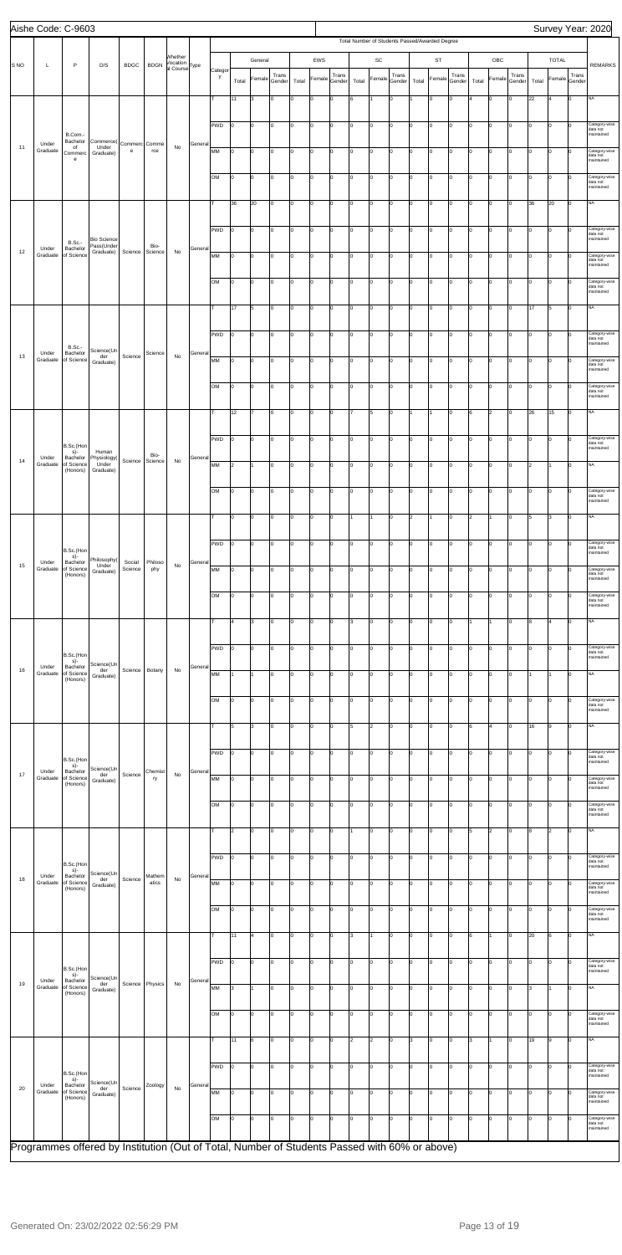|                 |                   | Aishe Code: C-9603                 |                                                                                               |                    |                 |                           |         |              |       |         |                 |       |        |                 |       |                      |                 |       |                                                |                 |       |                         |                 |       |                |                 | Survey Year: 2020                       |
|-----------------|-------------------|------------------------------------|-----------------------------------------------------------------------------------------------|--------------------|-----------------|---------------------------|---------|--------------|-------|---------|-----------------|-------|--------|-----------------|-------|----------------------|-----------------|-------|------------------------------------------------|-----------------|-------|-------------------------|-----------------|-------|----------------|-----------------|-----------------------------------------|
|                 |                   |                                    |                                                                                               |                    |                 |                           |         |              |       |         |                 |       |        |                 |       |                      |                 |       | Total Number of Students Passed/Awarded Degree |                 |       |                         |                 |       |                |                 |                                         |
| S <sub>NO</sub> | L                 | P                                  | D/S                                                                                           | <b>BDGC</b>        | <b>BDGN</b>     | Whether<br>Vocation       |         |              |       | General |                 |       | EWS    |                 |       | $\mathsf{SC}$        |                 |       | <b>ST</b>                                      |                 |       | OBC                     |                 |       | <b>TOTAL</b>   |                 | <b>REMARKS</b>                          |
|                 |                   |                                    |                                                                                               |                    |                 | al Course <sup>Type</sup> |         | Categor<br>y | Total | Female  | Trans<br>Gender | Total | Female | Trans<br>Gender | Total | Female               | Trans<br>Gender | Total | Female                                         | Trans<br>Gender | Total | Female                  | Trans<br>Gender | Total | Female         | Trans<br>Gender |                                         |
|                 |                   |                                    |                                                                                               |                    |                 |                           |         |              |       |         |                 |       |        |                 |       |                      |                 |       |                                                |                 |       |                         |                 |       |                |                 |                                         |
|                 |                   |                                    |                                                                                               |                    |                 |                           |         |              | 11    | 3       | I٥              | lо    | lo     | $\mathbf 0$     | 6     |                      | 0               |       | $\Omega$                                       | Iо              |       | 0                       | $\mathbf 0$     | 22    | $\overline{4}$ | Iо              | <b>NA</b>                               |
|                 |                   |                                    |                                                                                               |                    |                 |                           |         | PWD          | I٥    | O       | Iо              | lо    | l0     | 0               | Iо    | lo                   | I٥              | Iо    | $\overline{0}$                                 | Iо              | I٥    | 0                       | Iо              | I٥    | 0              | Iо              | Category-wise                           |
|                 |                   | B.Com.-<br>Bachelor                | Commerce(                                                                                     |                    |                 |                           |         |              |       |         |                 |       |        |                 |       |                      |                 |       |                                                |                 |       |                         |                 |       |                |                 | data not<br>maintained                  |
| 11              | Under<br>Graduate | of<br>Commerc                      | Under<br>Graduate)                                                                            | Commerc Comme<br>e | rce             | No                        | General | МM           | lо    | 0       | Iо              | Iо    | o      | 0               | Iо    | lo                   | lo.             | Iо    | O                                              | Iо              | I٥    | 0                       | Iо              | Iо    | 0              | Iо              | Category-wise<br>data not               |
|                 |                   | $\mathsf{e}% _{t}\left( t\right)$  |                                                                                               |                    |                 |                           |         |              |       |         |                 |       |        |                 |       |                      |                 |       |                                                |                 |       |                         |                 |       |                |                 | maintained                              |
|                 |                   |                                    |                                                                                               |                    |                 |                           |         | OМ           | I٥    | lо      | Iо              | lо    | o      | 0               | I٥    | lo                   | lo.             | Iо    | $\mathbf 0$                                    | Iо              | I٥    | $\circ$                 | lо              | I٥    | lo.            | Iо              | Category-wise<br>data not<br>maintained |
|                 |                   |                                    |                                                                                               |                    |                 |                           |         |              | 36    | 20      | Iо              | lо    | l0     | Iо              | I٥    | lo                   | I٥              | lо    | O                                              | Iо              | I٥    | 0                       | Iо              | 36    | 20             | Iо              | <b>NA</b>                               |
|                 |                   |                                    |                                                                                               |                    |                 |                           |         |              |       |         |                 |       |        |                 |       |                      |                 |       |                                                |                 |       |                         |                 |       |                |                 |                                         |
|                 |                   |                                    |                                                                                               |                    |                 |                           |         | <b>PWD</b>   | lо    | O       | Iо              | lо    | o      | 0               | I٥    | lo                   | I٥              | Iо    | $\mathbf 0$                                    | Iо              | lo    | 0                       | Iо              | Iо    | 0              | I٥              | Category-wise<br>data not               |
|                 | Under             | <b>B.Sc.-</b><br>Bachelor          | <b>Bio Science</b><br>Pass(Under                                                              |                    | Bio-            |                           | General |              |       |         |                 |       |        |                 |       |                      |                 |       |                                                |                 |       |                         |                 |       |                |                 | maintained                              |
| 12              | Graduate          | of Science                         | Graduate)                                                                                     | Science            | Science         | No                        |         | MM           | lо    | lо      | Iо              | lо    | o      | 0               | I٥    | lo                   | I٥              | Iо    | l0                                             | Iо              | lo.   | 0                       | Iо              | I٥    | lo.            | $\Omega$        | Category-wise<br>data not               |
|                 |                   |                                    |                                                                                               |                    |                 |                           |         |              |       |         |                 |       |        |                 |       |                      |                 |       |                                                |                 |       |                         |                 |       |                |                 | maintained                              |
|                 |                   |                                    |                                                                                               |                    |                 |                           |         | OМ           | lо    | 0       | Iо              | lо    | l0     | Iо              | I٥    | lo                   | I٥              | Iо    | $\overline{0}$                                 | Iо              | I٥    | 0                       | Iо              | I٥    | 0              | I٥              | Category-wise<br>data not<br>maintained |
|                 |                   |                                    |                                                                                               |                    |                 |                           |         | т            | 17    | 5       | Iо              | Iо    | o      | 0               | I٥    | lo                   | lo.             | 10    | O                                              | Iо              | lo.   | $\mathbf 0$             | Iо              | 17    | 5              | Iо              | <b>NA</b>                               |
|                 |                   |                                    |                                                                                               |                    |                 |                           |         |              |       |         |                 |       |        |                 |       |                      |                 |       |                                                |                 |       |                         |                 |       |                |                 |                                         |
|                 |                   |                                    |                                                                                               |                    |                 |                           |         | <b>PWD</b>   | I٥    | O       | Iо              | lо    | o      | $\mathbf 0$     | I٥    | lo                   | I٥              | Ιo    | $\mathbf 0$                                    | Iо              | I٥    | 0                       | Iо              | I٥    | lo.            | Iо              | Category-wise<br>data not               |
|                 | Under             | <b>B.Sc.-</b><br>Bachelor          | Science(Un                                                                                    |                    | Science         |                           | General |              |       |         |                 |       |        |                 |       |                      |                 |       |                                                |                 |       |                         |                 |       |                |                 | maintained                              |
| 13              | Graduate          | of Science                         | der<br>Graduate)                                                                              | Science            |                 | No                        |         | MM           | lо    | O       | I٥              | lо    | l0     | 0               | I٥    | lo                   | I٥              | Iо    | $\overline{0}$                                 | Iо              | I٥    | 0                       | Iо              | I٥    | 0              | $\Omega$        | Category-wise<br>data not<br>maintained |
|                 |                   |                                    |                                                                                               |                    |                 |                           |         | <b>OM</b>    | lо    | 0       | lo.             | lо    | lo     | 0               | I٥    | lo                   | I٥              | ۱n    | $\Omega$                                       | Iо              | lo.   | 0                       | lo              | Iо    | $\overline{0}$ | l٥              | Category-wise                           |
|                 |                   |                                    |                                                                                               |                    |                 |                           |         |              |       |         |                 |       |        |                 |       |                      |                 |       |                                                |                 |       |                         |                 |       |                |                 | data not<br>maintained                  |
|                 |                   |                                    |                                                                                               |                    |                 |                           |         |              | 12    |         | Iо              | lо    | o      | $\mathbf 0$     |       | 5                    | I٥              |       |                                                | Iо              | 6     | $\overline{c}$          | Iо              | 26    | 15             | Iо              | NA                                      |
|                 |                   |                                    |                                                                                               |                    |                 |                           |         |              |       |         |                 |       |        |                 |       |                      |                 |       |                                                |                 |       |                         |                 |       |                |                 |                                         |
|                 |                   | B.Sc.(Hon                          |                                                                                               |                    |                 |                           |         | <b>PWD</b>   | I٥    | 0       | Iо              | Iо    | lo     | Iо              | I٥    | lo                   | I٥              | lо    | O                                              | Iо              | I٥    | 0                       | Iо              | I٥    | $\overline{0}$ | lо              | Category-wise<br>data not               |
| 14              | Under             | s)-<br>Bachelor                    | Human<br>Physiology(                                                                          | Science            | Bio-<br>Science | No                        | General |              |       |         |                 |       |        |                 |       |                      |                 |       |                                                |                 |       |                         |                 |       |                |                 | maintained                              |
|                 | Graduate          | of Science<br>(Honors)             | Under<br>Graduate)                                                                            |                    |                 |                           |         | MM           | 2     | 1       | Iо              | Iо    | o      | Iо              | lo.   | lo                   | lo.             | Iо    | O                                              | Iо              | I٥    | 0                       | Iо              | 2     | $\overline{1}$ | Iо              | <b>NA</b>                               |
|                 |                   |                                    |                                                                                               |                    |                 |                           |         | OМ           | 10    | 10      | 10              |       |        |                 |       |                      |                 |       |                                                |                 |       |                         | 0               | 10    |                | 10              | ategory-wise;                           |
|                 |                   |                                    |                                                                                               |                    |                 |                           |         |              |       |         |                 |       |        |                 |       |                      |                 |       |                                                |                 |       |                         |                 |       |                |                 | data not<br>maintained                  |
|                 |                   |                                    |                                                                                               |                    |                 |                           |         | т            | I٥    | 0       | Iо              | lо    | O      | 0               |       | 11                   | I٥              | 2     |                                                | Iо              | 2     | 1                       | Iо              | 5     | 3              | I٥              | <b>NA</b>                               |
|                 |                   |                                    |                                                                                               |                    |                 |                           |         |              |       |         |                 |       |        |                 |       |                      |                 |       |                                                |                 |       |                         |                 |       |                |                 |                                         |
|                 |                   | B.Sc.(Hon                          |                                                                                               |                    |                 |                           |         | <b>PWD</b>   | lо    | 0       | lo.             | lо    | lo     | 0               | I٥    | lo                   | I٥              | ۱n    | $\Omega$                                       | Iо              | lo.   | 0                       | Iо              | I٥    | 0              | $\Omega$        | Category-wise<br>data not<br>maintained |
| 15              | Under<br>Graduate | s)-<br>Bachelor<br>of Science      | Philosophy(<br>Under                                                                          | Social             | Philoso         | No                        | General |              |       |         |                 |       |        |                 |       |                      |                 |       |                                                |                 |       |                         |                 |       |                |                 | Category-wise                           |
|                 |                   | (Honors)                           | Graduate)                                                                                     | Science            | phy             |                           |         | MM           | I٥    | O       | lo.             | lо    | lo     | $\mathbf 0$     | I٥    | $\mathsf{o}$         | I٥              | l٥    | $\Omega$                                       | Iо              | lo.   | 0                       | $\overline{0}$  | I٥    | lo.            | l٥              | data not<br>maintained                  |
|                 |                   |                                    |                                                                                               |                    |                 |                           |         | OМ           | I٥    | O       | I٥              | lо    | O      | 0               | I٥    | lo                   | I٥              | lo    | $\overline{0}$                                 | Iо              | I٥    | $\mathbf 0$             | Iо              | I٥    | 0              |                 | Category-wise                           |
|                 |                   |                                    |                                                                                               |                    |                 |                           |         |              |       |         |                 |       |        |                 |       |                      |                 |       |                                                |                 |       |                         |                 |       |                |                 | data not<br>maintained                  |
|                 |                   |                                    |                                                                                               |                    |                 |                           |         | т            | 4     | 3       | lo.             | lо    | lo     | 0               | lз    | lo                   | I٥              | 10    | O                                              | Iо              |       | 1                       | Iо              | 8     | $\overline{4}$ | I٥              | <b>NA</b>                               |
|                 |                   |                                    |                                                                                               |                    |                 |                           |         |              |       |         |                 |       |        |                 |       |                      |                 |       |                                                |                 |       |                         |                 |       |                |                 |                                         |
|                 |                   | B.Sc.(Hon                          |                                                                                               |                    |                 |                           |         | PWD          | ۱n    | O       | lo.             | lо    | lo     | $\mathbf 0$     | I٥    | lo                   | I٥              | Iо    | $\Omega$                                       | Iо              | lo    | 0                       | Iо              | I٥    | lo.            | I٥              | Category-wise<br>data not<br>maintained |
| 16              | Under<br>Graduate | s)-<br>Bachelor<br>of Science      | Science(Un<br>der<br>Graduate)                                                                | Science            | Botany          | No                        | Genera  | МM           |       |         | I٥              | lо    | l0     | 0               | I٥    | lo                   | I٥              | Iо    | O                                              | Iо              | lo.   | $\mathbf 0$             | Iо              |       | 1              | I٥              | <b>NA</b>                               |
|                 |                   | (Honors)                           |                                                                                               |                    |                 |                           |         |              |       |         |                 |       |        |                 |       |                      |                 |       |                                                |                 |       |                         |                 |       |                |                 |                                         |
|                 |                   |                                    |                                                                                               |                    |                 |                           |         | <b>OM</b>    | lо    | 0       | lo.             | lо    | lo     | 0               | I٥    | lo                   | I٥              | Iо    | $\mathbf 0$                                    | Iо              | lo.   | 0                       | Iо              | Iо    | 0              | $\Omega$        | Category-wise<br>data not               |
|                 |                   |                                    |                                                                                               |                    |                 |                           |         |              |       |         |                 |       |        |                 |       |                      |                 |       |                                                |                 |       |                         |                 |       |                |                 | maintained                              |
|                 |                   |                                    |                                                                                               |                    |                 |                           |         |              | l5    | 3       | lo.             | lо    | lo     | $\mathbf 0$     | 5     | $\vert$ <sub>2</sub> | I٥              | Iо    | $\Omega$                                       | Iо              | 6     | $\overline{\mathbf{A}}$ | $\mathbf 0$     | 16    | 9              | lo.             | <b>NA</b>                               |
|                 |                   |                                    |                                                                                               |                    |                 |                           |         | PWD          | I٥    | O       | Iо              | lо    | l0     | 0               | I٥    | lo                   | I٥              | Iо    | $\overline{0}$                                 | Iо              | I٥    | 0                       | $\mathbf 0$     | I٥    | 0              | $\Omega$        | Category-wise                           |
|                 |                   | B.Sc.(Hon<br>s)-                   | Science(Un                                                                                    |                    |                 |                           |         |              |       |         |                 |       |        |                 |       |                      |                 |       |                                                |                 |       |                         |                 |       |                |                 | data not<br>maintained                  |
| 17              | Under<br>Graduate | Bachelor<br>of Science             | der<br>Graduate)                                                                              | Science            | Chemist<br>ry   | No                        | General | ΜМ           | lо    | 0       | Iо              | lо    | lo     | 0               | I٥    | lo                   | lo.             | 10    | O                                              | Iо              | lo.   | 0                       | Iо              | lo.   | 0              | I٥              | Category-wise<br>data not               |
|                 |                   | (Honors)                           |                                                                                               |                    |                 |                           |         |              |       |         |                 |       |        |                 |       |                      |                 |       |                                                |                 |       |                         |                 |       |                |                 | maintained                              |
|                 |                   |                                    |                                                                                               |                    |                 |                           |         | OM           | I٥    | O       | Iо              | lо    | lo     | $\mathbf 0$     | I٥    | $\overline{0}$       | I٥              | Iо    | $\Omega$                                       | Iо              | I٥    | 0                       | Iо              | I٥    | lo.            | I٥              | Category-wise<br>data not<br>maintained |
|                 |                   |                                    |                                                                                               |                    |                 |                           |         |              |       |         |                 |       |        |                 |       |                      |                 |       |                                                |                 |       |                         |                 |       |                | $\Omega$        |                                         |
|                 |                   |                                    |                                                                                               |                    |                 |                           |         |              | 12    | 0       | I٥              | lо    | l0     | 0               |       | lo                   | Iо              | lo    | $\overline{0}$                                 | Iо              | 5     | $\overline{2}$          | $\mathbf 0$     | 8     | $\overline{2}$ |                 | <b>NA</b>                               |
|                 |                   |                                    |                                                                                               |                    |                 |                           |         | <b>PWD</b>   | I٥    | 0       | lo.             | lо    | lo     | 0               | I٥    | lo                   | Iо              | ١n    | $\Omega$                                       | Iо              | lo.   | 0                       | Iо              | I٥    | 0              | $\Omega$        | Category-wise                           |
|                 | Under             | B.Sc.(Hon<br>s)-                   | Science(Un                                                                                    |                    | Mathem          |                           |         |              |       |         |                 |       |        |                 |       |                      |                 |       |                                                |                 |       |                         |                 |       |                |                 | data not<br>maintained                  |
| 18              | Graduate          | Bachelor<br>of Science<br>(Honors) | der<br>Graduate)                                                                              | Science            | atics           | No                        | General | MM           | I٥    | O       | lo.             | lо    | lo     | $\mathbf 0$     | I٥    | $\mathsf{o}$         | I٥              | l٥    | $\Omega$                                       | Iо              | lo.   | 0                       | $\overline{0}$  | I٥    | $\overline{0}$ | $\Omega$        | Category-wise<br>data not               |
|                 |                   |                                    |                                                                                               |                    |                 |                           |         |              |       |         |                 |       |        |                 |       |                      |                 |       |                                                |                 |       |                         |                 |       |                |                 | maintained                              |
|                 |                   |                                    |                                                                                               |                    |                 |                           |         | OМ           | I٥    | 0       | I٥              | lо    | l0     | 0               | I٥    | lo                   | Iо              | Iо    | I٥                                             | Iо              | I٥    | $\mathbf 0$             | Iо              | I٥    | 0              | $\Omega$        | Category-wise<br>data not<br>maintained |
|                 |                   |                                    |                                                                                               |                    |                 |                           |         | T            | 11    | 4       | Iо              | I٥    | o      | 0               | 3     | 11                   | lo.             | 10    | 0                                              | Iо              | 6     | $\overline{1}$          | Iо              | 20    | 6              | lo.             | NA.                                     |
|                 |                   |                                    |                                                                                               |                    |                 |                           |         |              |       |         |                 |       |        |                 |       |                      |                 |       |                                                |                 |       |                         |                 |       |                |                 |                                         |
|                 |                   |                                    |                                                                                               |                    |                 |                           |         | PWD          |       | ю       |                 |       |        |                 |       |                      |                 |       |                                                |                 |       |                         |                 |       |                |                 | ategory<br>data not                     |
|                 | Under             | B.Sc.(Hon<br>s)-<br>Bachelor       | Science(Un                                                                                    |                    |                 |                           | General |              |       |         |                 |       |        |                 |       |                      |                 |       |                                                |                 |       |                         |                 |       |                |                 | maintained                              |
| 19              | Graduate          | of Science<br>(Honors)             | der<br>Graduate)                                                                              | Science   Physics  |                 | No                        |         | MM           | 3     |         | Iо              | I٥    | l0     | 0               | I٥    | 10                   | Iо              | lо    | $\overline{0}$                                 | Iо              | lo    | $\mathbf 0$             | I٥              | Iз    |                | lo.             | <b>NA</b>                               |
|                 |                   |                                    |                                                                                               |                    |                 |                           |         |              |       |         |                 |       |        |                 |       |                      |                 |       |                                                |                 |       |                         |                 |       |                |                 |                                         |
|                 |                   |                                    |                                                                                               |                    |                 |                           |         | <b>OM</b>    | lо    | O       | Iо              | I٥    | o      | 0               | lo.   | $\vert$ 0            | I٥              | Iо    | $\overline{0}$                                 | Iо              | lo    | 0                       | lо              | lo.   | lo.            |                 | Category-wise<br>data not<br>maintainec |
|                 |                   |                                    |                                                                                               |                    |                 |                           |         |              | 11    | 6       | Iо              | lо    | o      | 0               | 2     | $\vert$ <sub>2</sub> | I٥              | l3    | $\Omega$                                       | Iо              | l3.   | 1                       | I٥              | 19    | 9              | Iо              | NA                                      |
|                 |                   |                                    |                                                                                               |                    |                 |                           |         |              |       |         |                 |       |        |                 |       |                      |                 |       |                                                |                 |       |                         |                 |       |                |                 |                                         |
|                 |                   | B.Sc.(Hon                          |                                                                                               |                    |                 |                           |         | PWD          | Iо    | 0       | Iо              | Iо    | lo     | Iо              | I٥    | lo                   | I٥              | lо    | $\Omega$                                       | Iо              | I٥    | $\mathbf 0$             | Iо              | I٥    | lo.            | $\Omega$        | Category-wise<br>data not               |
| 20              | Under             | $s)$ -<br>Bachelor                 | Science(Un<br>der                                                                             | Science            | Zoology         | No                        | General |              |       |         |                 |       |        |                 |       |                      |                 |       |                                                |                 |       |                         |                 |       |                |                 | maintained                              |
|                 | Graduate          | of Science<br>(Honors)             | Graduate)                                                                                     |                    |                 |                           |         | MM           | lо    | 0       | Iо              | Iо    | o      | 0               | lo.   | lo                   | lo.             | Iо    | l0                                             | Iо              | lo    | $\mathbf 0$             | Iо              | lo.   | lo.            |                 | Category-wise<br>data not<br>maintained |
|                 |                   |                                    |                                                                                               |                    |                 |                           |         | OM           | lо    | O       | Iо              | Iо    | o      | $\mathbf 0$     | lo.   | lo                   | lo.             | lo.   | $\mathbf 0$                                    | Iо              | lo    | $\circ$                 | lo.             | lo.   | lо             |                 | Category-wise                           |
|                 |                   |                                    |                                                                                               |                    |                 |                           |         |              |       |         |                 |       |        |                 |       |                      |                 |       |                                                |                 |       |                         |                 |       |                |                 | data not<br>maintained                  |
|                 |                   |                                    | Programmes offered by Institution (Out of Total, Number of Students Passed with 60% or above) |                    |                 |                           |         |              |       |         |                 |       |        |                 |       |                      |                 |       |                                                |                 |       |                         |                 |       |                |                 |                                         |
|                 |                   |                                    |                                                                                               |                    |                 |                           |         |              |       |         |                 |       |        |                 |       |                      |                 |       |                                                |                 |       |                         |                 |       |                |                 |                                         |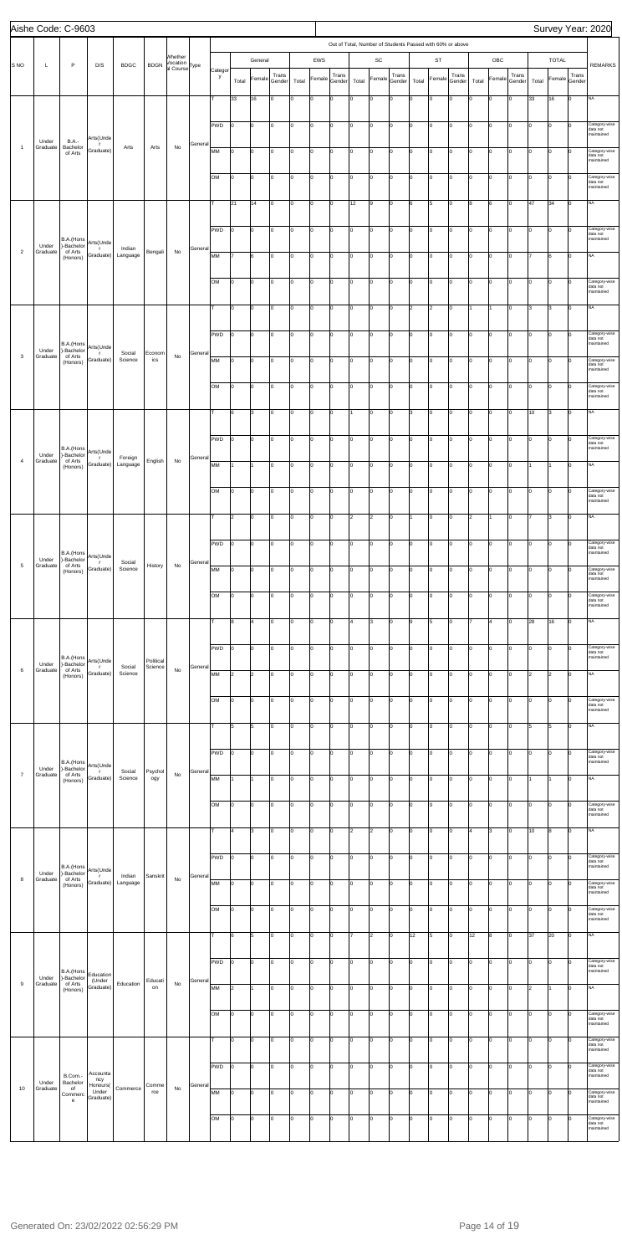|                 |                   | Aishe Code: C-9603                |                                |                     |                |                           |         |              |                      |                         |                 |       |              |                 |                                                           |                |                 |                      |                |                 |       |        |                 |       |                |                 | Survey Year: 2020                       |
|-----------------|-------------------|-----------------------------------|--------------------------------|---------------------|----------------|---------------------------|---------|--------------|----------------------|-------------------------|-----------------|-------|--------------|-----------------|-----------------------------------------------------------|----------------|-----------------|----------------------|----------------|-----------------|-------|--------|-----------------|-------|----------------|-----------------|-----------------------------------------|
|                 |                   |                                   |                                |                     |                |                           |         |              |                      |                         |                 |       |              |                 | Out of Total, Number of Students Passed with 60% or above |                |                 |                      |                |                 |       |        |                 |       |                |                 |                                         |
| S <sub>NO</sub> | L                 | $\mathsf P$                       | D/S                            | <b>BDGC</b>         | <b>BDGN</b>    | Whether<br>Vocation       |         |              |                      | General                 |                 |       | EWS          |                 |                                                           | SC             |                 |                      | ST             |                 |       | OBC    |                 |       | <b>TOTAL</b>   |                 | <b>REMARKS</b>                          |
|                 |                   |                                   |                                |                     |                | al Course <sup>Type</sup> |         | Categor<br>y | Total                | Female                  | Trans<br>Gender | Total | Female       | Trans<br>Gender | Total                                                     | Female         | Trans<br>Gender | Total                | Female         | Trans<br>Gender | Total | Female | Trans<br>Gender | Total | Female         | Trans<br>Gender |                                         |
|                 |                   |                                   |                                |                     |                |                           |         |              |                      |                         |                 |       |              |                 |                                                           |                |                 |                      |                |                 |       |        |                 |       |                |                 |                                         |
|                 |                   |                                   |                                |                     |                |                           |         |              | 33                   | 16                      | Iо              | I٥    | 0            | 0               | I٥                                                        | O              | 0               | Iо                   | O              | $\mathbf 0$     | lo    | O      | 0               | 33    | 16             | lо              | <b>NA</b>                               |
|                 |                   |                                   |                                |                     |                |                           |         | PWD          | Iо                   | l0                      | Iо              | I٥    | O            | lo.             | Iо                                                        | 0              | lo.             | lо                   | O              | Iо              | Iо    | lо     | Iо              | Iо    | lo.            | Iо              | Category-wise                           |
|                 | Under             | <b>B.A.-</b>                      | Arts(Unde                      |                     |                |                           |         |              |                      |                         |                 |       |              |                 |                                                           |                |                 |                      |                |                 |       |        |                 |       |                |                 | data not<br>maintained                  |
| $\overline{1}$  | Graduate          | Bachelor<br>of Arts               | - r<br>Graduate)               | Arts                | Arts           | No                        | General | MM           | Iо                   | O                       | Iо              | I٥    | 0            | Iо              | Iо                                                        | 0              | Iо              | Iо                   | 0              | Iо              | Iо    | 0      | Iо              | I٥    | I٥             | Iо              | Category-wise<br>data not               |
|                 |                   |                                   |                                |                     |                |                           |         |              |                      |                         |                 |       |              |                 |                                                           |                |                 |                      |                |                 |       |        |                 |       |                |                 | maintained                              |
|                 |                   |                                   |                                |                     |                |                           |         | OM           | lо                   | O                       | Iо              | I٥    | 0            | lo.             | I٥                                                        | 0              | Iо              | Iо                   | 0              | 0               | Iо    | 0      | lо              | Iо    | lo             | lо              | Category-wise<br>data not<br>maintained |
|                 |                   |                                   |                                |                     |                |                           |         |              |                      |                         |                 |       |              |                 |                                                           |                |                 |                      |                |                 |       |        |                 |       |                |                 |                                         |
|                 |                   |                                   |                                |                     |                |                           |         | т            | 21                   | 14                      | Iо              | I٥    | O            | lo.             | 12                                                        | 9              | lo.             | l6                   | 5              | Iо              | 8     | 6      | Iо              | 47    | 34             | Iо              | NA                                      |
|                 |                   |                                   |                                |                     |                |                           |         | PWD          | Iо                   | O                       | Iо              | I٥    | 0            | Iо              | Iо                                                        | 0              | Iо              | lо                   | 0              | 0               | Iо    | lо     | Iо              | Iо    | I٥             | Iо              | Category-wise                           |
|                 | Under             | B.A.(Hons<br>)-Bachelor           | Arts(Unde                      |                     |                |                           |         |              |                      |                         |                 |       |              |                 |                                                           |                |                 |                      |                |                 |       |        |                 |       |                |                 | data not<br>maintained                  |
| $\overline{2}$  | Graduate          | of Arts<br>(Honors)               | $\mathsf{r}$<br>Graduate)      | Indian<br>Language  | Bengali        | No                        | General | MM           | l7                   | 6                       | Iо              | I٥    | 0            | lo.             | Iо                                                        | 0              | Iо              | lо                   | o              | $\mathsf 0$     | I٥    | lо     | Iо              |       | 6              | lо              | <b>NA</b>                               |
|                 |                   |                                   |                                |                     |                |                           |         |              |                      |                         |                 |       |              |                 |                                                           |                |                 |                      |                |                 |       |        |                 |       |                |                 |                                         |
|                 |                   |                                   |                                |                     |                |                           |         | OM           | Iо                   | O                       | Iо              | I٥    | lo           | lo.             | Iо                                                        | 0              | lo.             | I٥                   | O              | Iо              | Iо    | lо     | Iо              | Iо    | l0             | Iо              | Category-wise<br>data not<br>maintained |
|                 |                   |                                   |                                |                     |                |                           |         |              |                      |                         |                 |       |              |                 |                                                           |                |                 |                      |                |                 |       |        |                 |       |                |                 |                                         |
|                 |                   |                                   |                                |                     |                |                           |         | т            | I٥                   | $\mathbf 0$             | Iо              | ١o    | 0            | Iо              | Iо                                                        | 0              | lo.             | $\vert$ <sub>2</sub> | $\overline{2}$ | 0               | 1     | 11     | Iо              | l3    | 3              | Iо              | <b>NA</b>                               |
|                 |                   |                                   |                                |                     |                |                           |         | PWD          | lо                   | o                       | Iо              | I٥    | 0            | lo.             | I٥                                                        | o              | Iо              | Iо                   | o              | $\mathbf 0$     | Iо    | lо     | Iо              | Iо    | lo             | lо              | Category-wise                           |
|                 | Under             | B.A.(Hons<br>-Bachelor            | Arts(Unde                      |                     |                |                           |         |              |                      |                         |                 |       |              |                 |                                                           |                |                 |                      |                |                 |       |        |                 |       |                |                 | data not<br>maintained                  |
| $\mathbf{3}$    | Graduate          | of Arts<br>(Honors)               | $\mathsf{r}$<br>Graduate)      | Social<br>Science   | Econom<br>ics  | No                        | General | MM           | lо                   | o                       | Iо              | I٥    | $\mathsf{o}$ | Iо              | I٥                                                        | 0              | lo.             | I٥                   | O              | $\mathbf 0$     | Iо    | lo     | Iо              | Iо    | lo             | Iо              | Category-wise<br>data not               |
|                 |                   |                                   |                                |                     |                |                           |         |              |                      |                         |                 |       |              |                 |                                                           |                |                 |                      |                |                 |       |        |                 |       |                |                 | maintained                              |
|                 |                   |                                   |                                |                     |                |                           |         | OM           | Iо                   | $\mathbf 0$             | Iо              | I٥    | 0            | Iо              | I٥                                                        | 0              | I٥              | lо                   | 0              | 0               | Iо    | 0      | Iо              | Iо    | I٥             | Iо              | Category-wise<br>data not<br>maintained |
|                 |                   |                                   |                                |                     |                |                           |         |              |                      |                         |                 |       |              |                 |                                                           |                |                 |                      |                |                 |       |        |                 |       |                |                 |                                         |
|                 |                   |                                   |                                |                     |                |                           |         | T            | 6                    | 3                       | Iо              | I٥    | 0            | O               | 1                                                         | O              | I٥              | 3                    | O              | $\mathsf 0$     | I٥    | lо     | lo.             | 10    | 3              | lо              | <b>NA</b>                               |
|                 |                   |                                   |                                |                     |                |                           |         | PWD          | Iо                   | O                       | Iо              | I٥    | lo           | lo.             | Iо                                                        | 0              | Iо              | I٥                   | O              | Iо              | Iо    | lо     | lо              | lo.   | lo.            | Iо              | Category-wise                           |
|                 | Under             | B.A.(Hons<br>)-Bachelor           | Arts(Unde                      |                     |                |                           |         |              |                      |                         |                 |       |              |                 |                                                           |                |                 |                      |                |                 |       |        |                 |       |                |                 | data not<br>maintained                  |
| $\overline{4}$  | Graduate          | of Arts<br>(Honors)               | $\Gamma$<br>Graduate)          | Foreign<br>Language | English        | No                        | General | MM           | 11                   |                         | Iо              | I٥    | lo.          | Iо              | Iо                                                        | 0              | lo.             | Iо                   | O              | Iо              | Iо    | 0      | Iо              |       |                | Iо              | NA                                      |
|                 |                   |                                   |                                |                     |                |                           |         |              |                      |                         |                 |       |              |                 |                                                           |                |                 |                      |                |                 |       |        |                 |       |                |                 |                                         |
|                 |                   |                                   |                                |                     |                |                           |         | OM           | 10                   | Ю                       | 10              | ١o    | 10           | 0               | 10                                                        | 10             | 10              |                      | 0              | 0               |       |        |                 |       |                | 10              | Category-wise<br>data not<br>maintained |
|                 |                   |                                   |                                |                     |                |                           |         |              |                      |                         |                 |       |              |                 |                                                           |                |                 |                      |                |                 |       |        |                 |       |                |                 |                                         |
|                 |                   |                                   |                                |                     |                |                           |         | T            | 2                    | 0                       | Iо              | I٥    | O            | 0               | 2                                                         | $\overline{2}$ | lo.             | 1                    | 0              | Iо              | 2     | 11     | Iо              |       | 3              | Iо              | NA                                      |
|                 |                   |                                   |                                |                     |                |                           |         | PWD          | Iо                   | $\mathbf 0$             | Iо              | ١o    | 0            | O               | I٥                                                        | 0              | 0               | lо                   | 0              | 0               | I٥    | 0      | O               | l٥    | I٥             | Ιo              | Category-wise                           |
|                 |                   | B.A.(Hons                         | Arts(Unde                      |                     |                |                           |         |              |                      |                         |                 |       |              |                 |                                                           |                |                 |                      |                |                 |       |        |                 |       |                |                 | data not<br>maintained                  |
| $\overline{5}$  | Under<br>Graduate | )-Bachelor<br>of Arts<br>(Honors) | $\mathbf{r}$<br>Graduate)      | Social<br>Science   | History        | No                        | General | MM           | 10                   | o                       | Iо              | I٥    | 0            | $\overline{0}$  | I٥                                                        | 0              | I٥              | Iо                   | O              | $\mathsf 0$     | I٥    | lо     | 0               | o     | lo             | Iо              | Category-wise                           |
|                 |                   |                                   |                                |                     |                |                           |         |              |                      |                         |                 |       |              |                 |                                                           |                |                 |                      |                |                 |       |        |                 |       |                |                 | data not<br>maintained                  |
|                 |                   |                                   |                                |                     |                |                           |         | OM           | Iо                   | O                       | Iо              | I٥    | 0            | O               | I٥                                                        | 0              | lo.             | Iо                   | 0              | Iо              | Iо    | lо     | Iо              | Iо    | lo.            | Iо              | Category-wise<br>data not               |
|                 |                   |                                   |                                |                     |                |                           |         |              |                      |                         |                 |       |              |                 |                                                           |                |                 |                      |                |                 |       |        |                 |       |                |                 | maintained                              |
|                 |                   |                                   |                                |                     |                |                           |         | T            | 8                    | $\overline{\mathbf{4}}$ | Iо              | I٥    | 0            | Iо              | 4                                                         | 3              | lo.             | l9                   | 5              | Iо              | 17    | 4      | Iо              | 28    | 16             | Iо              | NA                                      |
|                 |                   |                                   |                                |                     |                |                           |         | PWD          | lo                   | O                       | Iо              | I٥    |              | Iо              | I٥                                                        | 0              | Iо              | lо                   | 0              | 0               | lo    | 0      | Iо              | lo    | lo             | Iо              | Category-wise                           |
|                 |                   | B.A.(Hons                         | Arts(Unde                      |                     | Political      |                           |         |              |                      |                         |                 |       | 0            |                 |                                                           |                |                 |                      |                |                 |       |        |                 |       |                |                 | data not<br>maintained                  |
| 6               | Under<br>Graduate | )-Bachelor<br>of Arts<br>(Honors) | $\mathbf{r}$<br>Graduate)      | Social<br>Science   | Science        | No                        | General | MM           | $\vert$ <sub>2</sub> | $\overline{2}$          | Iо              | Iо    | 0            | Iо              | I٥                                                        | O              | lo.             | lо                   | 0              | Iо              | Iо    | lо     | Iо              | 2     | $\overline{2}$ | Iо              | NA                                      |
|                 |                   |                                   |                                |                     |                |                           |         |              |                      |                         |                 |       |              |                 |                                                           |                |                 |                      |                |                 |       |        |                 |       |                |                 |                                         |
|                 |                   |                                   |                                |                     |                |                           |         | OM           | Iо                   | O                       | Iо              | I٥    | 0            | Iо              | Iо                                                        | 0              | lo.             | lо                   | 0              | 0               | Iо    | 0      | Iо              | Iо    | I٥             | Iо              | Category-wise<br>data not               |
|                 |                   |                                   |                                |                     |                |                           |         |              |                      |                         |                 |       |              |                 |                                                           |                |                 |                      |                |                 |       |        |                 |       |                |                 | maintained                              |
|                 |                   |                                   |                                |                     |                |                           |         | T            | 5                    | 5                       | Iо              | I٥    | 0            | 0               | I٥                                                        | 0              | I٥              | Iо                   | O              | $\mathsf 0$     | Iо    | lо     | Iо              | 5     | 5              | lо              | <b>NA</b>                               |
|                 |                   |                                   |                                |                     |                |                           |         | PWD          | lo.                  | O                       | Iо              | I٥    | lo           | 0               | Iо                                                        | 0              | lo.             | lо                   | 0              | Iо              | I٥    | lо     | Iо              | Iо    | lo.            | Iо              | Category-wise                           |
|                 |                   | B.A.(Hons<br>)-Bachelor           | Arts(Unde                      |                     |                |                           |         |              |                      |                         |                 |       |              |                 |                                                           |                |                 |                      |                |                 |       |        |                 |       |                |                 | data not<br>maintained                  |
| $\overline{7}$  | Under<br>Graduate | of Arts<br>(Honors)               | T.<br>Graduate)                | Social<br>Science   | Psychol<br>ogy | $\mathsf{No}$             | General | MM           | I1                   |                         | Iо              | ١o    | 0            | Iо              | Iо                                                        | 0              | lo.             | lо                   | 0              | Iо              | Iо    | 0      | Iо              |       |                | Iо              | <b>NA</b>                               |
|                 |                   |                                   |                                |                     |                |                           |         |              |                      |                         |                 |       |              |                 |                                                           |                |                 |                      |                |                 |       |        |                 |       |                |                 |                                         |
|                 |                   |                                   |                                |                     |                |                           |         | OM           | 10                   | o                       | Iо              | I٥    | 0            | $\mathbf 0$     | I٥                                                        | 0              | I٥              | Iо                   | 0              | $\mathsf 0$     | I٥    | lо     | 0               | Iо    | 0              | Iо              | Category-wise<br>data not<br>maintained |
|                 |                   |                                   |                                |                     |                |                           |         |              |                      |                         |                 |       |              |                 |                                                           |                |                 |                      |                |                 |       |        |                 |       |                |                 |                                         |
|                 |                   |                                   |                                |                     |                |                           |         |              | l4                   | 3                       | Iо              | Iо    | 0            | O               | 2                                                         | $\overline{2}$ | lo.             | Iо                   | 0              | $\mathbf 0$     | 4     | 3      | Iо              | 10    | 8              | Iо              | NA                                      |
|                 |                   |                                   |                                |                     |                |                           |         | PWD          | lо                   | $\mathbf 0$             | Iо              | I٥    | 0            | Iо              | I٥                                                        | 0              | I٥              | lо                   | 0              | 0               | Iо    | 0      | O               | lo    | $\Omega$       | Iо              | Category-wise                           |
|                 | Under             | B.A.(Hons<br>)-Bachelor           | Arts(Unde                      |                     |                |                           |         |              |                      |                         |                 |       |              |                 |                                                           |                |                 |                      |                |                 |       |        |                 |       |                |                 | data not<br>maintained                  |
| 8               | Graduate          | of Arts<br>(Honors)               | $\mathbf{r}$<br>Graduate)      | Indian<br>Language  | Sanskrit       | No                        | General | MM           | 10                   | o                       | Iо              | I٥    | 0            | $\overline{0}$  | I٥                                                        | 0              | I٥              | Iо                   | O              | 0               | I٥    | O      | 0               | lo    | lo             | Iо              | Category-wise<br>data not               |
|                 |                   |                                   |                                |                     |                |                           |         |              |                      |                         |                 |       |              |                 |                                                           |                |                 |                      |                |                 |       |        |                 |       |                |                 | maintained                              |
|                 |                   |                                   |                                |                     |                |                           |         | OM           | Iо                   | lo.                     | Iо              | I٥    | 0            | 0               | Iо                                                        | 0              | lo.             | lо                   | 0              | Iо              | Iо    | lо     | Iо              | Iо    | lo.            | Iо              | Category-wise<br>data not<br>maintained |
|                 |                   |                                   |                                |                     |                |                           |         | T            | 6                    | 5                       | Iо              | O     | lo.          | Iо              | 17                                                        | $\overline{2}$ | lo.             | 12                   | 5              | Iо              | 12    | 8      | Iо              | 37    | 20             | Iо              | NA                                      |
|                 |                   |                                   |                                |                     |                |                           |         |              |                      |                         |                 |       |              |                 |                                                           |                |                 |                      |                |                 |       |        |                 |       |                |                 |                                         |
|                 |                   |                                   |                                |                     |                |                           |         | PWD          | 10                   | IО                      | 10              | ١o    | 0            | 0               | 10                                                        | 10             | 10              | IО                   | 0              | 10              | 10    | 0      | 10              |       |                | Iо              | Category-wise                           |
|                 | Under             | B.A.(Hons<br>)-Bachelor           | Education                      |                     |                |                           |         |              |                      |                         |                 |       |              |                 |                                                           |                |                 |                      |                |                 |       |        |                 |       |                |                 | data not<br>maintained                  |
| 9               | Graduate          | of Arts<br>(Honors)               | (Under<br>Graduate)            | Education           | Educati<br>on  | No                        | General | MM           | $\vert$ 2            | 1                       | Iо              | Iо    | O            | I٥              | Iо                                                        | o              | lo.             | lо                   | O              | Iо              | I٥    | 0      | Iо              | 2     | 1              | Iо              | NA                                      |
|                 |                   |                                   |                                |                     |                |                           |         |              |                      |                         |                 |       |              |                 |                                                           |                |                 |                      |                |                 |       |        |                 |       |                |                 |                                         |
|                 |                   |                                   |                                |                     |                |                           |         | OM           | Iо                   | $\mathbf 0$             | Iо              | I٥    | 0            | I٥              | Iо                                                        | 0              | lo.             | lо                   | 0              | 0               | Iо    | 0      | Iо              | Iо    | I٥             | Ιo              | Category-wise<br>data not<br>maintained |
|                 |                   |                                   |                                |                     |                |                           |         |              |                      |                         |                 |       |              |                 |                                                           |                |                 |                      |                |                 |       |        |                 |       |                |                 |                                         |
|                 |                   |                                   |                                |                     |                |                           |         |              | 10                   | o                       | Iо              | I٥    | 0            | lo.             | I٥                                                        | o              | I٥              | Iо                   | O              | $\mathbf 0$     | I٥    | lо     | lо              | Iо    | lo             | Iо              | Category-wise<br>data not<br>maintained |
|                 |                   |                                   |                                |                     |                |                           |         | <b>PWD</b>   | Iо                   | lo.                     | Iо              | I٥    | o            | lo.             | Iо                                                        | o              | lo.             | I٥                   | O              | Iо              | Iо    | lо     | Iо              | Iо    | lo.            | Iо              | Category-wise                           |
|                 | Under             | B.Com.-<br>Bachelor               | Accounta<br>ncy                |                     |                |                           |         |              |                      |                         |                 |       |              |                 |                                                           |                |                 |                      |                |                 |       |        |                 |       |                |                 | data not<br>maintained                  |
| 10              | Graduate          | of<br>Commerc                     | Honours(<br>Under<br>Graduate) | Commerce            | Comme<br>rce   | $\mathsf{No}$             | General | MM           | lo                   | 0                       | Iо              | I٥    | 0            | $\overline{0}$  | Iо                                                        | lо             | lo.             | lo                   | 0              | Iо              | Iо    | 0      | Iо              | Iо    | O              | Ιo              | Category-wise<br>data not               |
|                 |                   | $\mathbf{e}$                      |                                |                     |                |                           |         |              |                      |                         |                 |       |              |                 |                                                           |                |                 |                      |                |                 |       |        |                 |       |                |                 | maintained                              |
|                 |                   |                                   |                                |                     |                |                           |         | OM           | 10                   | O                       | Iо              | O     | 0            | O               | I٥                                                        | 0              | Iо              | Iо                   | 0              | 0               | lo    | 0      | Iо              | lo    | lo             | Iо              | Category-wise<br>data not<br>maintained |
|                 |                   |                                   |                                |                     |                |                           |         |              |                      |                         |                 |       |              |                 |                                                           |                |                 |                      |                |                 |       |        |                 |       |                |                 |                                         |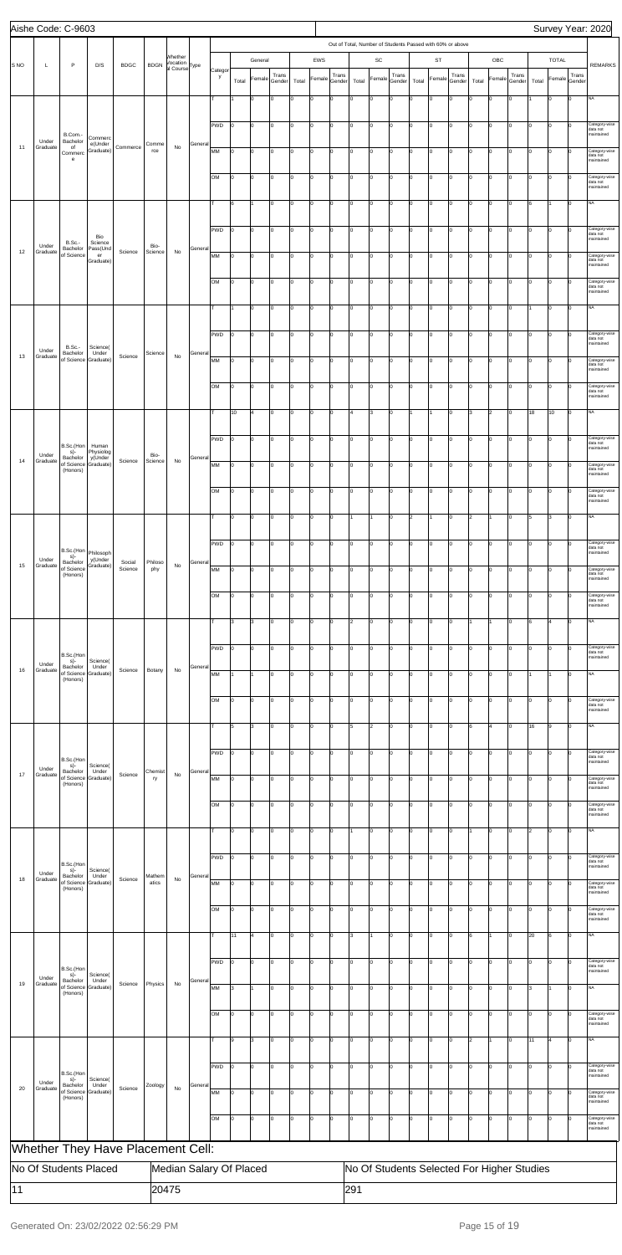|      | Aishe Code: C-9603    |                                                                   |                                            |                                   |                 |                                                  |         |              |             |             |                 |       |                          |                 |                |                |                                                           |       |                |                 |       |                |                                            |       |                |                        | Survey Year: 2020                       |
|------|-----------------------|-------------------------------------------------------------------|--------------------------------------------|-----------------------------------|-----------------|--------------------------------------------------|---------|--------------|-------------|-------------|-----------------|-------|--------------------------|-----------------|----------------|----------------|-----------------------------------------------------------|-------|----------------|-----------------|-------|----------------|--------------------------------------------|-------|----------------|------------------------|-----------------------------------------|
|      |                       |                                                                   |                                            |                                   |                 |                                                  |         |              |             |             |                 |       |                          |                 |                |                | Out of Total, Number of Students Passed with 60% or above |       |                |                 |       |                |                                            |       |                |                        |                                         |
| S NO | Г                     | $\mathsf{P}$                                                      | D/S                                        | <b>BDGC</b>                       | <b>BDGN</b>     | Whether<br>Vocation<br>al Course <sup>Type</sup> |         |              |             | General     |                 |       | EWS                      |                 |                | SC             |                                                           |       | <b>ST</b>      |                 |       | OBC            |                                            |       | <b>TOTAL</b>   |                        | <b>REMARKS</b>                          |
|      |                       |                                                                   |                                            |                                   |                 |                                                  |         | Categor<br>y | Total       | Female      | Trans<br>Gender | Total | Female                   | Trans<br>Gender | Total          | Female         | Trans<br>Gender                                           | Total | Female         | Trans<br>Gender | Total | Female         | Trans<br>Gender                            | Total |                | Trans<br>Female Gender |                                         |
|      |                       |                                                                   |                                            |                                   |                 |                                                  |         | T            |             | $\mathsf 0$ | Iо              | l٥    | lo                       | lo.             | o              | O              | Iо                                                        | I٥    | 0              | $\mathbf 0$     | I٥    | $\overline{0}$ | lо                                         |       | O              | lо                     | <b>NA</b>                               |
|      |                       |                                                                   |                                            |                                   |                 |                                                  |         |              |             |             |                 |       |                          |                 |                |                |                                                           |       |                |                 |       |                |                                            |       |                |                        |                                         |
|      | Under                 | B.Com.-<br>Bachelor                                               | Commerc                                    |                                   |                 |                                                  |         | PWD          | lо          | lo          | Iо              | Iо    | lo                       | I٥              | O              | 0              | I٥                                                        | I٥    | $\mathbf 0$    | Iо              | lо    | $\overline{0}$ | Iо                                         | Iо    | O              | Iо                     | Category-wise<br>data not<br>maintained |
| 11   | Graduate              | of<br>Commerc<br>$\mathbf{e}% _{t}\left  \mathbf{1}\right\rangle$ | e(Under<br>Graduate)                       | Commerce                          | Comme<br>rce    | No                                               | General | MM           | 10          | 0           | Iо              | Iо    | lo                       | I٥              | Iо             | O              | Iо                                                        | I٥    | $\Omega$       | I٥              | I٥    | $\overline{0}$ | lo.                                        | Iо    | $\overline{0}$ | Iо                     | Category-wise<br>data not<br>maintained |
|      |                       |                                                                   |                                            |                                   |                 |                                                  |         | OM           | Iо          | lo          | Iо              | Iо    | lo                       | I٥              | Iо             | o              | lo.                                                       | I٥    | lo.            | lo.             | lо    | $\overline{0}$ | lо                                         | Iо    | O              | $ 0\rangle$            | Category-wise                           |
|      |                       |                                                                   |                                            |                                   |                 |                                                  |         |              |             |             |                 |       |                          |                 |                |                |                                                           |       |                |                 |       |                |                                            |       |                |                        | data not<br>maintained                  |
|      |                       |                                                                   |                                            |                                   |                 |                                                  |         | т            | 6           |             | Iо              | Ιo    | $\overline{0}$           | I٥              | O              | O              | Iо                                                        | I٥    | $\mathbf 0$    | Iо              | lо    | 0              | lо                                         | 6     |                | Iо                     | <b>NA</b>                               |
|      |                       |                                                                   |                                            |                                   |                 |                                                  |         | PWD          | Iо          | l0          | lo.             | Iо    | lo                       | I٥              | I٥             | lo             | Iо                                                        | I٥    | $\Omega$       | Iо              | I٥    | $\overline{0}$ | Iо                                         | Iо    | 0              | Iо                     | Category-wise<br>data not               |
| 12   | Under<br>Graduate     | <b>B.Sc.-</b><br>Bachelor                                         | Bio<br>Science<br>Pass(Und                 | Science                           | Bio-<br>Science | No                                               | Genera  |              |             |             |                 |       |                          |                 |                |                |                                                           |       |                |                 |       |                |                                            |       |                |                        | maintained                              |
|      |                       | of Science                                                        | er<br>Graduate)                            |                                   |                 |                                                  |         | MM           | Iо          | lo          | Iо              | lo.   | lo                       | lo.             | I٥             | O              | Iо                                                        | I٥    | 0              | I٥              | lо    | $\overline{0}$ | Iо                                         | Iо    | O              | lо                     | Category-wise<br>data not<br>maintained |
|      |                       |                                                                   |                                            |                                   |                 |                                                  |         | <b>OM</b>    | I٥          | lo          | Iо              | Iо    | lo                       | I٥              | O              | $\mathbf 0$    | I٥                                                        | I٥    | $\mathbf 0$    | Iо              | lо    | $\overline{0}$ | Iо                                         | Iо    | $\overline{0}$ | Iо                     | Category-wise<br>data not<br>maintained |
|      |                       |                                                                   |                                            |                                   |                 |                                                  |         | T.           |             | 0           | Iо              | Iо    | lo                       | I٥              | I٥             | O              | Iо                                                        | I٥    | $\Omega$       | Iо              | I٥    | $\overline{0}$ | Iо                                         |       | 0              | Iо                     | <b>NA</b>                               |
|      |                       |                                                                   |                                            |                                   |                 |                                                  |         |              |             |             |                 |       |                          |                 |                |                |                                                           |       |                |                 |       |                |                                            |       |                |                        |                                         |
|      |                       | <b>B.Sc.-</b>                                                     | Science(                                   |                                   |                 |                                                  |         | PWD          | lo          | lo          | Iо              | Iо    | lo                       | lo.             | I٥             | o              | Iо                                                        | I٥    | 0              | lo.             | Iо    | $\overline{0}$ | Iо                                         | Iо    | lo.            | Iо                     | Category-wise<br>data not<br>naintained |
| 13   | Under<br>Graduate     | Bachelor<br>of Science                                            | Under<br>Graduate)                         | Science                           | Science         | No                                               | Genera  | MM           | lo          | lo          | Iо              | Ιo    | lo                       | I٥              | O              | O              | I٥                                                        | I٥    | 0              | Iо              | lо    | $\overline{0}$ | Iо                                         | Iо    | 0              | Iо                     | Category-wise<br>data not               |
|      |                       |                                                                   |                                            |                                   |                 |                                                  |         | <b>OM</b>    | lо          | l0          | lo.             | Iо    | lo                       | lo.             | ١o             | O              | Iо                                                        | I٥    | $\Omega$       | I٥              | I٥    | $\overline{0}$ | lо                                         | Iо    | 0              | Iо                     | maintained<br>Category-wise             |
|      |                       |                                                                   |                                            |                                   |                 |                                                  |         |              |             |             |                 |       |                          |                 |                |                |                                                           |       |                |                 |       |                |                                            |       |                |                        | data not<br>maintained                  |
|      |                       |                                                                   |                                            |                                   |                 |                                                  |         | lт.          | 10          | l4          | Iо              | lo.   | lo                       | lo.             | 4              | 3              | Iо                                                        |       |                | Iо              | l3    | $\overline{2}$ | lо                                         | 18    | 10             | Iо                     | <b>NA</b>                               |
|      |                       |                                                                   |                                            |                                   |                 |                                                  |         | PWD          | lо          | lo          | Iо              | Iо    | $\overline{0}$           | I٥              | O              | O              | I٥                                                        | I٥    | 0              | Iо              | lо    | $\overline{0}$ | lо                                         | Iо    | $\overline{0}$ | Iо                     | Category-wise<br>data not               |
| 14   | Under<br>Graduate     | B.Sc.(Hon<br>$s)$ -<br>Bachelor                                   | Human<br>Physiolog<br>y(Under<br>Graduate) | Science                           | Bio-<br>Science | No                                               | General |              |             |             |                 |       |                          |                 |                |                |                                                           |       |                |                 |       |                |                                            |       |                |                        | maintained                              |
|      |                       | of Science<br>(Honors)                                            |                                            |                                   |                 |                                                  |         | MM           | 10          | 0           | Iо              | Iо    | lo                       | I٥              | I٥             | lo             | Iо                                                        | I٥    | $\Omega$       | Iо              | I٥    | $\overline{0}$ | Iо                                         | Iо    | 0              | Iо                     | Category-wise<br>data not<br>maintained |
|      |                       |                                                                   |                                            |                                   |                 |                                                  |         | OМ           |             |             |                 |       |                          |                 |                |                |                                                           |       |                |                 |       |                |                                            |       |                |                        | ategory-wise<br>data not<br>maintained  |
|      |                       |                                                                   |                                            |                                   |                 |                                                  |         | T.           | lо          | 0           | Iо              | lо    | lo                       | I٥              | 1              | 1              | Iо                                                        | 2     |                | Iо              | 2     | 1              | I٥                                         | 5     | 3              | Iо                     | NA                                      |
|      |                       |                                                                   |                                            |                                   |                 |                                                  |         |              |             |             |                 |       |                          |                 |                |                |                                                           |       |                |                 |       |                |                                            |       |                |                        |                                         |
|      |                       | B.Sc.(Hon<br>s)-                                                  | Philosoph                                  |                                   |                 |                                                  |         | PWD          | 10          | l0          | l0              | Iо    | O                        | I٥              | ۱n             | $\mathbf 0$    | Iо                                                        | I٥    |                | Iо              | I٥    | 0              | $\mathbf 0$                                | Iо    | 0              | $\Omega$               | Category-wise<br>data not<br>maintained |
| 15   | Under<br>Graduate     | Bachelor<br>of Science<br>(Honors)                                | y(Under<br>Graduate)                       | Social<br>Science                 | Philoso<br>phy  | No                                               | Genera  | MM           | lо          | I٥          | lo.             | Ιo    | lo                       | lo.             | lo.            | O              | Iо                                                        | lo    | 0              | I٥              | I٥    | $\overline{0}$ | lо                                         | Iо    | O              | lо                     | Category-wise<br>data not               |
|      |                       |                                                                   |                                            |                                   |                 |                                                  |         | <b>OM</b>    | lo          | $\mathsf 0$ | O               | Iо    | lo                       | I٥              | O              | $\mathbf 0$    | Iо                                                        | I٥    | $\mathbf 0$    | Iо              | lо    | $\overline{0}$ | $\mathbf 0$                                | Iо    | O              | $\mathbf 0$            | maintained<br>Category-wise             |
|      |                       |                                                                   |                                            |                                   |                 |                                                  |         |              |             |             |                 |       |                          |                 |                |                |                                                           |       |                |                 |       |                |                                            |       |                |                        | data not<br>maintained                  |
|      |                       |                                                                   |                                            |                                   |                 |                                                  |         | T            | lз          | 3           | Iо              | Iо    | lo                       | I٥              | $\overline{2}$ | lo             | Iо                                                        | I٥    | $\Omega$       | I٥              |       |                | Iо                                         | 6     | $\overline{4}$ | $\Omega$               | <b>NA</b>                               |
|      |                       |                                                                   |                                            |                                   |                 |                                                  |         | PWD          | Iо          | lo          | Iо              | Iо    | lo                       | lo.             | Iо             | o              | lo.                                                       | I٥    | 0              | lo.             | Iо    | $\overline{0}$ | lо                                         | Iо    | O              | Iо                     | Category-wise<br>data not               |
| 16   | Under<br>Graduate     | B.Sc.(Hon<br>s)-<br>Bachelor                                      | Science(<br>Under                          | Science                           | Botany          | No                                               | Genera  |              |             |             |                 |       |                          |                 |                |                |                                                           |       |                |                 |       |                |                                            |       |                |                        | naintained                              |
|      |                       | of Science<br>(Honors)                                            | Graduate)                                  |                                   |                 |                                                  |         | MM           |             |             | 0               | I٥    | lo                       | I٥              | 0              | $\mathsf{o}$   | Iо                                                        | I٥    | $\mathbf 0$    | Iо              | lо    | $\overline{0}$ | 0                                          |       |                | $\mathbf 0$            | NA                                      |
|      |                       |                                                                   |                                            |                                   |                 |                                                  |         | OM           | 10          | l0          | lo.             | Iо    | lo                       | I٥              | Iо             | $\mathsf{o}$   | Iо                                                        | I٥    | $\Omega$       | Iо              | I٥    | $\overline{0}$ | Iо                                         | Iо    | 0              | $\Omega$               | Category-wise<br>data not<br>maintained |
|      |                       |                                                                   |                                            |                                   |                 |                                                  |         | Iт           | 5           | 3           | lo.             | Iо    | lo                       | lo.             | 5              | $\overline{2}$ | Ιo                                                        | I٥    | 0              | I٥              | l6    | $\overline{4}$ | lo.                                        | 16    | 9              | Iо                     | NA                                      |
|      |                       |                                                                   |                                            |                                   |                 |                                                  |         |              |             |             |                 |       |                          |                 |                |                |                                                           |       |                |                 |       |                |                                            |       |                |                        |                                         |
|      | Under                 | B.Sc.(Hon<br>$s)$ -                                               | Science(                                   |                                   |                 |                                                  |         | PWD          | Iо          | lo          | Iо              | lо    | lo                       | I٥              | O              | $\mathbf 0$    | Iо                                                        | I٥    | 0              | Iо              | Iо    | $\overline{0}$ | Iо                                         | Iо    | 0              | $\mathbf 0$            | Category-wise<br>data not<br>maintained |
| 17   | Graduate              | Bachelor<br>of Science<br>(Honors)                                | Under<br>Graduate)                         | Science                           | Chemist<br>ry   | No                                               | General | MM           | Iо          | l0          | I٥              | Iо    | lo                       | I٥              | I٥             | $\mathsf{o}$   | Iо                                                        | I٥    | $\Omega$       | I٥              | I٥    | $\overline{0}$ | Iо                                         | l0    | 0              | <sup>0</sup>           | Category-wise<br>data not<br>maintained |
|      |                       |                                                                   |                                            |                                   |                 |                                                  |         | OM           | lо          | lo          | Iо              | Ιo    | lo                       | lo.             | I٥             | o              | Iо                                                        | I٥    | 0              | I٥              | Iо    | $\overline{0}$ | Iо                                         | Iо    | O              | Iо                     | Category-wise                           |
|      |                       |                                                                   |                                            |                                   |                 |                                                  |         |              |             |             |                 |       |                          |                 |                |                |                                                           |       |                |                 |       |                |                                            |       |                |                        | data not<br>naintained                  |
|      |                       |                                                                   |                                            |                                   |                 |                                                  |         | т            | lo          | 0           | Iо              | Ιo    | lo                       | I٥              | 1              | $\mathbf 0$    | Iо                                                        | I٥    | 0              | Iо              |       | $\overline{0}$ | 0                                          | I2    | 0              | Iо                     | NA                                      |
|      |                       | B.Sc.(Hon                                                         |                                            |                                   |                 |                                                  |         | PWD          | 10          | 0           | 0               | Iо    | lo                       | lo.             | ۱n             | $\mathsf{o}$   | Iо                                                        | I٥    | $\Omega$       | $\mathbf 0$     | I٥    | $\overline{0}$ | $\mathbf 0$                                | Iо    | 0              | $\Omega$               | Category-wise<br>data not               |
| 18   | Under<br>Graduate     | s)-<br>Bachelor<br>of Science                                     | Science(<br>Under<br>Graduate)             | Science                           | Mathem<br>atics | No                                               | General | MM           | Iо          | I٥          | lo.             | Ιo    | lo                       | lo.             | lo.            | lo             | Iо                                                        | lo    | $\circ$        | I٥              | Iо    | $\overline{0}$ | Iо                                         | Iо    | lo.            | lо                     | maintained<br>Category-wise             |
|      |                       | (Honors)                                                          |                                            |                                   |                 |                                                  |         |              |             |             |                 |       |                          |                 |                |                |                                                           |       |                |                 |       |                |                                            |       |                |                        | data not<br>maintained                  |
|      |                       |                                                                   |                                            |                                   |                 |                                                  |         | OM           | lo          | $\mathbf 0$ | 0               | lо    | lo                       | I٥              | O              | $\mathbf 0$    | Iо                                                        | I٥    | $\mathbf 0$    | Iо              | Iо    | $\overline{0}$ | 0                                          | Iо    | $\overline{0}$ | $\mathbf 0$            | Category-wise<br>data not<br>maintained |
|      |                       |                                                                   |                                            |                                   |                 |                                                  |         | T.           | 11          | 4           | Iо              | Iо    | lo                       | I٥              | lз             | 1              | Iо                                                        | I٥    | $\Omega$       | Iо              | l6    | $\overline{1}$ | lо                                         | 20    | 6              | Iо                     | <b>NA</b>                               |
|      |                       |                                                                   |                                            |                                   |                 |                                                  |         |              |             |             |                 |       |                          |                 |                |                |                                                           |       |                |                 |       |                |                                            |       |                |                        |                                         |
|      | Under                 | B.Sc.(Hon<br>s)-                                                  | Science(                                   |                                   |                 |                                                  |         | PWD          |             |             |                 |       |                          |                 |                |                |                                                           |       |                |                 |       |                |                                            |       |                |                        | ategory.<br>data not<br>maintained      |
| 19   | Graduate              | Bachelor<br>of Science<br>(Honors)                                | Under<br>Graduate)                         | Science                           | Physics         | No                                               | General | MM           | 3           |             | Iо              | lо    | lo                       | I٥              | l0             | $\overline{0}$ | I٥                                                        | I٥    | 0              | lo.             | lo.   | $\overline{0}$ | O                                          | lз    |                | Iо                     | NA                                      |
|      |                       |                                                                   |                                            |                                   |                 |                                                  |         | OM           | lо          | lo          | Iо              | Ιo    | O                        | Iо              | O              | 0              | Iо                                                        | I٥    |                | lo.             | I٥    | $\overline{0}$ | lo.                                        | lo.   | $\overline{0}$ |                        | Category-wise<br>data not               |
|      |                       |                                                                   |                                            |                                   |                 |                                                  |         |              |             |             |                 |       |                          |                 |                |                |                                                           |       |                |                 |       |                |                                            |       |                |                        | maintained                              |
|      |                       |                                                                   |                                            |                                   |                 |                                                  |         | т            | l9          | 3           | Iо              | lo.   | lo                       | lo.             | I٥             | o              | Iо                                                        | I٥    | $\overline{0}$ | I٥              | 2     | $\overline{1}$ | Iо                                         | 11    | $\overline{4}$ | Iо                     | <b>NA</b>                               |
|      |                       | B.Sc.(Hon                                                         |                                            |                                   |                 |                                                  |         | PWD          | $ 0\rangle$ | o           | Iо              | Iо    | $\overline{\phantom{a}}$ | lо              | lo.            | o              | I٥                                                        | lо    | 0              | lo.             | lo.   | $\mathbf 0$    | lo.                                        | lo.   | $\circ$        | Iо                     | Category-wise<br>data not               |
| 20   | Under<br>Graduate     | $s)$ -<br>Bachelor<br>of Science                                  | Science(<br>Under<br>Graduate)             | Science                           | Zoology         | No                                               | General | MM           | lо          | O           | Iо              | Iо    | lo                       | I٥              | I٥             | o              | Iо                                                        | I٥    | $\Omega$       | lo.             | I٥    | $\overline{0}$ | lо                                         | lo.   | $\overline{0}$ |                        | maintained<br>Category-wise             |
|      |                       | (Honors)                                                          |                                            |                                   |                 |                                                  |         |              |             |             |                 |       |                          |                 |                |                |                                                           |       |                |                 |       |                |                                            |       |                |                        | data not<br>maintained                  |
|      |                       |                                                                   |                                            |                                   |                 |                                                  |         | OM           | Iо          | lо          | lо              | lo.   | lo                       | lo.             | Iо             | $\overline{0}$ | Iо                                                        | Iо    | lo.            | Iо              | Iо    | lo.            | $ 0\rangle$                                | lо    | lо             | Iо                     | Category-wise<br>data not<br>maintained |
|      |                       |                                                                   |                                            | Whether They Have Placement Cell: |                 |                                                  |         |              |             |             |                 |       |                          |                 |                |                |                                                           |       |                |                 |       |                |                                            |       |                |                        |                                         |
|      | No Of Students Placed |                                                                   |                                            |                                   |                 | Median Salary Of Placed                          |         |              |             |             |                 |       |                          |                 |                |                |                                                           |       |                |                 |       |                | No Of Students Selected For Higher Studies |       |                |                        |                                         |
| 11   |                       |                                                                   |                                            |                                   |                 | 20475                                            |         |              |             |             |                 |       |                          |                 | 291            |                |                                                           |       |                |                 |       |                |                                            |       |                |                        |                                         |
|      |                       |                                                                   |                                            |                                   |                 |                                                  |         |              |             |             |                 |       |                          |                 |                |                |                                                           |       |                |                 |       |                |                                            |       |                |                        |                                         |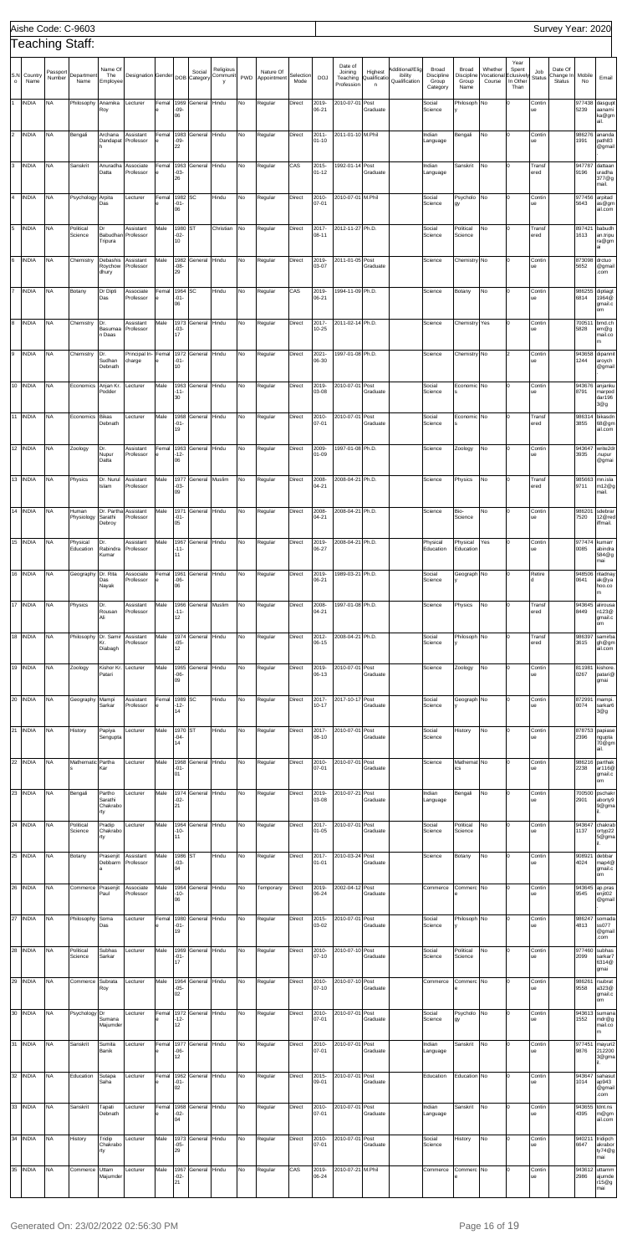|                |                 |                    | Aishe Code: C-9603    |                                      |                                   |            |                         |                        |                            |     |                          |                   |                    |                                              |                                        |                                             |                                                 |                                      |                                 |                                        |                      | Survey Year: 2020                     |                |                                             |
|----------------|-----------------|--------------------|-----------------------|--------------------------------------|-----------------------------------|------------|-------------------------|------------------------|----------------------------|-----|--------------------------|-------------------|--------------------|----------------------------------------------|----------------------------------------|---------------------------------------------|-------------------------------------------------|--------------------------------------|---------------------------------|----------------------------------------|----------------------|---------------------------------------|----------------|---------------------------------------------|
|                |                 |                    | Teaching Staff:       |                                      |                                   |            |                         |                        |                            |     |                          |                   |                    |                                              |                                        |                                             |                                                 |                                      |                                 | Year                                   |                      |                                       |                |                                             |
| S.N<br>$\circ$ | Country<br>Name | Passport<br>Number | Department<br>Name    | Name Of<br>The<br>Employee           | Designation Gender                |            |                         | Social<br>DOB Category | Religious<br>Communit<br>v | PWD | Nature Of<br>Appointment | Selection<br>Mode | <b>DOJ</b>         | Date of<br>Joining<br>Teaching<br>Profession | Highest<br>Qualificatio<br>$\mathsf n$ | Additional/Elig<br>ibility<br>Qualification | <b>Broad</b><br>Discipline<br>Group<br>Category | Broad<br>Discipline<br>Group<br>Name | Whether<br>/ocational<br>Course | Spent<br>clusively<br>In Other<br>Than | Job<br><b>Status</b> | Date Of<br>Change In<br><b>Status</b> | Mobile<br>No   | Email                                       |
|                | <b>INDIA</b>    | <b>NA</b>          | Philosophy            | Anamika<br>Roy                       | Lecturer                          | Femal      | 1969<br>-09-<br>06      | General                | Hindu                      | No  | Regular                  | Direct            | 2019-<br>06-21     | 2010-07-01                                   | Post<br>Graduate                       |                                             | Social<br>Science                               | Philosoph                            | No                              |                                        | Contin<br>ue         |                                       | 977438<br>5239 | dasgup<br>aanami<br>ka@gm<br>ail.           |
| $\overline{2}$ | <b>INDIA</b>    | <b>NA</b>          | Bengali               | Archana<br>Dandapat                  | Assistant<br>Professor            | Femal      | 1983<br>-09-<br>22      | General                | Hindu                      | No  | Regular                  | Direct            | 2011-<br>$01 - 10$ | 2011-01-10 M.Phil                            |                                        |                                             | Indian<br>Language                              | Bengali                              | No                              |                                        | Contin<br>ue         |                                       | 986276<br>1991 | ananda<br>path83<br>@gmail                  |
| 3              | <b>INDIA</b>    | <b>NA</b>          | Sanskrit              | Anuradha<br>Datta                    | Associate<br>Professor            | Femal      | 1963<br>$-03-$<br>26    | General                | Hindu                      | No  | Regular                  | CAS               | 2015-<br>$01 - 12$ | 1992-01-14                                   | Post<br>Graduate                       |                                             | Indian<br>Language                              | Sanskrit                             | No                              |                                        | Transf<br>ered       |                                       | 947787<br>9196 | dattaan<br>uradha<br>377@g<br>mail.         |
| 4              | <b>INDIA</b>    | <b>NA</b>          | Psychology Arpita     | Das                                  | Lecturer                          | Femal      | 1982<br>$-01 -$<br>06   | <b>SC</b>              | Hindu                      | No  | Regular                  | Direct            | 2010-<br>07-01     | 2010-07-01 M.Phil                            |                                        |                                             | Social<br>Science                               | Psycholo<br>gy                       | No                              |                                        | Contin<br>ue         |                                       | 977456<br>5643 | arpitad<br>as@gm<br>ail.com                 |
| 5              | <b>INDIA</b>    | <b>NA</b>          | Political<br>Science  | Dr<br>Babudhan<br>Tripura            | Assistant<br>Professor            | Male       | 1980 ST<br>$-02-$<br>10 |                        | Christian                  | No) | Regular                  | Direct            | 2017-<br>08-11     | 2012-11-27 Ph.D.                             |                                        |                                             | Social<br>Science                               | Political<br>Science                 | No                              |                                        | Transf<br>ered       |                                       | 897421<br>1613 | babudh<br>an.tripu<br>ra@gm<br>аi           |
| 6              | <b>INDIA</b>    | <b>NA</b>          | Chemistry             | Debashis<br>Roychow<br>dhury         | Assistant<br>Professor            | Male       | 1982<br>-08-<br>29      | General                | Hindu                      | No  | Regular                  | Direct            | 2019-<br>03-07     | 2011-01-05 Post                              | Graduate                               |                                             | Science                                         | Chemistry No                         |                                 |                                        | Contin<br>ue         |                                       | 873098<br>5652 | drctuo<br>@gmai<br>.com                     |
| 17             | <b>INDIA</b>    | <b>NA</b>          | Botany                | Dr Dipti<br>Das                      | Associate<br>Professor            | Femal      | 1964<br>$-01 -$<br>06   | <b>SC</b>              | Hindu                      | No  | Regular                  | CAS               | 2019-<br>06-21     | 1994-11-09 Ph.D.                             |                                        |                                             | Science                                         | Botany                               | No                              |                                        | Contin<br>ue         |                                       | 986255<br>6814 | diptiagt<br>1964@<br>gmail.c<br>om          |
| 8              | <b>INDIA</b>    | <b>NA</b>          | Chemistry             | Dr.<br>Basumaa<br>n Daas             | Assistant<br>Professor            | Male       | 1973<br>-03-<br>17      | General                | Hindu                      | No. | Regular                  | Direct            | 2017-<br>10-25     | 2011-02-14 Ph.D.                             |                                        |                                             | Science                                         | Chemistry                            | Yes                             |                                        | Contin<br>ue         |                                       | 70051<br>5828  | bmd.ch<br>em@g<br>mail.co<br>m              |
| 9              | <b>INDIA</b>    | <b>NA</b>          | Chemistry             | Dr.<br>Sudhan<br>Debnath             | Principal In- Femal<br>charge     |            | 1972<br>$-01-$<br>10    | General                | Hindu                      | No  | Regular                  | Direct            | 2021-<br>06-30     | 1997-01-08 Ph.D.                             |                                        |                                             | Science                                         | Chemistry No                         |                                 |                                        | Contin<br>ue         |                                       | 943658<br>1244 | dipannit<br>aroych<br>@gmail                |
| 10             | <b>INDIA</b>    | <b>NA</b>          | Economics             | Anjan Kr.<br>Podder                  | Lecturer                          | Male       | 1963<br>-11-<br>30      | General                | Hindu                      | No. | Regular                  | Direct            | 2019-<br>03-08     | 2010-07-01                                   | Post<br>Graduate                       |                                             | Social<br>Science                               | Economic No                          |                                 |                                        | Contin<br>ue         |                                       | 8791           | 943676 anjanku<br>marpod<br>dar196<br>3@g   |
|                | 11 INDIA        | <b>NA</b>          | Economics             | <b>Bikas</b><br>Debnath              | _ecturer                          | Male       | 1968<br>-01-<br>19      | General                | Hindu                      | No  | Regular                  | Direct            | 2010-<br>07-01     | 2010-07-01                                   | Post<br>Graduate                       |                                             | Social<br>Science                               | Economic No                          |                                 |                                        | Transf<br>ered       |                                       | 98631<br>3855  | bikasdn<br>68@gm<br>ail.com                 |
|                | 12 INDIA        | <b>NA</b>          | Zoology               | Dr.<br>Nupur<br>Datta                | Assistant<br>Professor            | Femal      | 1963<br>12-<br>06       | General                | Hindu                      | No. | Regular                  | Direct            | 2009-<br>01-09     | 1997-01-08 Ph.D.                             |                                        |                                             | Science                                         | Zoology                              | No                              |                                        | Contin<br>ue         |                                       | 943647<br>3935 | write2dr<br>nupur<br>@gmai                  |
| 13             | <b>INDIA</b>    | <b>NA</b>          | Physics               | Dr. Nurul<br>Islam                   | Assistant<br>Professor            | Male       | 03-<br>09               | 1977 General           | Muslim                     | No) | Regular                  | Direct            | 2008-<br>04-21     | 2008-04-21 Ph.D.                             |                                        |                                             | Science                                         | Physics                              | No                              |                                        | Transf<br>ered       |                                       | 9711           | 985663 mn.isla<br>n12@g <br>mail.           |
|                | 14 INDIA        | <b>NA</b>          | Human<br>Physiology   | Sarathi<br>Debroy                    | Dr. Partha Assistant<br>Professor | Male       | 1971<br>$-01-$<br>05    | General                | Hindu                      | No  | Regular                  | Direct            | 2008-<br>04-21     | 2008-04-21 Ph.D.                             |                                        |                                             | Science                                         | Bio-<br>Science                      | No                              | 0                                      | Contin<br>ue         |                                       | 986201<br>7520 | sdebrar<br>12@red<br>iffmail.               |
|                | 15 INDIA        | <b>NA</b>          | Physical<br>Education | Dr.<br>Rabindra<br>Kumar             | Assistant<br>Professor            | Male       | 1967<br>-11-<br>11      | General                | Hindu                      | No. | Regular                  | Direct            | 2019-<br>06-27     | 2008-04-21 Ph.D.                             |                                        |                                             | Physical<br>Education                           | Physical<br>Education                | Yes                             |                                        | Contin<br>ue         |                                       | 977474<br>0085 | kumarr<br>abindra<br>584@g<br>mai           |
|                | 16 INDIA        | <b>NA</b>          | Geography Dr. Rita    | Das<br>Nayak                         | Associate<br>Professor            | Femal      | 1961<br>-06-<br>06      | General                | Hindu                      | No. | Regular                  | Direct            | 2019-<br>06-21     | 1989-03-21 Ph.D.                             |                                        |                                             | Social<br>Science                               | Geograph No                          |                                 |                                        | Retire<br>d          |                                       | 948506<br>0641 | ritadnay<br>ak@ya<br>hoo.co<br>m            |
|                | 17 INDIA        | <b>NA</b>          | Physics               | Dr.<br>Rousan<br>Ali                 | Assistant<br>Professor            | Male       | 1966<br>-11-<br>12      | General                | Muslim                     | No. | Regular                  | Direct            | 2008-<br>04-21     | 1997-01-08 Ph.D.                             |                                        |                                             | Science                                         | Physics                              | No                              |                                        | Transf<br>ered       |                                       | 943645<br>8449 | alirousa<br>n123@<br>gmail.c<br>om          |
|                | 18 INDIA        | <b>NA</b>          | Philosophy            | Dr. Samir<br>Kr.<br>Diabagh          | Assistant<br>Professor            | Male       | -05-<br>12              | 1974 General           | Hindu                      | No. | Regular                  | Direct            | 2012-<br>06-15     | 2008-04-21 Ph.D.                             |                                        |                                             | Social<br>Science                               | Philosoph No                         |                                 |                                        | Transf<br>ered       |                                       | 986397<br>3615 | samirba<br>gh@gm<br>ail.com                 |
|                | 19 INDIA        | <b>NA</b>          | Zoology               | Kishor Kr.<br>Patari                 | Lecturer                          | Male       | 1965<br>-06-<br>09      | General                | Hindu                      | No. | Regular                  | Direct            | 2019-<br>06-13     | 2010-07-01 Post                              | Graduate                               |                                             | Science                                         | Zoology                              | No                              |                                        | Contin<br>ue         |                                       | 811981<br>0267 | kishore<br>patari@<br>gmai                  |
|                | 20 INDIA        | <b>NA</b>          | Geography Mampi       | Sarkar                               | Assistant<br>Professor            | Femal      | 1989 SC<br>$-12-$<br>14 |                        | Hindu                      | No. | Regular                  | Direct            | 2017-<br>10-17     | 2017-10-17 Post                              | Graduate                               |                                             | Social<br>Science                               | Geograph No                          |                                 |                                        | Contin<br>ue         |                                       | 872991<br>0074 | mampi.<br>sarkar6<br>3@g                    |
|                | 21 INDIA        | <b>NA</b>          | History               | Papiya<br>Sengupta                   | Lecturer                          | Male       | 1970 ST<br>-04-<br>14   |                        | Hindu                      | No. | Regular                  | Direct            | 2017-<br>08-10     | 2010-07-01 Post                              | Graduate                               |                                             | Social<br>Science                               | History                              | No                              |                                        | Contin<br>ue         |                                       | 2396           | 878753 papiase<br>ngupta<br>70@gm<br>ail.   |
|                | 22 INDIA        | <b>NA</b>          | Mathematic Partha     | Kar                                  | Lecturer                          | Male       | 1968<br>$-01 -$<br>01   | General                | Hindu                      | No  | Regular                  | Direct            | 2010-<br>07-01     | 2010-07-01 Post                              | Graduate                               |                                             | Science                                         | Mathemat No<br>ics                   |                                 |                                        | Contin<br>ue         |                                       | 986216<br>2238 | parthak<br>ar116@<br>gmail.c<br>om          |
|                | 23 INDIA        | <b>NA</b>          | Bengali               | Partho<br>Sarathi<br>Chakrabo<br>rty | Lecturer                          | Male       | 1974<br>-02-<br>21      | General                | Hindu                      | No. | Regular                  | Direct            | 2019-<br>03-08     | 2010-07-21 Post                              | Graduate                               |                                             | Indian<br>Language                              | Bengali                              | No                              |                                        | Contin<br>ue         |                                       | 700500<br>2901 | pschakr<br>aborty9<br>9@gma                 |
|                | 24 INDIA        | <b>NA</b>          | Political<br>Science  | Pradip<br>Chakrabo<br>rty            | Lecturer                          | Male       | 1964<br>-10-<br>11      | General                | Hindu                      | No. | Regular                  | Direct            | 2017-<br>$01 - 05$ | 2010-07-01 Post                              | Graduate                               |                                             | Social<br>Science                               | Political<br>Science                 | No                              |                                        | Contin<br>ue         |                                       | 943647<br>1137 | chakrab<br>ortyp22<br>5@gma                 |
|                | 25 INDIA        | <b>NA</b>          | Botany                | Prasenjit<br>Debbarm                 | Assistant<br>Professor            | Male       | 1986 ST<br>-03-<br>04   |                        | Hindu                      | No  | Regular                  | Direct            | 2017-<br>01-01     | 2010-03-24 Post                              | Graduate                               |                                             | Science                                         | Botany                               | No                              |                                        | Contin<br>ue         |                                       | 908921<br>4024 | debbar<br>map4@<br>gmail.c<br>om            |
|                | 26 INDIA        | <b>NA</b>          | Commerce Prasenjit    | Paul                                 | Associate<br>Professor            | Male       | 1964<br>-10-<br>06      | General                | Hindu                      | No. | Temporary                | Direct            | 2019-<br>06-24     | 2002-04-12 Post                              | Graduate                               |                                             | Commerce                                        | Commerc No                           |                                 |                                        | Contin<br>ue         |                                       | 943645<br>9545 | ap.pras<br>enjit02<br>@gmail                |
|                | 27 INDIA        | <b>NA</b>          | Philosophy Soma       | Das                                  | Lecturer                          | Femal      | 1980<br>-01-<br>19      | General                | Hindu                      | No. | Regular                  | Direct            | 2015-<br>03-02     | 2010-07-01 Post                              | Graduate                               |                                             | Social<br>Science                               | Philosoph No                         |                                 |                                        | Contin<br>ue         |                                       | 4813           | 986247 somada<br>ss077<br>@gmail<br>.com    |
|                | 28 INDIA        | <b>NA</b>          | Political<br>Science  | Subhas<br>Sarkar                     | Lecturer                          | Male       | -01-<br>17              | 1969 General           | Hindu                      | No  | Regular                  | Direct            | 07-10              | 2010-2010-07-10 Post                         | Graduate                               |                                             | Social<br>Science                               | Political<br>Science                 | No                              | 0                                      | Contin<br>ue         |                                       | 2099           | 977460 subhas<br>sarkar7<br>6314@<br>gmai   |
|                | 29 INDIA        | <b>NA</b>          | Commerce Subrata      | Roy                                  | Lecturer                          | Male       | 1964<br>-05-<br>02      | General Hindu          |                            | No. | Regular                  | Direct            | 2010-<br>07-10     | 2010-07-10 Post                              | Graduate                               |                                             | Commerce                                        | Commerc No                           |                                 |                                        | Contin<br>ue         |                                       | 986261<br>9558 | rsubrat<br>a323@<br>gmail.c<br>om           |
|                | 30 INDIA        | <b>NA</b>          | Psychology Dr         | Sumana<br>Majumder                   | Lecturer                          | Femal      | 1972<br>$-12-$<br>12    | General                | Hindu                      | No. | Regular                  | Direct            | 2010-<br>07-01     | 2010-07-01 Post                              | Graduate                               |                                             | Social<br>Science                               | Psycholo No<br>gy                    |                                 |                                        | Contin<br>ue         |                                       | 1552           | 943613 sumana<br>mdr@g<br>mail.co<br>m      |
|                | 31 INDIA        | <b>NA</b>          | Sanskrit              | Sumita<br>Banik                      | Lecturer                          | Femal<br>е | 1977<br>-06-<br>12      | General Hindu          |                            | No. | Regular                  | Direct            | 2010-<br>07-01     | 2010-07-01 Post                              | Graduate                               |                                             | Indian<br>Language                              | Sanskrit                             | No                              |                                        | Contin<br>ue         |                                       | 977451<br>9876 | mayuri2<br>212200<br>3@gma                  |
|                | 32 INDIA        | <b>NA</b>          | Education             | Sutapa<br>Saha                       | Lecturer                          | Femal      | 1962<br>-01-<br>02      | General Hindu          |                            | No. | Regular                  | Direct            | 2015-<br>09-01     | 2010-07-01 Post                              | Graduate                               |                                             | Education                                       | Education No                         |                                 |                                        | Contin<br>ue         |                                       | 1014           | 943647 sahasut<br>ap943<br>@gmail<br>.com   |
|                | 33 INDIA        | <b>NA</b>          | Sanskrit              | Tapati<br>Debnath                    | Lecturer                          | Femal      | -02-<br>04              | 1968 General Hindu     |                            | No. | Regular                  | Direct            | 2010-<br>07-01     | 2010-07-01 Post                              | Graduate                               |                                             | Indian<br>Language                              | Sanskrit                             | No                              |                                        | Contin<br>ue         |                                       | 4395           | 943655 tdnt.ns<br>m@gm<br>ail.com           |
|                | 34 INDIA        | <b>NA</b>          | History               | Tridip<br>Chakrabo<br>rty            | Lecturer                          | Male       | 1973<br>-05-<br>29      | General Hindu          |                            | No. | Regular                  | Direct            | 2010-<br>07-01     | 2010-07-01 Post                              | Graduate                               |                                             | Social<br>Science                               | History                              | No                              |                                        | Contin<br>ue         |                                       | 6647           | 940211 tridipch<br>akrabor<br>ty74@g<br>mai |
|                | 35 INDIA        | <b>NA</b>          | Commerce              | Uttam<br>Majumder                    | Lecturer                          | Male       | 1967<br>-02-<br>21      | General                | Hindu                      | No. | Regular                  | CAS               | 2019-<br>06-24     | 2010-07-21 M.Phil                            |                                        |                                             | Commerce                                        | Commerc No                           |                                 |                                        | Contin<br>ue         |                                       | 2986           | 943612 uttamm<br>ajumde<br>r15@g<br>mai     |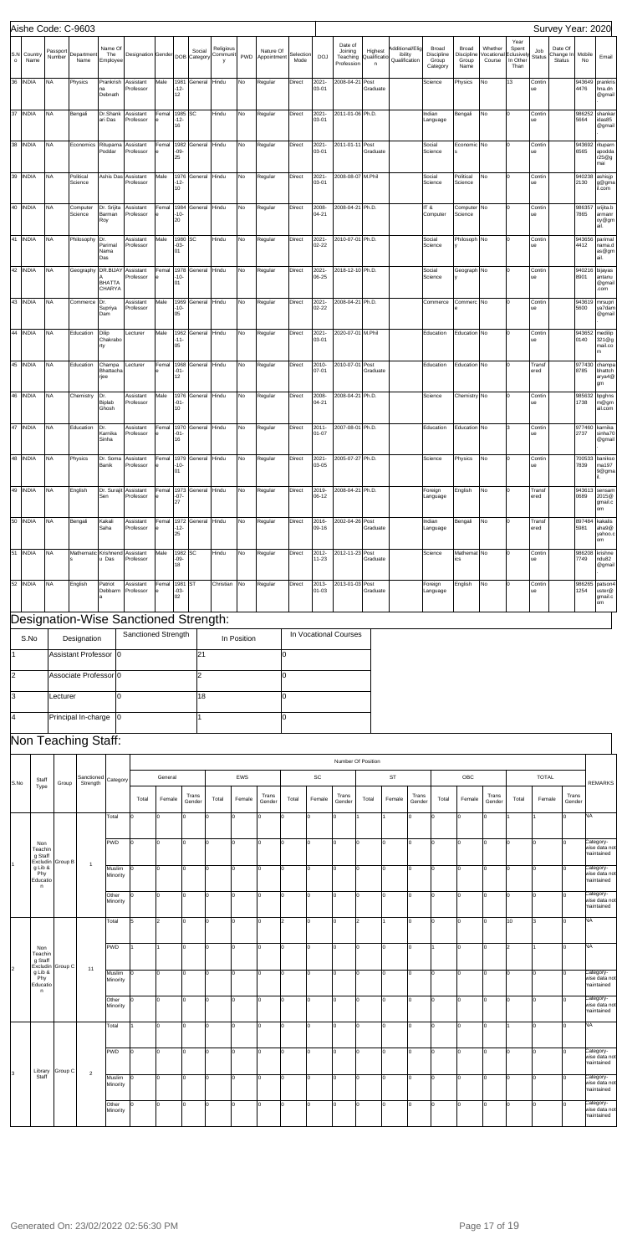|          |                                       |                        | Aishe Code: C-9603                    |                                            |                                                             |                    |                         |                    |                            |             |                              |                   |                       |                                              |                              |                                             |                 |                                          |                                      |                                |                                                        |                      | Survey Year: 2020                     |                |                                                       |
|----------|---------------------------------------|------------------------|---------------------------------------|--------------------------------------------|-------------------------------------------------------------|--------------------|-------------------------|--------------------|----------------------------|-------------|------------------------------|-------------------|-----------------------|----------------------------------------------|------------------------------|---------------------------------------------|-----------------|------------------------------------------|--------------------------------------|--------------------------------|--------------------------------------------------------|----------------------|---------------------------------------|----------------|-------------------------------------------------------|
| $\circ$  | S.N Country<br>Name                   | Passport<br>Number     | Department<br>Name                    | Name Of<br>The<br>Employee                 | Designation Gender DOB Category                             |                    |                         | Social             | Religious<br>Communit<br>y |             | Nature Of<br>PWD Appointment | Selection<br>Mode | DOJ                   | Date of<br>Joining<br>Teaching<br>Profession | Highest<br>Qualificatio<br>n | Additional/Elig<br>ibility<br>Qualification |                 | Broad<br>Discipline<br>Group<br>Category | Broad<br>Discipline<br>Group<br>Name | Whether<br>Vocationa<br>Course | Year<br>Spent<br><b>Eclusively</b><br>In Other<br>Than | Job<br><b>Status</b> | Date Of<br>Change In<br><b>Status</b> | Mobile<br>No   | Email                                                 |
|          | 36 INDIA                              | <b>NA</b>              | Physics                               | Prankrish<br>na<br>Debnath                 | Assistant<br>Professor                                      | Male               | 1981<br>$-12-$<br>12    | General            | Hindu                      | No          | Regular                      | Direct            | 2021-<br>03-01        | 2008-04-21                                   | Post<br>Graduate             |                                             |                 | Science                                  | Physics                              | No                             | 13                                                     | Contin<br>ue         |                                       | 943649<br>4476 | prankris<br>hna.dn<br>@gmail                          |
|          | 37 INDIA                              | <b>NA</b>              | Bengali                               | Dr.Shank<br>ari Das                        | Assistant<br>Professor                                      | Femal              | 1985 SC<br>$-12-$<br>16 |                    | Hindu                      | No          | Regular                      | Direct            | $2021 -$<br>03-01     | 2011-01-06 Ph.D.                             |                              |                                             |                 | Indian<br>Language                       | Bengali                              | No                             | $\Omega$                                               | Contin<br>ue         |                                       | 986252<br>5664 | shankar<br>idas85<br>@gmail                           |
|          | 38 INDIA                              | <b>NA</b>              | Economics                             | Rituparna<br>Poddar                        | Assistant<br>Professor                                      | Femal              | $-09-$<br>25            | 1982 General       | Hindu                      | No          | Regular                      | Direct            | 2021-<br>03-01        | 2011-01-11                                   | Post<br>Graduate             |                                             |                 | Social<br>Science                        | Economic No                          |                                | $\Omega$                                               | Contin<br>ue         |                                       | 943692<br>6565 | rituparn<br>apodda<br>r25@g<br>mai                    |
|          | 39 INDIA                              | <b>NA</b>              | Political<br>Science                  | Ashis Das                                  | Assistant<br>Professor                                      | Male               | 1976<br>$-12-$<br>10    | General            | Hindu                      | No          | Regular                      | Direct            | $2021 -$<br>03-01     | 2008-08-07                                   | M.Phil                       |                                             |                 | Social<br>Science                        | Political<br>Science                 | No                             | $\Omega$                                               | Contin<br>ue         |                                       | 940238<br>2130 | ashisjp<br>g@gma<br>il.com                            |
|          | 40 INDIA                              | <b>NA</b>              | Computer<br>Science                   | Dr. Srijita<br>Barman<br>Roy               | Assistant<br>Professor                                      | Femal              | $-10-$<br>20            | 1984 General Hindu |                            | No          | Regular                      | Direct            | 2008-<br>$04 - 21$    | 2008-04-21 Ph.D.                             |                              |                                             | B TI            | Computer                                 | Computer No<br>Science               |                                | I٥                                                     | Contin<br>ue         |                                       | 7865           | 986357 srijita.b<br>armanr<br>oy@gm<br>ail.           |
|          | 41 INDIA                              | <b>NA</b>              | Philosophy                            | Dr.<br>Parimal<br>Nama<br>Das              | Assistant<br>Professor                                      | Male               | 1980 SC<br>$-03-$<br>01 |                    | Hindu                      | No          | Regular                      | Direct            | $2021 -$<br>02-22     | 2010-07-01 Ph.D.                             |                              |                                             |                 | Social<br>Science                        | Philosoph No                         |                                | $\Omega$                                               | Contin<br>ue         |                                       | 943656<br>4412 | parimal<br>nama.d<br>as@gm<br>ail.                    |
|          | 42 INDIA                              | <b>NA</b>              | Geography                             | DR.BIJAY<br><b>BHATTA</b><br><b>CHARYA</b> | Assistant<br>Professor                                      | Femal              | $-10-$<br>01            | 1978 General       | Hindu                      | No          | Regular                      | Direct            | 2021-<br>06-25        | 2018-12-10 Ph.D.                             |                              |                                             |                 | Social<br>Science                        | Geograph No                          |                                | $\Omega$                                               | Contin<br>ue         |                                       | 8901           | 940216 bijayas<br>antanu<br>@gmail<br>com             |
|          | 43 INDIA                              | <b>NA</b>              | Commerce                              | Dr.<br>Supriya<br>Dam                      | Assistant<br>Professor                                      | Male               | 1969<br>$-10-$<br>05    | General            | Hindu                      | No          | Regular                      | Direct            | $2021 -$<br>$02 - 22$ | 2008-04-21 Ph.D.                             |                              |                                             |                 | Commerce                                 | Commerc No                           |                                | $\Omega$                                               | Contin<br>ue         |                                       | 943619<br>5600 | mrsupri<br>ya7dam<br>@gmail                           |
|          | 44 INDIA                              | <b>NA</b>              | Education                             | Dilip<br>Chakrabo<br>rty                   | Lecturer                                                    | Male               | $-11-$<br>05            | 1962 General       | Hindu                      | No          | Regular                      | Direct            | 2021-<br>03-01        | 2020-07-01 M.Phil                            |                              |                                             |                 | Education                                | Education No                         |                                |                                                        | Contin<br>ue         |                                       | 0140           | 943652 medilip<br>321@g<br>mail.co<br>m               |
|          | 45 INDIA                              | <b>NA</b>              | Education                             | Champa<br>Bhattacha<br>rjee                | Lecturer                                                    | Femal              | 1968<br>$-01-$<br>12    | General            | Hindu                      | No          | Regular                      | Direct            | 2010-<br>07-01        | 2010-07-01                                   | Post<br>Graduate             |                                             |                 | Education                                | Education No                         |                                | $\Omega$                                               | Transf<br>ered       |                                       | 8785           | 977430 champa<br>bhattch<br>arya4@<br>gm              |
|          | 46 INDIA                              | <b>NA</b>              | Chemistry                             | Dr.<br>Biplab<br>Ghosh                     | Assistant<br>Professor                                      | Male               | $-01-$<br>10            | 1976 General Hindu |                            | No          | Regular                      | Direct            | 2008-<br>$04 - 21$    | 2008-04-21 Ph.D.                             |                              |                                             |                 | Science                                  | Chemistry No                         |                                | $\Omega$                                               | Contin<br>ue         |                                       | 1738           | 985632 bpghns<br>m@gm<br>ail.com                      |
|          | 47 INDIA                              | <b>NA</b>              | Education                             | Dr.<br>Karnika<br>Sinha                    | Assistant<br>Professor                                      | Femal              | $-01-$<br>16            | 1970 General       | Hindu                      | No          | Regular                      | Direct            | $2011 -$<br>$01 - 07$ | 2007-08-01 Ph.D.                             |                              |                                             |                 | Education                                | Education No                         |                                | 3                                                      | Contin<br>ue         |                                       | 977460<br>2737 | karnika<br>sinha70<br>@gmail                          |
|          | 48 INDIA                              | <b>NA</b>              | Physics                               | Dr. Soma<br>Banik                          | Assistant<br>Professor                                      | Femal              | $-10-$<br>01            | 1979 General Hindu |                            | No          | Regular                      | Direct            | 2021-<br>03-05        | 2005-07-27 Ph.D.                             |                              |                                             |                 | Science                                  | Physics                              | No                             | I٥                                                     | Contin<br>ue         |                                       | 7839           | 700533 banikso<br>ma197<br>9@gma                      |
|          | 49 INDIA NA                           |                        | English                               | Sen                                        | Dr. Suraiit Assistant Femal 1973 General Hindu<br>Professor |                    | $-07-$<br>27            |                    |                            | <b>No</b>   | Regular                      | Direct            | 06-12                 | 2019-2008-04-21 Ph.D.                        |                              |                                             |                 | Foreign<br>Language                      | English                              | <b>No</b>                      | l0                                                     | Transf<br>ered       |                                       | 0689           | 943613 sensam<br>2015@<br>gmail.c<br>om               |
| 50       | <b>INDIA</b>                          | <b>NA</b>              | Bengali                               | Kakali<br>Saha                             | Assistant<br>Professor                                      | Femal              | 1972<br>$-12-$<br>25    | General            | Hindu                      | No          | Regular                      | Direct            | 2016-<br>09-16        | 2002-04-26                                   | Post<br>Graduate             |                                             |                 | Indian<br>Language                       | Bengali                              | No                             |                                                        | Trans<br>ered        |                                       | 897484<br>5981 | kakalis<br>aha9@<br>yahoo.c<br>om                     |
| 51<br>52 | <b>INDIA</b>                          | <b>NA</b><br><b>NA</b> | Mathematic                            | Krishnend<br>u Das                         | Assistant<br>Professor                                      | Male               | 1982 SC<br>$-09-$<br>18 |                    | Hindu<br>Christian         | No          | Regular                      | Direct<br>Direct  | 2012-<br>11-23        | 2012-11-23<br>2013-01-03                     | Post<br>Graduate             |                                             |                 | Science                                  | Mathemat No<br>ics                   |                                |                                                        | Contin<br>ue         |                                       | 986208<br>7749 | krishne<br>ndu82<br>@gmail                            |
|          | <b>INDIA</b>                          |                        | English                               | Patriot<br>Debbarm                         | Assistant<br>Professor                                      | Femal              | 1981 ST<br>$-03-$<br>02 |                    |                            | No          | Regular                      |                   | 2013-<br>$01 - 03$    |                                              | Post<br>Graduate             |                                             |                 | Foreign<br>Language                      | English                              | No                             |                                                        | Contin<br>ue         |                                       | 986265<br>1254 | patson4<br>uster@<br>gmail.c<br>om                    |
|          |                                       |                        | Designation-Wise Sanctioned Strength: |                                            |                                                             |                    |                         |                    |                            |             |                              |                   |                       |                                              |                              |                                             |                 |                                          |                                      |                                |                                                        |                      |                                       |                |                                                       |
|          | S.No                                  |                        | Designation<br>Assistant Professor    | 0                                          | Sanctioned Strength                                         |                    |                         | 21                 |                            | In Position | 0                            |                   |                       | In Vocational Courses                        |                              |                                             |                 |                                          |                                      |                                |                                                        |                      |                                       |                |                                                       |
| l2       |                                       |                        | Associate Professor 0                 |                                            |                                                             |                    |                         | $\overline{2}$     |                            |             | lo.                          |                   |                       |                                              |                              |                                             |                 |                                          |                                      |                                |                                                        |                      |                                       |                |                                                       |
| l3       |                                       | Lecturer               |                                       | 0                                          |                                                             |                    |                         | 18                 |                            |             | lo.                          |                   |                       |                                              |                              |                                             |                 |                                          |                                      |                                |                                                        |                      |                                       |                |                                                       |
| 4        |                                       |                        | Principal In-charge                   | 10                                         |                                                             |                    |                         |                    |                            |             | 0                            |                   |                       |                                              |                              |                                             |                 |                                          |                                      |                                |                                                        |                      |                                       |                |                                                       |
|          |                                       |                        | Non Teaching Staff:                   |                                            |                                                             |                    |                         |                    |                            |             |                              |                   |                       |                                              |                              |                                             |                 |                                          |                                      |                                |                                                        |                      |                                       |                |                                                       |
|          |                                       |                        |                                       |                                            |                                                             |                    |                         |                    |                            |             |                              |                   |                       |                                              |                              |                                             |                 |                                          |                                      |                                |                                                        |                      |                                       |                |                                                       |
|          | Staff                                 |                        | Sanctioned                            | Category                                   |                                                             | General            |                         |                    |                            | EWS         |                              |                   | SC                    | Number Of Position                           |                              | ST                                          |                 |                                          | OBC                                  |                                |                                                        | <b>TOTAL</b>         |                                       |                |                                                       |
| S.No     | Type                                  | Group                  | Strength                              |                                            | Total                                                       | Female             |                         | Trans<br>Gender    | Total                      | Female      | Trans<br>Gender              | Total             | Female                | Trans<br>Gender                              | Total                        | Female                                      | Trans<br>Gender | Total                                    | Female                               | Trans<br>Gender                | Total                                                  | Female               | Trans<br>Gender                       |                | <b>REMARKS</b>                                        |
|          |                                       |                        |                                       | Total                                      |                                                             | 0                  |                         |                    |                            |             |                              |                   |                       | I٥                                           |                              | lo                                          |                 |                                          | ი                                    |                                |                                                        |                      | $\Omega$                              | NA             |                                                       |
|          | Non<br>Teachin<br>g Staff<br>Excludin | Group B                | $\mathbf{1}$                          | <b>PWD</b>                                 |                                                             | I٥                 | I٥                      | I٥                 | $\Omega$                   |             | Iо                           | $\mathbf 0$       |                       | Iо                                           | 0                            | 0                                           | Iо              | I٥                                       | $\mathbf 0$                          | Iо                             | $\Omega$                                               |                      | Ιo                                    |                | Category-<br>wise data not<br>maintained              |
|          | g Lib &<br>Phy<br>Educatio<br>n       |                        |                                       | Muslim<br>Minority<br>Other                |                                                             | lo.<br>$\mathbf 0$ | I٥<br>Iо                | l0<br>0            | 0<br>0                     |             | I٥<br>l٥<br>Iо<br>I٥         | $\Omega$<br>0     |                       | Iо<br>l٥<br>Iо<br>$\Omega$                   |                              | $\Omega$<br>0                               | Iо<br>Iо        | I٥<br>I٥                                 | $\Omega$<br>0                        | Iо<br>Iо                       | $\Omega$<br>$\Omega$                                   | $\Omega$             | l٥<br>Iо                              |                | Category-<br>vise data not<br>maintained<br>Category- |
|          |                                       |                        |                                       | Minority                                   |                                                             |                    |                         |                    |                            |             |                              |                   |                       |                                              |                              |                                             |                 |                                          |                                      |                                |                                                        |                      |                                       |                | wise data not<br>maintained                           |

| Non<br>Teachin                     | $\begin{array}{c c}\n\hline\ng\end{array}$ Excludin Group C | 11             | PWD                |     |    |   |    |    |          |     |    |          |     |          |            |    | NA                                       |
|------------------------------------|-------------------------------------------------------------|----------------|--------------------|-----|----|---|----|----|----------|-----|----|----------|-----|----------|------------|----|------------------------------------------|
| g Lib &<br>$E$ <sub>Phy</sub><br>n |                                                             |                | Muslim<br>Minority | ln. | O  |   | I٥ | In | $\Omega$ | ln. | I٥ | $\Omega$ | ln. | $\Omega$ | O          | I٥ | Category-<br>wise data not<br>maintained |
|                                    |                                                             |                | Other<br>Minority  |     | I٥ | ŋ | I٥ |    | 0        | ln. | Iо | $\Omega$ | ln. | $\Omega$ | $\Omega$   | Iо | Category-<br>wise data not<br>maintained |
|                                    |                                                             |                | Total              |     |    |   | l0 |    |          |     | I٥ |          |     | O        |            | l٥ | <b>NA</b>                                |
|                                    |                                                             |                | PWD                | ln. | O  |   | I٥ | n  | $\Omega$ | n   | I٥ | $\Omega$ | I∩  | O        | U          | I٥ | Category-<br>wise data not<br>maintained |
|                                    | Library Group C                                             | $\overline{2}$ | Muslim<br>Minority | In. | l٥ |   | l0 |    | ١O       | n   | I٥ | $\Omega$ | In  | O        | $\sqrt{2}$ | I٥ | Category-<br>wise data not<br>maintained |
|                                    |                                                             |                | Other<br>Minority  | 'n  | l٥ |   | I٥ |    | $\Omega$ | ln. | I٥ | $\Omega$ | ln. | O        | $\sqrt{2}$ | I٥ | Category-<br>wise data not<br>maintained |

Total |5 |2 |0 |0 |0 |2 |0 |0 |2 |1 |0 |0 |0 |10 |3 |0 |NA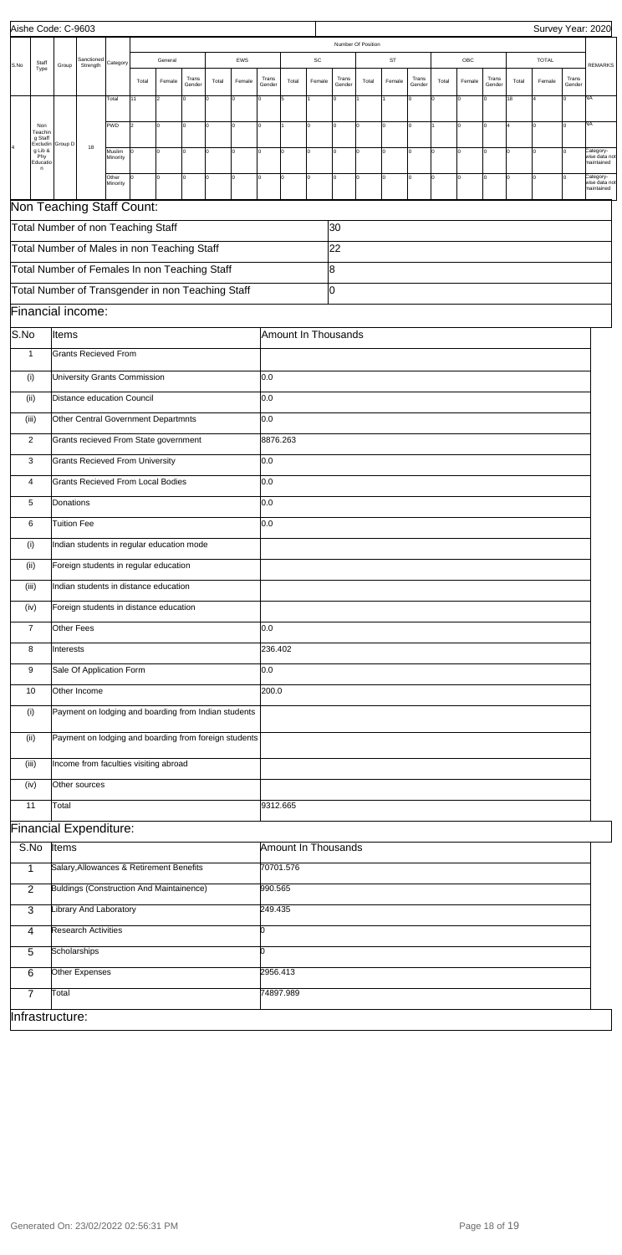|      |                                        | Aishe Code: C-9603 |                                                                        |                    |       |          |                 |       |          |                 |                            |        |                 |                    |              |                 |       |                |                 |       | Survey Year: 2020 |                 |                                          |
|------|----------------------------------------|--------------------|------------------------------------------------------------------------|--------------------|-------|----------|-----------------|-------|----------|-----------------|----------------------------|--------|-----------------|--------------------|--------------|-----------------|-------|----------------|-----------------|-------|-------------------|-----------------|------------------------------------------|
|      |                                        |                    |                                                                        |                    |       |          |                 |       |          |                 |                            |        |                 | Number Of Position |              |                 |       |                |                 |       |                   |                 |                                          |
| S.No | Staff<br>Type                          | Group              | Sanctioned<br>Strength                                                 | Category           |       | General  |                 |       | EWS      |                 |                            | SC     |                 |                    | ST           |                 |       | OBC            |                 |       | <b>TOTAL</b>      |                 | <b>REMARKS</b>                           |
|      |                                        |                    |                                                                        |                    | Total | Female   | Trans<br>Gender | Total | Female   | Trans<br>Gender | Total                      | Female | Trans<br>Gender | Total              | Female       | Trans<br>Gender | Total | Female         | Trans<br>Gender | Total | Female            | Trans<br>Gender |                                          |
|      |                                        |                    |                                                                        | Total              | 11    |          | 0               | lo    |          |                 | l5                         |        | $\overline{0}$  |                    |              | Iо              |       | $\overline{0}$ |                 | 18    |                   |                 | NA                                       |
|      |                                        |                    |                                                                        | PWD                | 2     | lo.      | I٥              | I٥    | $\Omega$ | lo              |                            | 0      | lo.             | $\Omega$           | O            | Iо              |       | $\Omega$       | 0               |       |                   | l٥              | NA                                       |
|      | Non<br>Teachir<br>g Staff              |                    |                                                                        |                    |       |          |                 |       |          |                 |                            |        |                 |                    |              |                 |       |                |                 |       |                   |                 |                                          |
|      | Excludin<br>g Lib &<br>Phy<br>Educatio | Group D            | 18                                                                     | Muslim<br>Minority |       | $\Omega$ | I٥              | O     |          | Iо              |                            | 0      | <sup>0</sup>    | I٥                 | O            | Iо              | lo.   | $\Omega$       | 0               |       |                   |                 | Category-<br>wise data not<br>maintained |
|      | n                                      |                    |                                                                        | Other              | O     | 0        | I٥              | I٥    | 0        | Iо              | I٥                         | 0      | I٥              | lo.                | $\mathsf{o}$ | Iо              | Iо    | $\mathbf 0$    | 0               | I٥    | lo                |                 | Category-                                |
|      |                                        |                    |                                                                        | Minority           |       |          |                 |       |          |                 |                            |        |                 |                    |              |                 |       |                |                 |       |                   |                 | vise data not<br>naintained              |
|      |                                        |                    | Non Teaching Staff Count:                                              |                    |       |          |                 |       |          |                 |                            |        |                 |                    |              |                 |       |                |                 |       |                   |                 |                                          |
|      |                                        |                    | Total Number of non Teaching Staff                                     |                    |       |          |                 |       |          |                 |                            |        | 30              |                    |              |                 |       |                |                 |       |                   |                 |                                          |
|      |                                        |                    | Total Number of Males in non Teaching Staff                            |                    |       |          |                 |       |          |                 |                            |        | 22              |                    |              |                 |       |                |                 |       |                   |                 |                                          |
|      |                                        |                    | Total Number of Females In non Teaching Staff                          |                    |       |          |                 |       |          |                 |                            |        | 8               |                    |              |                 |       |                |                 |       |                   |                 |                                          |
|      |                                        |                    |                                                                        |                    |       |          |                 |       |          |                 |                            |        | IО              |                    |              |                 |       |                |                 |       |                   |                 |                                          |
|      |                                        |                    | Total Number of Transgender in non Teaching Staff<br>Financial income: |                    |       |          |                 |       |          |                 |                            |        |                 |                    |              |                 |       |                |                 |       |                   |                 |                                          |
|      |                                        |                    |                                                                        |                    |       |          |                 |       |          |                 |                            |        |                 |                    |              |                 |       |                |                 |       |                   |                 |                                          |
| S.No |                                        | Items              | <b>Grants Recieved From</b>                                            |                    |       |          |                 |       |          |                 | Amount In Thousands        |        |                 |                    |              |                 |       |                |                 |       |                   |                 |                                          |
|      | $\mathbf{1}$                           |                    |                                                                        |                    |       |          |                 |       |          |                 |                            |        |                 |                    |              |                 |       |                |                 |       |                   |                 |                                          |
|      | (i)                                    |                    | University Grants Commission                                           |                    |       |          |                 |       |          | 0.0             |                            |        |                 |                    |              |                 |       |                |                 |       |                   |                 |                                          |
|      | (iii)                                  |                    | Distance education Council                                             |                    |       |          |                 |       |          | 0.0             |                            |        |                 |                    |              |                 |       |                |                 |       |                   |                 |                                          |
|      | (iii)                                  |                    | Other Central Government Departmnts                                    |                    |       |          |                 |       |          | 0.0             |                            |        |                 |                    |              |                 |       |                |                 |       |                   |                 |                                          |
|      | 2                                      |                    | Grants recieved From State government                                  |                    |       |          |                 |       |          | 8876.263        |                            |        |                 |                    |              |                 |       |                |                 |       |                   |                 |                                          |
|      | 3                                      |                    | <b>Grants Recieved From University</b>                                 |                    |       |          |                 |       |          | 0.0             |                            |        |                 |                    |              |                 |       |                |                 |       |                   |                 |                                          |
|      |                                        |                    |                                                                        |                    |       |          |                 |       |          |                 |                            |        |                 |                    |              |                 |       |                |                 |       |                   |                 |                                          |
|      | 4                                      |                    | <b>Grants Recieved From Local Bodies</b>                               |                    |       |          |                 |       |          | 0.0             |                            |        |                 |                    |              |                 |       |                |                 |       |                   |                 |                                          |
|      | 5                                      | Donations          |                                                                        |                    |       |          |                 |       |          | 0.0             |                            |        |                 |                    |              |                 |       |                |                 |       |                   |                 |                                          |
|      | 6                                      | <b>Tuition Fee</b> |                                                                        |                    |       |          |                 |       |          | 0.0             |                            |        |                 |                    |              |                 |       |                |                 |       |                   |                 |                                          |
|      | (i)                                    |                    | Indian students in regular education mode                              |                    |       |          |                 |       |          |                 |                            |        |                 |                    |              |                 |       |                |                 |       |                   |                 |                                          |
|      | (ii)                                   |                    | Foreign students in regular education                                  |                    |       |          |                 |       |          |                 |                            |        |                 |                    |              |                 |       |                |                 |       |                   |                 |                                          |
|      | (iii)                                  |                    | Indian students in distance education                                  |                    |       |          |                 |       |          |                 |                            |        |                 |                    |              |                 |       |                |                 |       |                   |                 |                                          |
|      | (iv)                                   |                    | Foreign students in distance education                                 |                    |       |          |                 |       |          |                 |                            |        |                 |                    |              |                 |       |                |                 |       |                   |                 |                                          |
|      | $\overline{7}$                         | Other Fees         |                                                                        |                    |       |          |                 |       |          | 0.0             |                            |        |                 |                    |              |                 |       |                |                 |       |                   |                 |                                          |
|      | 8                                      | Interests          |                                                                        |                    |       |          |                 |       |          | 236.402         |                            |        |                 |                    |              |                 |       |                |                 |       |                   |                 |                                          |
|      |                                        |                    |                                                                        |                    |       |          |                 |       |          | 0.0             |                            |        |                 |                    |              |                 |       |                |                 |       |                   |                 |                                          |
|      | 9                                      |                    | Sale Of Application Form                                               |                    |       |          |                 |       |          |                 |                            |        |                 |                    |              |                 |       |                |                 |       |                   |                 |                                          |
|      | 10                                     |                    | Other Income                                                           |                    |       |          |                 |       |          | 200.0           |                            |        |                 |                    |              |                 |       |                |                 |       |                   |                 |                                          |
|      | (i)                                    |                    | Payment on lodging and boarding from Indian students                   |                    |       |          |                 |       |          |                 |                            |        |                 |                    |              |                 |       |                |                 |       |                   |                 |                                          |
|      | (ii)                                   |                    | Payment on lodging and boarding from foreign students                  |                    |       |          |                 |       |          |                 |                            |        |                 |                    |              |                 |       |                |                 |       |                   |                 |                                          |
|      | (iii)                                  |                    | Income from faculties visiting abroad                                  |                    |       |          |                 |       |          |                 |                            |        |                 |                    |              |                 |       |                |                 |       |                   |                 |                                          |
|      |                                        |                    |                                                                        |                    |       |          |                 |       |          |                 |                            |        |                 |                    |              |                 |       |                |                 |       |                   |                 |                                          |
|      | (iv)                                   |                    | Other sources                                                          |                    |       |          |                 |       |          |                 |                            |        |                 |                    |              |                 |       |                |                 |       |                   |                 |                                          |
|      | 11                                     | Total              |                                                                        |                    |       |          |                 |       |          | 9312.665        |                            |        |                 |                    |              |                 |       |                |                 |       |                   |                 |                                          |
|      |                                        |                    | <b>Financial Expenditure:</b>                                          |                    |       |          |                 |       |          |                 |                            |        |                 |                    |              |                 |       |                |                 |       |                   |                 |                                          |
|      | S.No                                   | Items              |                                                                        |                    |       |          |                 |       |          |                 | <b>Amount In Thousands</b> |        |                 |                    |              |                 |       |                |                 |       |                   |                 |                                          |
|      | 1                                      |                    | Salary, Allowances & Retirement Benefits                               |                    |       |          |                 |       |          |                 | 70701.576                  |        |                 |                    |              |                 |       |                |                 |       |                   |                 |                                          |
|      | $\overline{2}$                         |                    | <b>Buldings (Construction And Maintainence)</b>                        |                    |       |          |                 |       |          | 990.565         |                            |        |                 |                    |              |                 |       |                |                 |       |                   |                 |                                          |
|      | 3                                      |                    | <b>Library And Laboratory</b>                                          |                    |       |          |                 |       |          | 249.435         |                            |        |                 |                    |              |                 |       |                |                 |       |                   |                 |                                          |
|      | 4                                      |                    | <b>Research Activities</b>                                             |                    |       |          |                 |       |          | b               |                            |        |                 |                    |              |                 |       |                |                 |       |                   |                 |                                          |
|      |                                        |                    |                                                                        |                    |       |          |                 |       |          |                 |                            |        |                 |                    |              |                 |       |                |                 |       |                   |                 |                                          |

| э               | Scholarships   |           |  |
|-----------------|----------------|-----------|--|
| 6               | Other Expenses | 2956.413  |  |
|                 | Total          | 74897.989 |  |
| Infrastructure: |                |           |  |